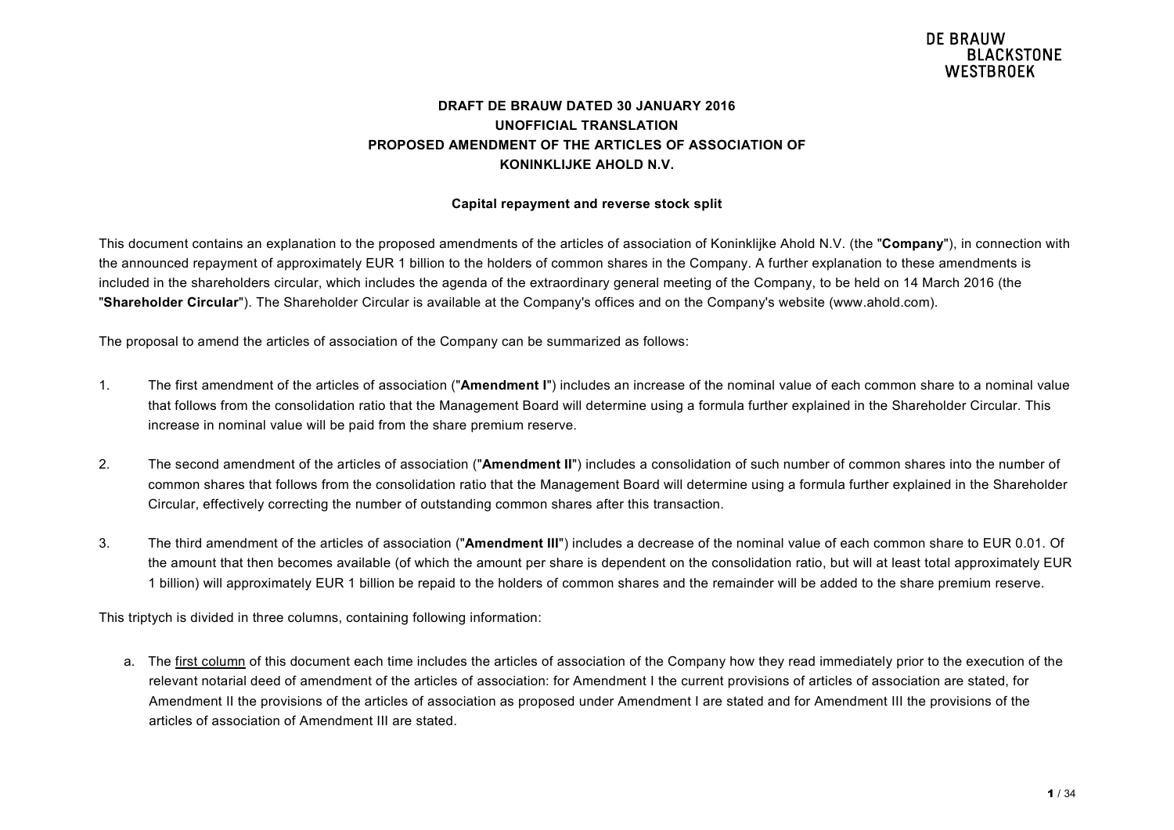### **DRAFT DE BRAUW DATED 30 JANUARY 2016 UNOFFICIAL TRANSLATION PROPOSED AMENDMENT OF THE ARTICLES OF ASSOCIATION OF KONINKLIJKE AHOLD N.V.**

#### **Capital repayment and reverse stock split**

This document contains an explanation to the proposed amendments of the articles of association of Koninklijke Ahold N.V. (the "**Company**"), in connection with the announced repayment of approximately EUR 1 billion to the holders of common shares in the Company. A further explanation to these amendments is included in the shareholders circular, which includes the agenda of the extraordinary general meeting of the Company, to be held on 14 March 2016 (the "**Shareholder Circular**"). The Shareholder Circular is available at the Company's offices and on the Company's website (www.ahold.com).

The proposal to amend the articles of association of the Company can be summarized as follows:

- 1. The first amendment of the articles of association ("**Amendment I**") includes an increase of the nominal value of each common share to a nominal value that follows from the consolidation ratio that the Management Board will determine using a formula further explained in the Shareholder Circular. This increase in nominal value will be paid from the share premium reserve.
- 2. The second amendment of the articles of association ("**Amendment II**") includes a consolidation of such number of common shares into the number of common shares that follows from the consolidation ratio that the Management Board will determine using a formula further explained in the Shareholder Circular, effectively correcting the number of outstanding common shares after this transaction.
- 3. The third amendment of the articles of association ("**Amendment III**") includes a decrease of the nominal value of each common share to EUR 0.01. Of the amount that then becomes available (of which the amount per share is dependent on the consolidation ratio, but will at least total approximately EUR 1 billion) will approximately EUR 1 billion be repaid to the holders of common shares and the remainder will be added to the share premium reserve.

This triptych is divided in three columns, containing following information:

a. The first column of this document each time includes the articles of association of the Company how they read immediately prior to the execution of the relevant notarial deed of amendment of the articles of association: for Amendment I the current provisions of articles of association are stated, for Amendment II the provisions of the articles of association as proposed under Amendment I are stated and for Amendment III the provisions of the articles of association of Amendment III are stated.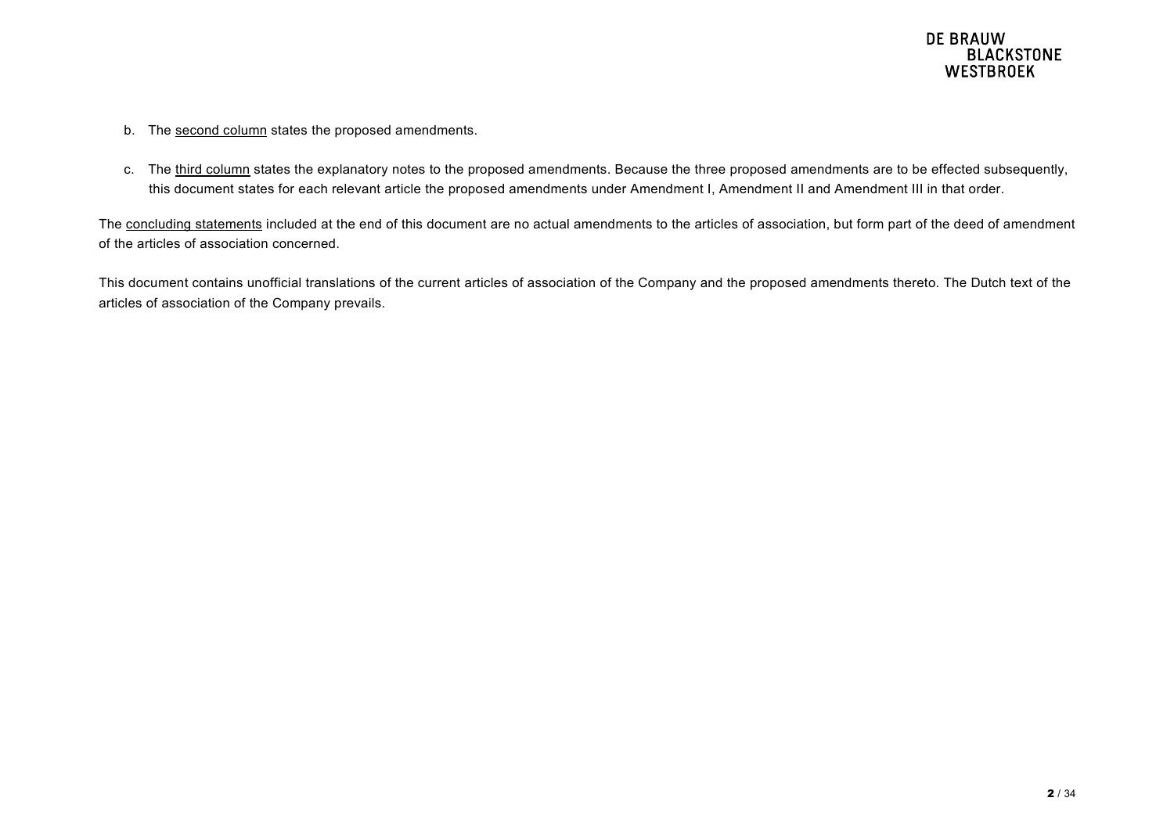- b. The second column states the proposed amendments.
- c. The third column states the explanatory notes to the proposed amendments. Because the three proposed amendments are to be effected subsequently, this document states for each relevant article the proposed amendments under Amendment I, Amendment II and Amendment III in that order.

The concluding statements included at the end of this document are no actual amendments to the articles of association, but form part of the deed of amendment of the articles of association concerned.

This document contains unofficial translations of the current articles of association of the Company and the proposed amendments thereto. The Dutch text of the articles of association of the Company prevails.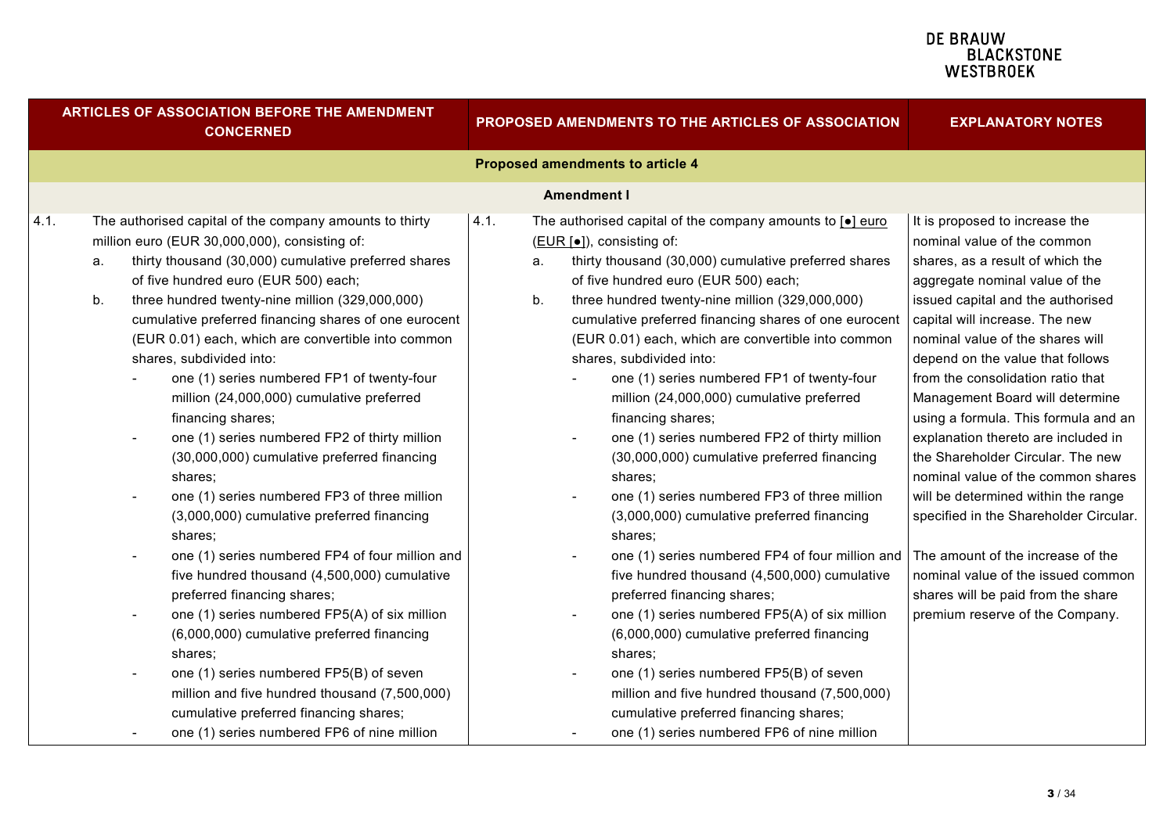| ARTICLES OF ASSOCIATION BEFORE THE AMENDMENT<br><b>CONCERNED</b> |                                                                  |                                                                                                                                                                                                                                                                                                                                                                                                                                                                                                                                                                                                                                                                                                                                                                                                                                                                                                                                                                             | PROPOSED AMENDMENTS TO THE ARTICLES OF ASSOCIATION |          |                                                                                                                                                                                                                                                                                                                                                                                                                                                                                                                                                                                                                                                                                                                                                                                                                                                                                                                                                                         | <b>EXPLANATORY NOTES</b>                                                                                                                                                                                                                                                                                                                                                                                                                                                                                                                                                                                                                                                                                                                                  |  |
|------------------------------------------------------------------|------------------------------------------------------------------|-----------------------------------------------------------------------------------------------------------------------------------------------------------------------------------------------------------------------------------------------------------------------------------------------------------------------------------------------------------------------------------------------------------------------------------------------------------------------------------------------------------------------------------------------------------------------------------------------------------------------------------------------------------------------------------------------------------------------------------------------------------------------------------------------------------------------------------------------------------------------------------------------------------------------------------------------------------------------------|----------------------------------------------------|----------|-------------------------------------------------------------------------------------------------------------------------------------------------------------------------------------------------------------------------------------------------------------------------------------------------------------------------------------------------------------------------------------------------------------------------------------------------------------------------------------------------------------------------------------------------------------------------------------------------------------------------------------------------------------------------------------------------------------------------------------------------------------------------------------------------------------------------------------------------------------------------------------------------------------------------------------------------------------------------|-----------------------------------------------------------------------------------------------------------------------------------------------------------------------------------------------------------------------------------------------------------------------------------------------------------------------------------------------------------------------------------------------------------------------------------------------------------------------------------------------------------------------------------------------------------------------------------------------------------------------------------------------------------------------------------------------------------------------------------------------------------|--|
|                                                                  |                                                                  |                                                                                                                                                                                                                                                                                                                                                                                                                                                                                                                                                                                                                                                                                                                                                                                                                                                                                                                                                                             |                                                    |          | Proposed amendments to article 4                                                                                                                                                                                                                                                                                                                                                                                                                                                                                                                                                                                                                                                                                                                                                                                                                                                                                                                                        |                                                                                                                                                                                                                                                                                                                                                                                                                                                                                                                                                                                                                                                                                                                                                           |  |
|                                                                  |                                                                  |                                                                                                                                                                                                                                                                                                                                                                                                                                                                                                                                                                                                                                                                                                                                                                                                                                                                                                                                                                             |                                                    |          | <b>Amendment I</b>                                                                                                                                                                                                                                                                                                                                                                                                                                                                                                                                                                                                                                                                                                                                                                                                                                                                                                                                                      |                                                                                                                                                                                                                                                                                                                                                                                                                                                                                                                                                                                                                                                                                                                                                           |  |
| 4.1.                                                             | а.<br>b.<br>$\overline{\phantom{a}}$<br>$\overline{\phantom{a}}$ | The authorised capital of the company amounts to thirty<br>million euro (EUR 30,000,000), consisting of:<br>thirty thousand (30,000) cumulative preferred shares<br>of five hundred euro (EUR 500) each;<br>three hundred twenty-nine million (329,000,000)<br>cumulative preferred financing shares of one eurocent<br>(EUR 0.01) each, which are convertible into common<br>shares, subdivided into:<br>one (1) series numbered FP1 of twenty-four<br>million (24,000,000) cumulative preferred<br>financing shares;<br>one (1) series numbered FP2 of thirty million<br>(30,000,000) cumulative preferred financing<br>shares;<br>one (1) series numbered FP3 of three million<br>(3,000,000) cumulative preferred financing<br>shares;<br>one (1) series numbered FP4 of four million and<br>five hundred thousand (4,500,000) cumulative<br>preferred financing shares;<br>one (1) series numbered FP5(A) of six million<br>(6,000,000) cumulative preferred financing | 4.1.                                               | a.<br>b. | The authorised capital of the company amounts to $\boxed{\bullet}$ euro<br>(EUR [•]), consisting of:<br>thirty thousand (30,000) cumulative preferred shares<br>of five hundred euro (EUR 500) each;<br>three hundred twenty-nine million (329,000,000)<br>cumulative preferred financing shares of one eurocent<br>(EUR 0.01) each, which are convertible into common<br>shares, subdivided into:<br>one (1) series numbered FP1 of twenty-four<br>million (24,000,000) cumulative preferred<br>financing shares;<br>one (1) series numbered FP2 of thirty million<br>(30,000,000) cumulative preferred financing<br>shares;<br>one (1) series numbered FP3 of three million<br>(3,000,000) cumulative preferred financing<br>shares;<br>one (1) series numbered FP4 of four million and<br>five hundred thousand (4,500,000) cumulative<br>preferred financing shares;<br>one (1) series numbered FP5(A) of six million<br>(6,000,000) cumulative preferred financing | It is proposed to increase the<br>nominal value of the common<br>shares, as a result of which the<br>aggregate nominal value of the<br>issued capital and the authorised<br>capital will increase. The new<br>nominal value of the shares will<br>depend on the value that follows<br>from the consolidation ratio that<br>Management Board will determine<br>using a formula. This formula and an<br>explanation thereto are included in<br>the Shareholder Circular. The new<br>nominal value of the common shares<br>will be determined within the range<br>specified in the Shareholder Circular.<br>The amount of the increase of the<br>nominal value of the issued common<br>shares will be paid from the share<br>premium reserve of the Company. |  |
|                                                                  |                                                                  | shares:<br>one (1) series numbered FP5(B) of seven<br>million and five hundred thousand (7,500,000)                                                                                                                                                                                                                                                                                                                                                                                                                                                                                                                                                                                                                                                                                                                                                                                                                                                                         |                                                    |          | shares:<br>one (1) series numbered FP5(B) of seven<br>million and five hundred thousand (7,500,000)                                                                                                                                                                                                                                                                                                                                                                                                                                                                                                                                                                                                                                                                                                                                                                                                                                                                     |                                                                                                                                                                                                                                                                                                                                                                                                                                                                                                                                                                                                                                                                                                                                                           |  |
|                                                                  |                                                                  | cumulative preferred financing shares;<br>one (1) series numbered FP6 of nine million                                                                                                                                                                                                                                                                                                                                                                                                                                                                                                                                                                                                                                                                                                                                                                                                                                                                                       |                                                    |          | cumulative preferred financing shares;<br>one (1) series numbered FP6 of nine million                                                                                                                                                                                                                                                                                                                                                                                                                                                                                                                                                                                                                                                                                                                                                                                                                                                                                   |                                                                                                                                                                                                                                                                                                                                                                                                                                                                                                                                                                                                                                                                                                                                                           |  |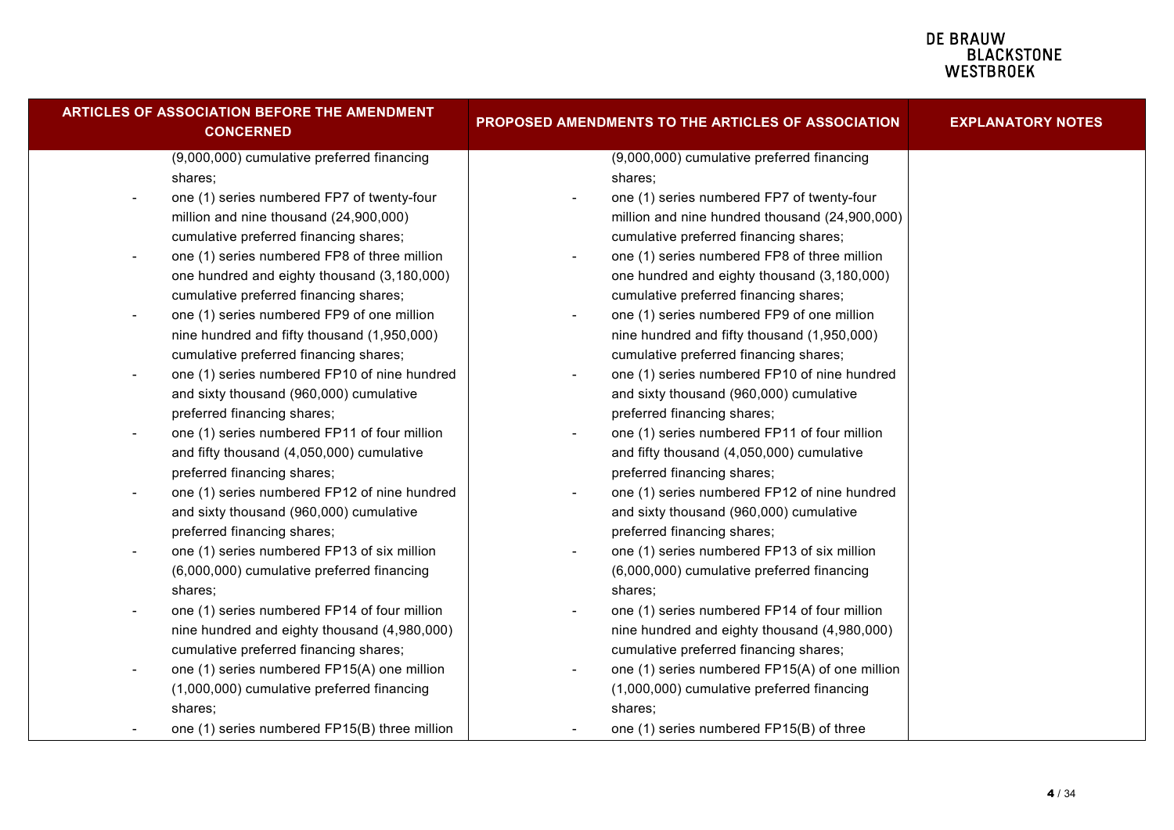| ARTICLES OF ASSOCIATION BEFORE THE AMENDMENT<br><b>CONCERNED</b>         | PROPOSED AMENDMENTS TO THE ARTICLES OF ASSOCIATION                     | <b>EXPLANATORY NOTES</b> |
|--------------------------------------------------------------------------|------------------------------------------------------------------------|--------------------------|
| (9,000,000) cumulative preferred financing                               | (9,000,000) cumulative preferred financing                             |                          |
| shares;                                                                  | shares;                                                                |                          |
| one (1) series numbered FP7 of twenty-four<br>$\overline{\phantom{a}}$   | one (1) series numbered FP7 of twenty-four                             |                          |
| million and nine thousand (24,900,000)                                   | million and nine hundred thousand (24,900,000)                         |                          |
| cumulative preferred financing shares;                                   | cumulative preferred financing shares;                                 |                          |
| one (1) series numbered FP8 of three million<br>$\overline{\phantom{a}}$ | one (1) series numbered FP8 of three million                           |                          |
| one hundred and eighty thousand (3,180,000)                              | one hundred and eighty thousand (3,180,000)                            |                          |
| cumulative preferred financing shares;                                   | cumulative preferred financing shares;                                 |                          |
| one (1) series numbered FP9 of one million<br>$\overline{\phantom{a}}$   | one (1) series numbered FP9 of one million<br>$\overline{\phantom{a}}$ |                          |
| nine hundred and fifty thousand (1,950,000)                              | nine hundred and fifty thousand (1,950,000)                            |                          |
| cumulative preferred financing shares;                                   | cumulative preferred financing shares;                                 |                          |
| one (1) series numbered FP10 of nine hundred                             | one (1) series numbered FP10 of nine hundred                           |                          |
| and sixty thousand (960,000) cumulative                                  | and sixty thousand (960,000) cumulative                                |                          |
| preferred financing shares;                                              | preferred financing shares;                                            |                          |
| one (1) series numbered FP11 of four million                             | one (1) series numbered FP11 of four million                           |                          |
| and fifty thousand (4,050,000) cumulative                                | and fifty thousand (4,050,000) cumulative                              |                          |
| preferred financing shares;                                              | preferred financing shares;                                            |                          |
| one (1) series numbered FP12 of nine hundred                             | one (1) series numbered FP12 of nine hundred                           |                          |
| and sixty thousand (960,000) cumulative                                  | and sixty thousand (960,000) cumulative                                |                          |
| preferred financing shares;                                              | preferred financing shares;                                            |                          |
| one (1) series numbered FP13 of six million                              | one (1) series numbered FP13 of six million                            |                          |
| (6,000,000) cumulative preferred financing                               | (6,000,000) cumulative preferred financing                             |                          |
| shares;                                                                  | shares;                                                                |                          |
| one (1) series numbered FP14 of four million<br>$\overline{\phantom{a}}$ | one (1) series numbered FP14 of four million                           |                          |
| nine hundred and eighty thousand (4,980,000)                             | nine hundred and eighty thousand (4,980,000)                           |                          |
| cumulative preferred financing shares;                                   | cumulative preferred financing shares;                                 |                          |
| one (1) series numbered FP15(A) one million<br>$\overline{\phantom{a}}$  | one (1) series numbered FP15(A) of one million                         |                          |
| (1,000,000) cumulative preferred financing                               | (1,000,000) cumulative preferred financing                             |                          |
| shares;                                                                  | shares;                                                                |                          |
| one (1) series numbered FP15(B) three million                            | one (1) series numbered FP15(B) of three                               |                          |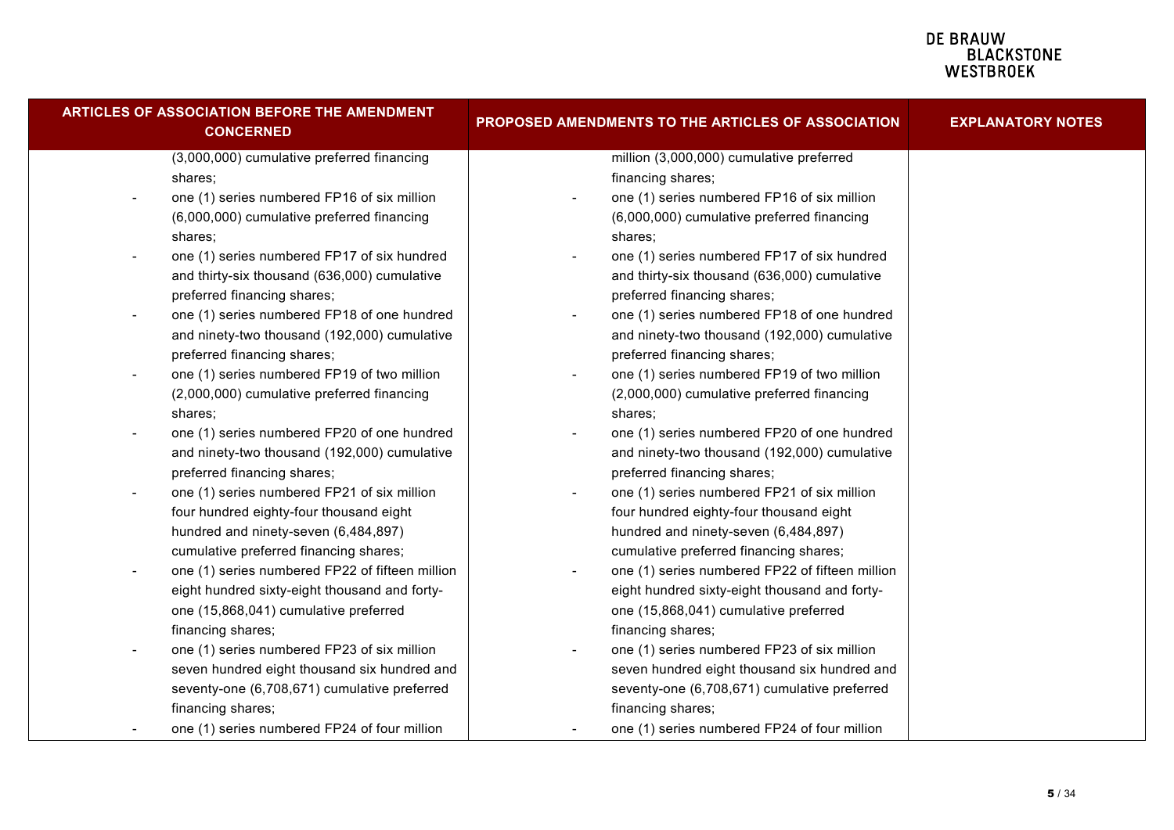| ARTICLES OF ASSOCIATION BEFORE THE AMENDMENT<br><b>CONCERNED</b>        | PROPOSED AMENDMENTS TO THE ARTICLES OF ASSOCIATION | <b>EXPLANATORY NOTES</b> |
|-------------------------------------------------------------------------|----------------------------------------------------|--------------------------|
| (3,000,000) cumulative preferred financing                              | million (3,000,000) cumulative preferred           |                          |
| shares;                                                                 | financing shares;                                  |                          |
| one (1) series numbered FP16 of six million                             | one (1) series numbered FP16 of six million        |                          |
| (6,000,000) cumulative preferred financing                              | (6,000,000) cumulative preferred financing         |                          |
| shares;                                                                 | shares;                                            |                          |
| one (1) series numbered FP17 of six hundred                             | one (1) series numbered FP17 of six hundred        |                          |
| and thirty-six thousand (636,000) cumulative                            | and thirty-six thousand (636,000) cumulative       |                          |
| preferred financing shares;                                             | preferred financing shares;                        |                          |
| one (1) series numbered FP18 of one hundred<br>$\blacksquare$           | one (1) series numbered FP18 of one hundred        |                          |
| and ninety-two thousand (192,000) cumulative                            | and ninety-two thousand (192,000) cumulative       |                          |
| preferred financing shares;                                             | preferred financing shares;                        |                          |
| one (1) series numbered FP19 of two million<br>$\overline{\phantom{a}}$ | one (1) series numbered FP19 of two million        |                          |
| (2,000,000) cumulative preferred financing                              | (2,000,000) cumulative preferred financing         |                          |
| shares:                                                                 | shares:                                            |                          |
| one (1) series numbered FP20 of one hundred                             | one (1) series numbered FP20 of one hundred        |                          |
| and ninety-two thousand (192,000) cumulative                            | and ninety-two thousand (192,000) cumulative       |                          |
| preferred financing shares;                                             | preferred financing shares;                        |                          |
| one (1) series numbered FP21 of six million<br>$\overline{\phantom{a}}$ | one (1) series numbered FP21 of six million        |                          |
| four hundred eighty-four thousand eight                                 | four hundred eighty-four thousand eight            |                          |
| hundred and ninety-seven (6,484,897)                                    | hundred and ninety-seven (6,484,897)               |                          |
| cumulative preferred financing shares;                                  | cumulative preferred financing shares;             |                          |
| one (1) series numbered FP22 of fifteen million                         | one (1) series numbered FP22 of fifteen million    |                          |
| eight hundred sixty-eight thousand and forty-                           | eight hundred sixty-eight thousand and forty-      |                          |
| one (15,868,041) cumulative preferred                                   | one (15,868,041) cumulative preferred              |                          |
| financing shares;                                                       | financing shares;                                  |                          |
| one (1) series numbered FP23 of six million<br>$\overline{\phantom{a}}$ | one (1) series numbered FP23 of six million        |                          |
| seven hundred eight thousand six hundred and                            | seven hundred eight thousand six hundred and       |                          |
| seventy-one (6,708,671) cumulative preferred                            | seventy-one (6,708,671) cumulative preferred       |                          |
| financing shares;                                                       | financing shares;                                  |                          |
| one (1) series numbered FP24 of four million                            | one (1) series numbered FP24 of four million       |                          |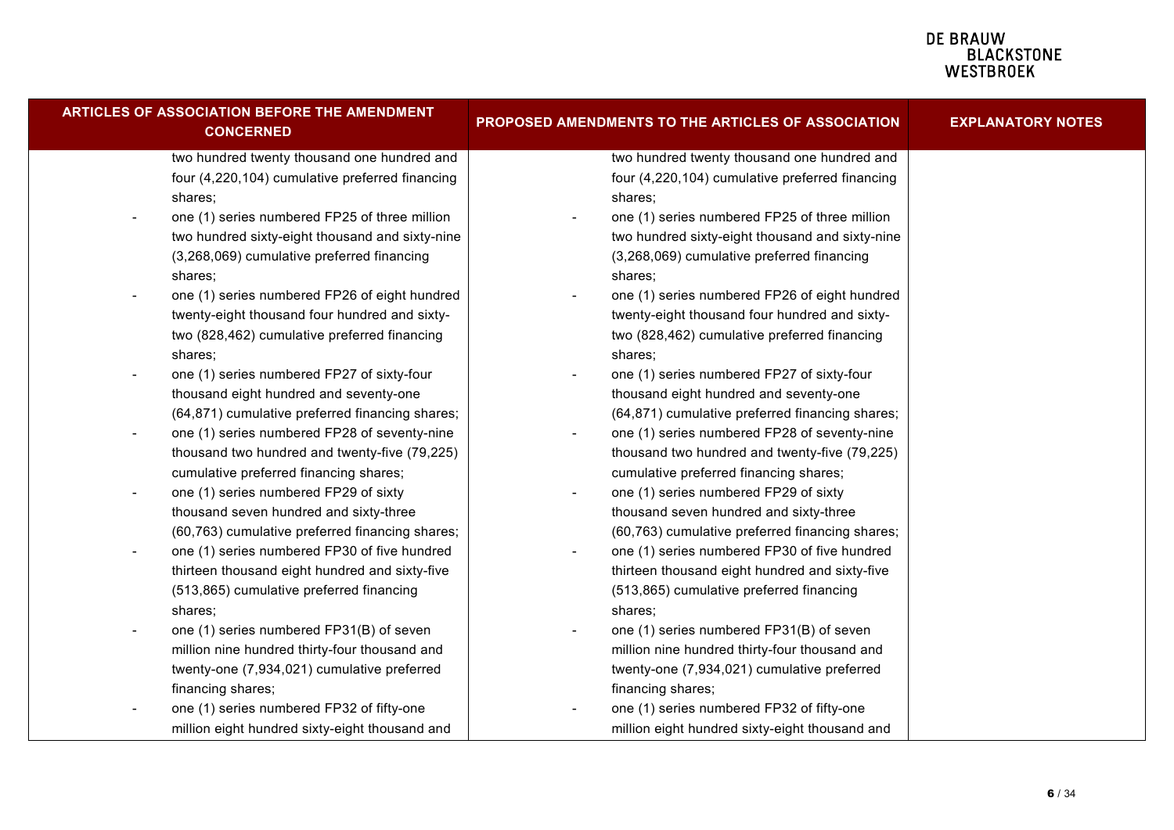| ARTICLES OF ASSOCIATION BEFORE THE AMENDMENT<br><b>CONCERNED</b>          | PROPOSED AMENDMENTS TO THE ARTICLES OF ASSOCIATION | <b>EXPLANATORY NOTES</b> |
|---------------------------------------------------------------------------|----------------------------------------------------|--------------------------|
| two hundred twenty thousand one hundred and                               | two hundred twenty thousand one hundred and        |                          |
| four (4,220,104) cumulative preferred financing                           | four (4,220,104) cumulative preferred financing    |                          |
| shares;                                                                   | shares;                                            |                          |
| one (1) series numbered FP25 of three million                             | one (1) series numbered FP25 of three million      |                          |
| two hundred sixty-eight thousand and sixty-nine                           | two hundred sixty-eight thousand and sixty-nine    |                          |
| (3,268,069) cumulative preferred financing                                | (3,268,069) cumulative preferred financing         |                          |
| shares;                                                                   | shares;                                            |                          |
| one (1) series numbered FP26 of eight hundred<br>$\overline{\phantom{a}}$ | one (1) series numbered FP26 of eight hundred      |                          |
| twenty-eight thousand four hundred and sixty-                             | twenty-eight thousand four hundred and sixty-      |                          |
| two (828,462) cumulative preferred financing                              | two (828,462) cumulative preferred financing       |                          |
| shares;                                                                   | shares;                                            |                          |
| one (1) series numbered FP27 of sixty-four                                | one (1) series numbered FP27 of sixty-four         |                          |
| thousand eight hundred and seventy-one                                    | thousand eight hundred and seventy-one             |                          |
| (64,871) cumulative preferred financing shares;                           | (64,871) cumulative preferred financing shares;    |                          |
| one (1) series numbered FP28 of seventy-nine<br>$\overline{\phantom{a}}$  | one (1) series numbered FP28 of seventy-nine       |                          |
| thousand two hundred and twenty-five (79,225)                             | thousand two hundred and twenty-five (79,225)      |                          |
| cumulative preferred financing shares;                                    | cumulative preferred financing shares;             |                          |
| one (1) series numbered FP29 of sixty<br>$\overline{\phantom{a}}$         | one (1) series numbered FP29 of sixty              |                          |
| thousand seven hundred and sixty-three                                    | thousand seven hundred and sixty-three             |                          |
| (60,763) cumulative preferred financing shares;                           | (60,763) cumulative preferred financing shares;    |                          |
| one (1) series numbered FP30 of five hundred<br>$\sim$                    | one (1) series numbered FP30 of five hundred       |                          |
| thirteen thousand eight hundred and sixty-five                            | thirteen thousand eight hundred and sixty-five     |                          |
| (513,865) cumulative preferred financing                                  | (513,865) cumulative preferred financing           |                          |
| shares;                                                                   | shares;                                            |                          |
| one (1) series numbered FP31(B) of seven<br>$\overline{\phantom{a}}$      | one (1) series numbered FP31(B) of seven           |                          |
| million nine hundred thirty-four thousand and                             | million nine hundred thirty-four thousand and      |                          |
| twenty-one (7,934,021) cumulative preferred                               | twenty-one (7,934,021) cumulative preferred        |                          |
| financing shares;                                                         | financing shares;                                  |                          |
| one (1) series numbered FP32 of fifty-one                                 | one (1) series numbered FP32 of fifty-one          |                          |
| million eight hundred sixty-eight thousand and                            | million eight hundred sixty-eight thousand and     |                          |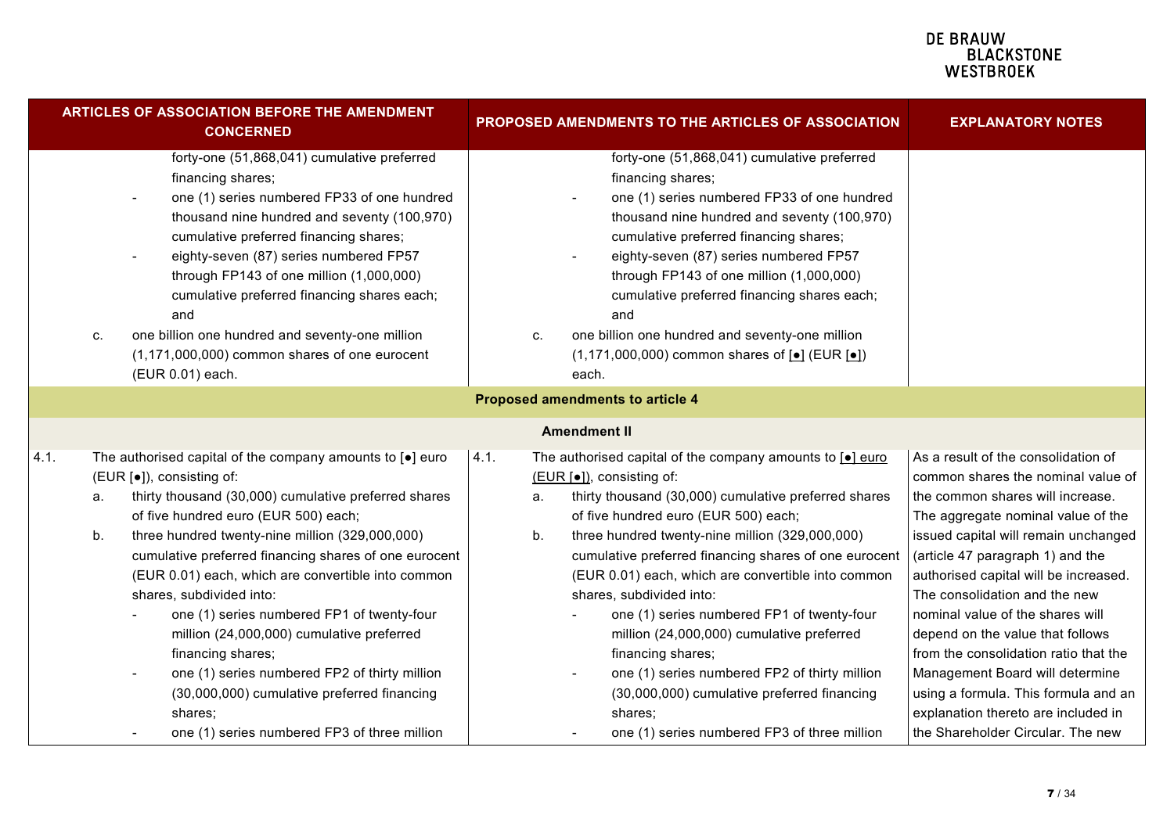|      |          | <b>ARTICLES OF ASSOCIATION BEFORE THE AMENDMENT</b><br><b>CONCERNED</b>                                                                                                                                                                                                                                                                                                                                                                                                                                                                                                                                                                                           |                  | PROPOSED AMENDMENTS TO THE ARTICLES OF ASSOCIATION                                                                                                                                                                                                                                                                                                                                                                                                                                                                                                                                                                                                                            | <b>EXPLANATORY NOTES</b>                                                                                                                                                                                                                                                                                                                                                                                                                                                                                                                                                          |
|------|----------|-------------------------------------------------------------------------------------------------------------------------------------------------------------------------------------------------------------------------------------------------------------------------------------------------------------------------------------------------------------------------------------------------------------------------------------------------------------------------------------------------------------------------------------------------------------------------------------------------------------------------------------------------------------------|------------------|-------------------------------------------------------------------------------------------------------------------------------------------------------------------------------------------------------------------------------------------------------------------------------------------------------------------------------------------------------------------------------------------------------------------------------------------------------------------------------------------------------------------------------------------------------------------------------------------------------------------------------------------------------------------------------|-----------------------------------------------------------------------------------------------------------------------------------------------------------------------------------------------------------------------------------------------------------------------------------------------------------------------------------------------------------------------------------------------------------------------------------------------------------------------------------------------------------------------------------------------------------------------------------|
|      | c.       | forty-one (51,868,041) cumulative preferred<br>financing shares;<br>one (1) series numbered FP33 of one hundred<br>thousand nine hundred and seventy (100,970)<br>cumulative preferred financing shares;<br>eighty-seven (87) series numbered FP57<br>through FP143 of one million (1,000,000)<br>cumulative preferred financing shares each;<br>and<br>one billion one hundred and seventy-one million<br>$(1,171,000,000)$ common shares of one eurocent<br>(EUR 0.01) each.                                                                                                                                                                                    | C.               | forty-one (51,868,041) cumulative preferred<br>financing shares;<br>one (1) series numbered FP33 of one hundred<br>thousand nine hundred and seventy (100,970)<br>cumulative preferred financing shares;<br>eighty-seven (87) series numbered FP57<br>through FP143 of one million (1,000,000)<br>cumulative preferred financing shares each;<br>and<br>one billion one hundred and seventy-one million<br>$(1,171,000,000)$ common shares of $\text{[} \bullet \text{]}$ (EUR $\text{[} \bullet \text{]}$ )<br>each.                                                                                                                                                         |                                                                                                                                                                                                                                                                                                                                                                                                                                                                                                                                                                                   |
|      |          |                                                                                                                                                                                                                                                                                                                                                                                                                                                                                                                                                                                                                                                                   |                  | <b>Proposed amendments to article 4</b>                                                                                                                                                                                                                                                                                                                                                                                                                                                                                                                                                                                                                                       |                                                                                                                                                                                                                                                                                                                                                                                                                                                                                                                                                                                   |
|      |          |                                                                                                                                                                                                                                                                                                                                                                                                                                                                                                                                                                                                                                                                   |                  | <b>Amendment II</b>                                                                                                                                                                                                                                                                                                                                                                                                                                                                                                                                                                                                                                                           |                                                                                                                                                                                                                                                                                                                                                                                                                                                                                                                                                                                   |
| 4.1. | a.<br>b. | The authorised capital of the company amounts to $[•]$ euro<br>(EUR [.]), consisting of:<br>thirty thousand (30,000) cumulative preferred shares<br>of five hundred euro (EUR 500) each;<br>three hundred twenty-nine million (329,000,000)<br>cumulative preferred financing shares of one eurocent<br>(EUR 0.01) each, which are convertible into common<br>shares, subdivided into:<br>one (1) series numbered FP1 of twenty-four<br>million (24,000,000) cumulative preferred<br>financing shares;<br>one (1) series numbered FP2 of thirty million<br>(30,000,000) cumulative preferred financing<br>shares:<br>one (1) series numbered FP3 of three million | 4.1.<br>a.<br>b. | The authorised capital of the company amounts to $\boxed{\bullet}$ euro<br>(EUR [●]), consisting of:<br>thirty thousand (30,000) cumulative preferred shares<br>of five hundred euro (EUR 500) each;<br>three hundred twenty-nine million (329,000,000)<br>cumulative preferred financing shares of one eurocent<br>(EUR 0.01) each, which are convertible into common<br>shares, subdivided into:<br>one (1) series numbered FP1 of twenty-four<br>million (24,000,000) cumulative preferred<br>financing shares;<br>one (1) series numbered FP2 of thirty million<br>(30,000,000) cumulative preferred financing<br>shares;<br>one (1) series numbered FP3 of three million | As a result of the consolidation of<br>common shares the nominal value of<br>the common shares will increase.<br>The aggregate nominal value of the<br>issued capital will remain unchanged<br>(article 47 paragraph 1) and the<br>authorised capital will be increased.<br>The consolidation and the new<br>nominal value of the shares will<br>depend on the value that follows<br>from the consolidation ratio that the<br>Management Board will determine<br>using a formula. This formula and an<br>explanation thereto are included in<br>the Shareholder Circular. The new |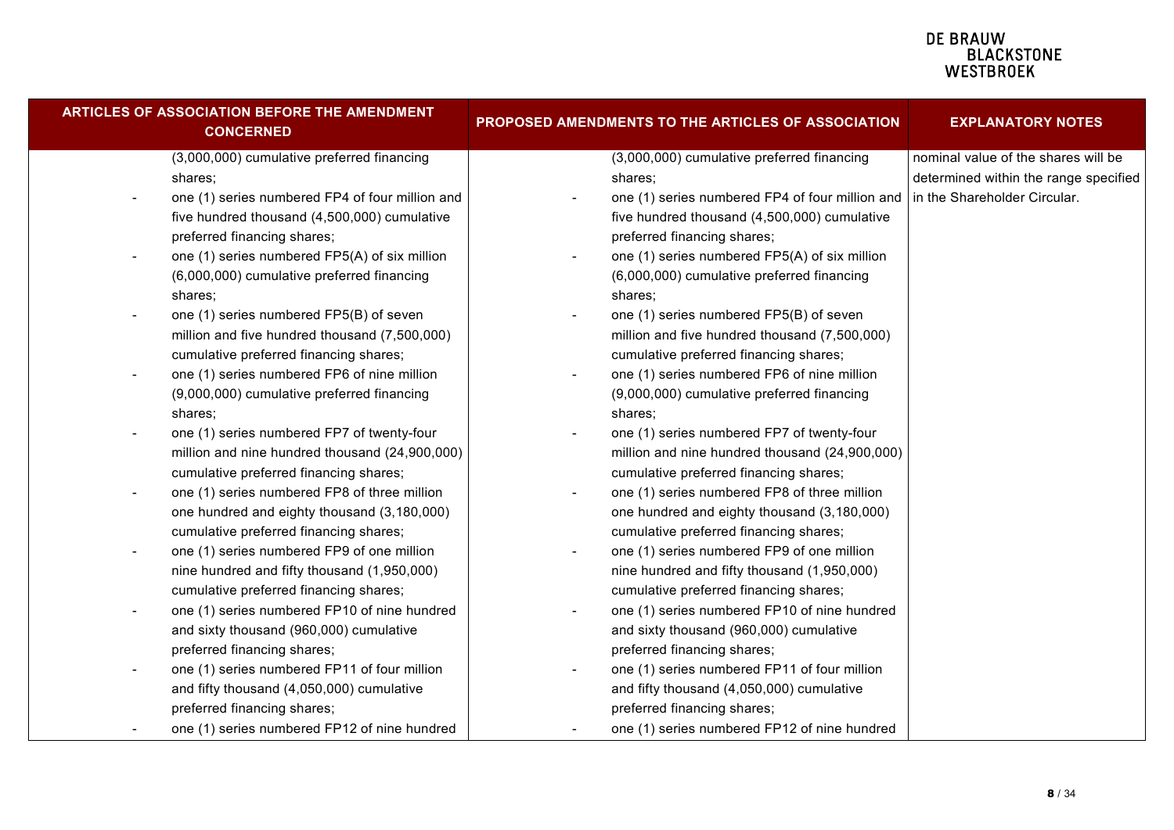| <b>ARTICLES OF ASSOCIATION BEFORE THE AMENDMENT</b><br><b>CONCERNED</b>    | PROPOSED AMENDMENTS TO THE ARTICLES OF ASSOCIATION    | <b>EXPLANATORY NOTES</b>                                                     |  |
|----------------------------------------------------------------------------|-------------------------------------------------------|------------------------------------------------------------------------------|--|
| (3,000,000) cumulative preferred financing<br>shares;                      | (3,000,000) cumulative preferred financing<br>shares; | nominal value of the shares will be<br>determined within the range specified |  |
| one (1) series numbered FP4 of four million and                            | one (1) series numbered FP4 of four million and       | in the Shareholder Circular.                                                 |  |
| five hundred thousand (4,500,000) cumulative                               | five hundred thousand (4,500,000) cumulative          |                                                                              |  |
| preferred financing shares;                                                | preferred financing shares;                           |                                                                              |  |
| one (1) series numbered FP5(A) of six million                              | one (1) series numbered FP5(A) of six million         |                                                                              |  |
| (6,000,000) cumulative preferred financing                                 | (6,000,000) cumulative preferred financing            |                                                                              |  |
| shares;                                                                    | shares;                                               |                                                                              |  |
| one (1) series numbered FP5(B) of seven<br>$\overline{\phantom{a}}$        | one (1) series numbered FP5(B) of seven               |                                                                              |  |
| million and five hundred thousand (7,500,000)                              | million and five hundred thousand (7,500,000)         |                                                                              |  |
| cumulative preferred financing shares;                                     | cumulative preferred financing shares;                |                                                                              |  |
| one (1) series numbered FP6 of nine million<br>$\sim$                      | one (1) series numbered FP6 of nine million           |                                                                              |  |
| (9,000,000) cumulative preferred financing                                 | (9,000,000) cumulative preferred financing            |                                                                              |  |
| shares;                                                                    | shares:                                               |                                                                              |  |
| one (1) series numbered FP7 of twenty-four<br>$\overline{\phantom{a}}$     | one (1) series numbered FP7 of twenty-four            |                                                                              |  |
| million and nine hundred thousand (24,900,000)                             | million and nine hundred thousand (24,900,000)        |                                                                              |  |
| cumulative preferred financing shares;                                     | cumulative preferred financing shares;                |                                                                              |  |
| one (1) series numbered FP8 of three million<br>$\overline{\phantom{a}}$   | one (1) series numbered FP8 of three million          |                                                                              |  |
| one hundred and eighty thousand (3,180,000)                                | one hundred and eighty thousand (3,180,000)           |                                                                              |  |
| cumulative preferred financing shares;                                     | cumulative preferred financing shares;                |                                                                              |  |
| one (1) series numbered FP9 of one million<br>$\qquad \qquad \blacksquare$ | one (1) series numbered FP9 of one million            |                                                                              |  |
| nine hundred and fifty thousand (1,950,000)                                | nine hundred and fifty thousand (1,950,000)           |                                                                              |  |
| cumulative preferred financing shares;                                     | cumulative preferred financing shares;                |                                                                              |  |
| one (1) series numbered FP10 of nine hundred<br>$\overline{\phantom{a}}$   | one (1) series numbered FP10 of nine hundred          |                                                                              |  |
| and sixty thousand (960,000) cumulative                                    | and sixty thousand (960,000) cumulative               |                                                                              |  |
| preferred financing shares;                                                | preferred financing shares;                           |                                                                              |  |
| one (1) series numbered FP11 of four million<br>-                          | one (1) series numbered FP11 of four million          |                                                                              |  |
| and fifty thousand (4,050,000) cumulative                                  | and fifty thousand (4,050,000) cumulative             |                                                                              |  |
| preferred financing shares;                                                | preferred financing shares;                           |                                                                              |  |
| one (1) series numbered FP12 of nine hundred                               | one (1) series numbered FP12 of nine hundred          |                                                                              |  |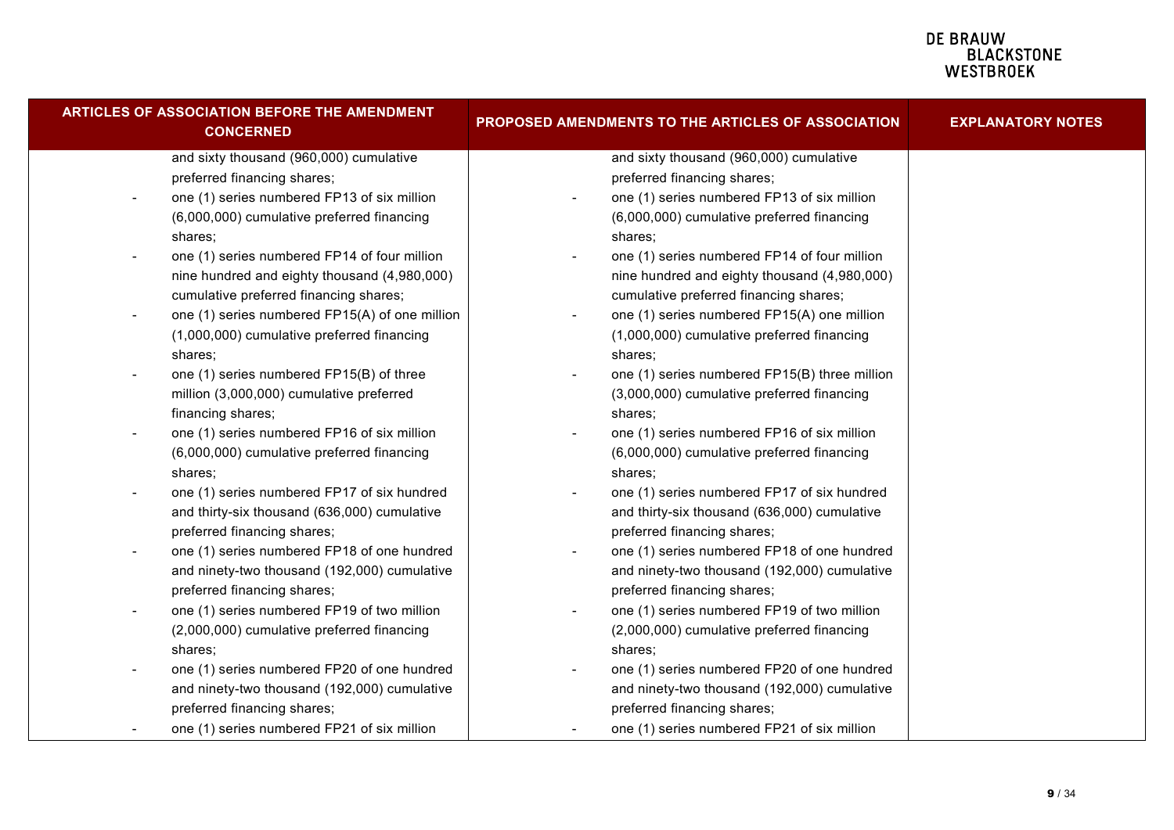| ARTICLES OF ASSOCIATION BEFORE THE AMENDMENT<br><b>CONCERNED</b>           | PROPOSED AMENDMENTS TO THE ARTICLES OF ASSOCIATION                      | <b>EXPLANATORY NOTES</b> |
|----------------------------------------------------------------------------|-------------------------------------------------------------------------|--------------------------|
| and sixty thousand (960,000) cumulative                                    | and sixty thousand (960,000) cumulative                                 |                          |
| preferred financing shares;                                                | preferred financing shares;                                             |                          |
| one (1) series numbered FP13 of six million<br>$\overline{\phantom{a}}$    | one (1) series numbered FP13 of six million<br>$\overline{\phantom{a}}$ |                          |
| (6,000,000) cumulative preferred financing                                 | (6,000,000) cumulative preferred financing                              |                          |
| shares;                                                                    | shares;                                                                 |                          |
| one (1) series numbered FP14 of four million<br>$\overline{\phantom{a}}$   | one (1) series numbered FP14 of four million                            |                          |
| nine hundred and eighty thousand (4,980,000)                               | nine hundred and eighty thousand (4,980,000)                            |                          |
| cumulative preferred financing shares;                                     | cumulative preferred financing shares;                                  |                          |
| one (1) series numbered FP15(A) of one million<br>$\overline{\phantom{a}}$ | one (1) series numbered FP15(A) one million<br>$\overline{\phantom{a}}$ |                          |
| (1,000,000) cumulative preferred financing                                 | (1,000,000) cumulative preferred financing                              |                          |
| shares;                                                                    | shares;                                                                 |                          |
| one (1) series numbered FP15(B) of three<br>$\overline{\phantom{a}}$       | one (1) series numbered FP15(B) three million                           |                          |
| million (3,000,000) cumulative preferred                                   | (3,000,000) cumulative preferred financing                              |                          |
| financing shares;                                                          | shares;                                                                 |                          |
| one (1) series numbered FP16 of six million                                | one (1) series numbered FP16 of six million                             |                          |
| (6,000,000) cumulative preferred financing                                 | (6,000,000) cumulative preferred financing                              |                          |
| shares;                                                                    | shares;                                                                 |                          |
| one (1) series numbered FP17 of six hundred                                | one (1) series numbered FP17 of six hundred                             |                          |
| and thirty-six thousand (636,000) cumulative                               | and thirty-six thousand (636,000) cumulative                            |                          |
| preferred financing shares;                                                | preferred financing shares;                                             |                          |
| one (1) series numbered FP18 of one hundred                                | one (1) series numbered FP18 of one hundred                             |                          |
| and ninety-two thousand (192,000) cumulative                               | and ninety-two thousand (192,000) cumulative                            |                          |
| preferred financing shares;                                                | preferred financing shares;                                             |                          |
| one (1) series numbered FP19 of two million<br>$\overline{\phantom{a}}$    | one (1) series numbered FP19 of two million                             |                          |
| (2,000,000) cumulative preferred financing                                 | (2,000,000) cumulative preferred financing                              |                          |
| shares;                                                                    | shares;                                                                 |                          |
| one (1) series numbered FP20 of one hundred                                | one (1) series numbered FP20 of one hundred                             |                          |
| and ninety-two thousand (192,000) cumulative                               | and ninety-two thousand (192,000) cumulative                            |                          |
| preferred financing shares;                                                | preferred financing shares;                                             |                          |
| one (1) series numbered FP21 of six million                                | one (1) series numbered FP21 of six million                             |                          |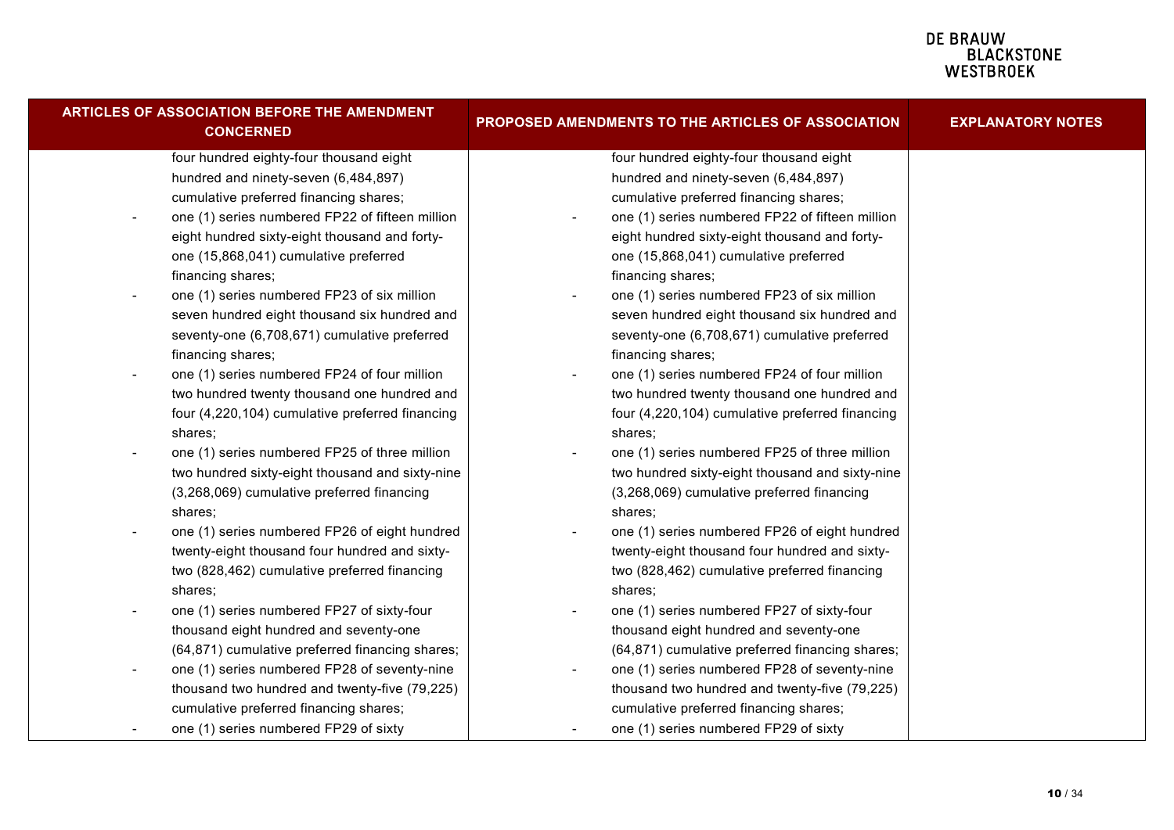| <b>ARTICLES OF ASSOCIATION BEFORE THE AMENDMENT</b><br><b>CONCERNED</b>   | PROPOSED AMENDMENTS TO THE ARTICLES OF ASSOCIATION                       | <b>EXPLANATORY NOTES</b> |
|---------------------------------------------------------------------------|--------------------------------------------------------------------------|--------------------------|
| four hundred eighty-four thousand eight                                   | four hundred eighty-four thousand eight                                  |                          |
| hundred and ninety-seven (6,484,897)                                      | hundred and ninety-seven (6,484,897)                                     |                          |
| cumulative preferred financing shares;                                    | cumulative preferred financing shares;                                   |                          |
| one (1) series numbered FP22 of fifteen million                           | one (1) series numbered FP22 of fifteen million                          |                          |
| eight hundred sixty-eight thousand and forty-                             | eight hundred sixty-eight thousand and forty-                            |                          |
| one (15,868,041) cumulative preferred                                     | one (15,868,041) cumulative preferred                                    |                          |
| financing shares;                                                         | financing shares;                                                        |                          |
| one (1) series numbered FP23 of six million<br>$\overline{\phantom{a}}$   | one (1) series numbered FP23 of six million                              |                          |
| seven hundred eight thousand six hundred and                              | seven hundred eight thousand six hundred and                             |                          |
| seventy-one (6,708,671) cumulative preferred                              | seventy-one (6,708,671) cumulative preferred                             |                          |
| financing shares;                                                         | financing shares;                                                        |                          |
| one (1) series numbered FP24 of four million<br>$\overline{\phantom{a}}$  | one (1) series numbered FP24 of four million                             |                          |
| two hundred twenty thousand one hundred and                               | two hundred twenty thousand one hundred and                              |                          |
| four (4,220,104) cumulative preferred financing                           | four (4,220,104) cumulative preferred financing                          |                          |
| shares;                                                                   | shares;                                                                  |                          |
| one (1) series numbered FP25 of three million                             | one (1) series numbered FP25 of three million                            |                          |
| two hundred sixty-eight thousand and sixty-nine                           | two hundred sixty-eight thousand and sixty-nine                          |                          |
| (3,268,069) cumulative preferred financing                                | (3,268,069) cumulative preferred financing                               |                          |
| shares;                                                                   | shares;                                                                  |                          |
| one (1) series numbered FP26 of eight hundred<br>$\overline{\phantom{a}}$ | one (1) series numbered FP26 of eight hundred                            |                          |
| twenty-eight thousand four hundred and sixty-                             | twenty-eight thousand four hundred and sixty-                            |                          |
| two (828,462) cumulative preferred financing                              | two (828,462) cumulative preferred financing                             |                          |
| shares:                                                                   | shares:                                                                  |                          |
| one (1) series numbered FP27 of sixty-four<br>$\overline{\phantom{a}}$    | one (1) series numbered FP27 of sixty-four                               |                          |
| thousand eight hundred and seventy-one                                    | thousand eight hundred and seventy-one                                   |                          |
| (64,871) cumulative preferred financing shares;                           | (64,871) cumulative preferred financing shares;                          |                          |
| one (1) series numbered FP28 of seventy-nine<br>$\overline{\phantom{a}}$  | one (1) series numbered FP28 of seventy-nine<br>$\overline{\phantom{a}}$ |                          |
| thousand two hundred and twenty-five (79,225)                             | thousand two hundred and twenty-five (79,225)                            |                          |
| cumulative preferred financing shares;                                    | cumulative preferred financing shares;                                   |                          |
| one (1) series numbered FP29 of sixty                                     | one (1) series numbered FP29 of sixty                                    |                          |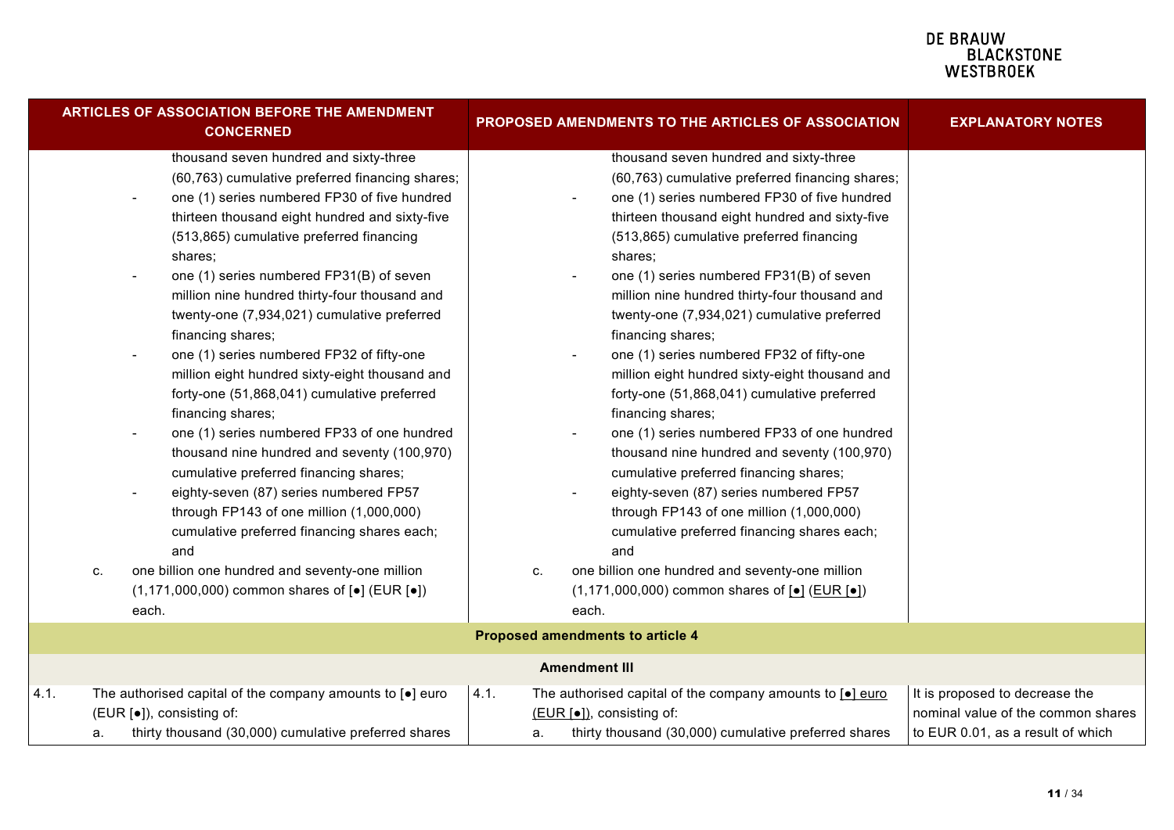| <b>ARTICLES OF ASSOCIATION BEFORE THE AMENDMENT</b><br><b>CONCERNED</b>                                                                                                                                                                                                                                                                                                                                                                                                                                                                                                                                                                                                                                                                                                                                                                                                                                                                                                                               | PROPOSED AMENDMENTS TO THE ARTICLES OF ASSOCIATION                                                                                                                                                                                                                                                                                                                                                                                                                                                                                                                                                                                                                                                                                                                                                                                                                                                                                                                                                    | <b>EXPLANATORY NOTES</b>                                                                                  |
|-------------------------------------------------------------------------------------------------------------------------------------------------------------------------------------------------------------------------------------------------------------------------------------------------------------------------------------------------------------------------------------------------------------------------------------------------------------------------------------------------------------------------------------------------------------------------------------------------------------------------------------------------------------------------------------------------------------------------------------------------------------------------------------------------------------------------------------------------------------------------------------------------------------------------------------------------------------------------------------------------------|-------------------------------------------------------------------------------------------------------------------------------------------------------------------------------------------------------------------------------------------------------------------------------------------------------------------------------------------------------------------------------------------------------------------------------------------------------------------------------------------------------------------------------------------------------------------------------------------------------------------------------------------------------------------------------------------------------------------------------------------------------------------------------------------------------------------------------------------------------------------------------------------------------------------------------------------------------------------------------------------------------|-----------------------------------------------------------------------------------------------------------|
| thousand seven hundred and sixty-three<br>(60,763) cumulative preferred financing shares;<br>one (1) series numbered FP30 of five hundred<br>thirteen thousand eight hundred and sixty-five<br>(513,865) cumulative preferred financing<br>shares;<br>one (1) series numbered FP31(B) of seven<br>million nine hundred thirty-four thousand and<br>twenty-one (7,934,021) cumulative preferred<br>financing shares;<br>one (1) series numbered FP32 of fifty-one<br>million eight hundred sixty-eight thousand and<br>forty-one (51,868,041) cumulative preferred<br>financing shares;<br>one (1) series numbered FP33 of one hundred<br>thousand nine hundred and seventy (100,970)<br>cumulative preferred financing shares;<br>eighty-seven (87) series numbered FP57<br>through FP143 of one million (1,000,000)<br>cumulative preferred financing shares each;<br>and<br>one billion one hundred and seventy-one million<br>c.<br>$(1,171,000,000)$ common shares of $[•]$ (EUR $[•]$ )<br>each. | thousand seven hundred and sixty-three<br>(60,763) cumulative preferred financing shares;<br>one (1) series numbered FP30 of five hundred<br>thirteen thousand eight hundred and sixty-five<br>(513,865) cumulative preferred financing<br>shares;<br>one (1) series numbered FP31(B) of seven<br>million nine hundred thirty-four thousand and<br>twenty-one (7,934,021) cumulative preferred<br>financing shares;<br>one (1) series numbered FP32 of fifty-one<br>million eight hundred sixty-eight thousand and<br>forty-one (51,868,041) cumulative preferred<br>financing shares;<br>one (1) series numbered FP33 of one hundred<br>thousand nine hundred and seventy (100,970)<br>cumulative preferred financing shares;<br>eighty-seven (87) series numbered FP57<br>through FP143 of one million (1,000,000)<br>cumulative preferred financing shares each;<br>and<br>one billion one hundred and seventy-one million<br>C.<br>$(1,171,000,000)$ common shares of $[•]$ (EUR $[•]$ )<br>each. |                                                                                                           |
|                                                                                                                                                                                                                                                                                                                                                                                                                                                                                                                                                                                                                                                                                                                                                                                                                                                                                                                                                                                                       | <b>Proposed amendments to article 4</b>                                                                                                                                                                                                                                                                                                                                                                                                                                                                                                                                                                                                                                                                                                                                                                                                                                                                                                                                                               |                                                                                                           |
|                                                                                                                                                                                                                                                                                                                                                                                                                                                                                                                                                                                                                                                                                                                                                                                                                                                                                                                                                                                                       | <b>Amendment III</b>                                                                                                                                                                                                                                                                                                                                                                                                                                                                                                                                                                                                                                                                                                                                                                                                                                                                                                                                                                                  |                                                                                                           |
| The authorised capital of the company amounts to $[•]$ euro<br>4.1.<br>(EUR [•]), consisting of:<br>thirty thousand (30,000) cumulative preferred shares<br>а.                                                                                                                                                                                                                                                                                                                                                                                                                                                                                                                                                                                                                                                                                                                                                                                                                                        | 4.1.<br>The authorised capital of the company amounts to [.] euro<br>(EUR [•]), consisting of:<br>thirty thousand (30,000) cumulative preferred shares<br>a.                                                                                                                                                                                                                                                                                                                                                                                                                                                                                                                                                                                                                                                                                                                                                                                                                                          | It is proposed to decrease the<br>nominal value of the common shares<br>to EUR 0.01, as a result of which |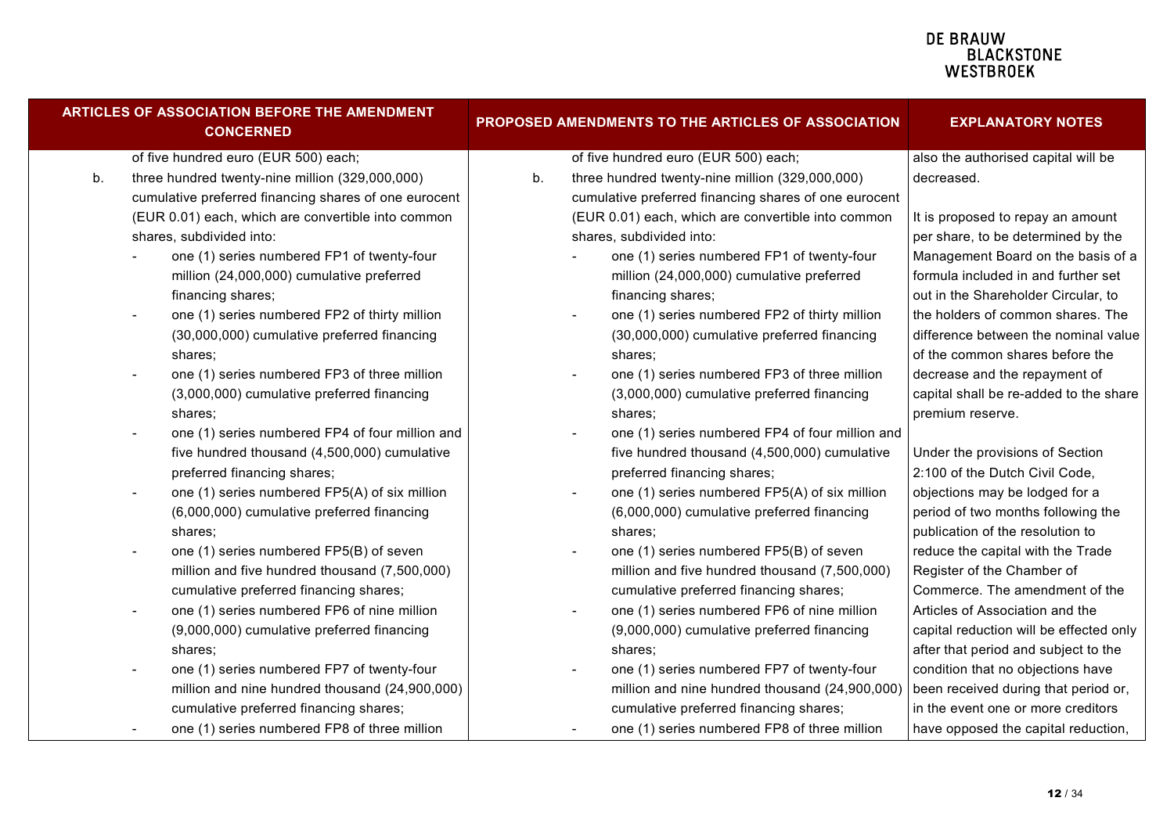| <b>ARTICLES OF ASSOCIATION BEFORE THE AMENDMENT</b><br><b>CONCERNED</b> |                                      |                                                       | PROPOSED AMENDMENTS TO THE ARTICLES OF ASSOCIATION |  |                                                       | <b>EXPLANATORY NOTES</b>                |
|-------------------------------------------------------------------------|--------------------------------------|-------------------------------------------------------|----------------------------------------------------|--|-------------------------------------------------------|-----------------------------------------|
|                                                                         | of five hundred euro (EUR 500) each; |                                                       |                                                    |  | of five hundred euro (EUR 500) each;                  | also the authorised capital will be     |
|                                                                         | b.                                   | three hundred twenty-nine million (329,000,000)       | b.                                                 |  | three hundred twenty-nine million (329,000,000)       | decreased.                              |
|                                                                         |                                      | cumulative preferred financing shares of one eurocent |                                                    |  | cumulative preferred financing shares of one eurocent |                                         |
|                                                                         |                                      | (EUR 0.01) each, which are convertible into common    |                                                    |  | (EUR 0.01) each, which are convertible into common    | It is proposed to repay an amount       |
|                                                                         |                                      | shares, subdivided into:                              |                                                    |  | shares, subdivided into:                              | per share, to be determined by the      |
|                                                                         |                                      | one (1) series numbered FP1 of twenty-four            |                                                    |  | one (1) series numbered FP1 of twenty-four            | Management Board on the basis of a      |
|                                                                         |                                      | million (24,000,000) cumulative preferred             |                                                    |  | million (24,000,000) cumulative preferred             | formula included in and further set     |
|                                                                         |                                      | financing shares;                                     |                                                    |  | financing shares;                                     | out in the Shareholder Circular, to     |
|                                                                         |                                      | one (1) series numbered FP2 of thirty million         |                                                    |  | one (1) series numbered FP2 of thirty million         | the holders of common shares. The       |
|                                                                         |                                      | (30,000,000) cumulative preferred financing           |                                                    |  | (30,000,000) cumulative preferred financing           | difference between the nominal value    |
|                                                                         |                                      | shares;                                               |                                                    |  | shares;                                               | of the common shares before the         |
|                                                                         |                                      | one (1) series numbered FP3 of three million          |                                                    |  | one (1) series numbered FP3 of three million          | decrease and the repayment of           |
|                                                                         |                                      | (3,000,000) cumulative preferred financing            |                                                    |  | (3,000,000) cumulative preferred financing            | capital shall be re-added to the share  |
|                                                                         |                                      | shares;                                               |                                                    |  | shares:                                               | premium reserve.                        |
|                                                                         |                                      | one (1) series numbered FP4 of four million and       |                                                    |  | one (1) series numbered FP4 of four million and       |                                         |
|                                                                         |                                      | five hundred thousand (4,500,000) cumulative          |                                                    |  | five hundred thousand (4,500,000) cumulative          | Under the provisions of Section         |
|                                                                         |                                      | preferred financing shares;                           |                                                    |  | preferred financing shares;                           | 2:100 of the Dutch Civil Code,          |
|                                                                         |                                      | one (1) series numbered FP5(A) of six million         |                                                    |  | one (1) series numbered FP5(A) of six million         | objections may be lodged for a          |
|                                                                         |                                      | (6,000,000) cumulative preferred financing            |                                                    |  | (6,000,000) cumulative preferred financing            | period of two months following the      |
|                                                                         |                                      | shares:                                               |                                                    |  | shares:                                               | publication of the resolution to        |
|                                                                         |                                      | one (1) series numbered FP5(B) of seven               |                                                    |  | one (1) series numbered FP5(B) of seven               | reduce the capital with the Trade       |
|                                                                         |                                      | million and five hundred thousand (7,500,000)         |                                                    |  | million and five hundred thousand (7,500,000)         | Register of the Chamber of              |
|                                                                         |                                      | cumulative preferred financing shares;                |                                                    |  | cumulative preferred financing shares;                | Commerce. The amendment of the          |
|                                                                         |                                      | one (1) series numbered FP6 of nine million           |                                                    |  | one (1) series numbered FP6 of nine million           | Articles of Association and the         |
|                                                                         |                                      | (9,000,000) cumulative preferred financing            |                                                    |  | (9,000,000) cumulative preferred financing            | capital reduction will be effected only |
|                                                                         |                                      | shares;                                               |                                                    |  | shares;                                               | after that period and subject to the    |
|                                                                         |                                      | one (1) series numbered FP7 of twenty-four            |                                                    |  | one (1) series numbered FP7 of twenty-four            | condition that no objections have       |
|                                                                         |                                      | million and nine hundred thousand (24,900,000)        |                                                    |  | million and nine hundred thousand (24,900,000)        | been received during that period or,    |
|                                                                         |                                      | cumulative preferred financing shares;                |                                                    |  | cumulative preferred financing shares;                | in the event one or more creditors      |
|                                                                         |                                      | one (1) series numbered FP8 of three million          |                                                    |  | one (1) series numbered FP8 of three million          | have opposed the capital reduction,     |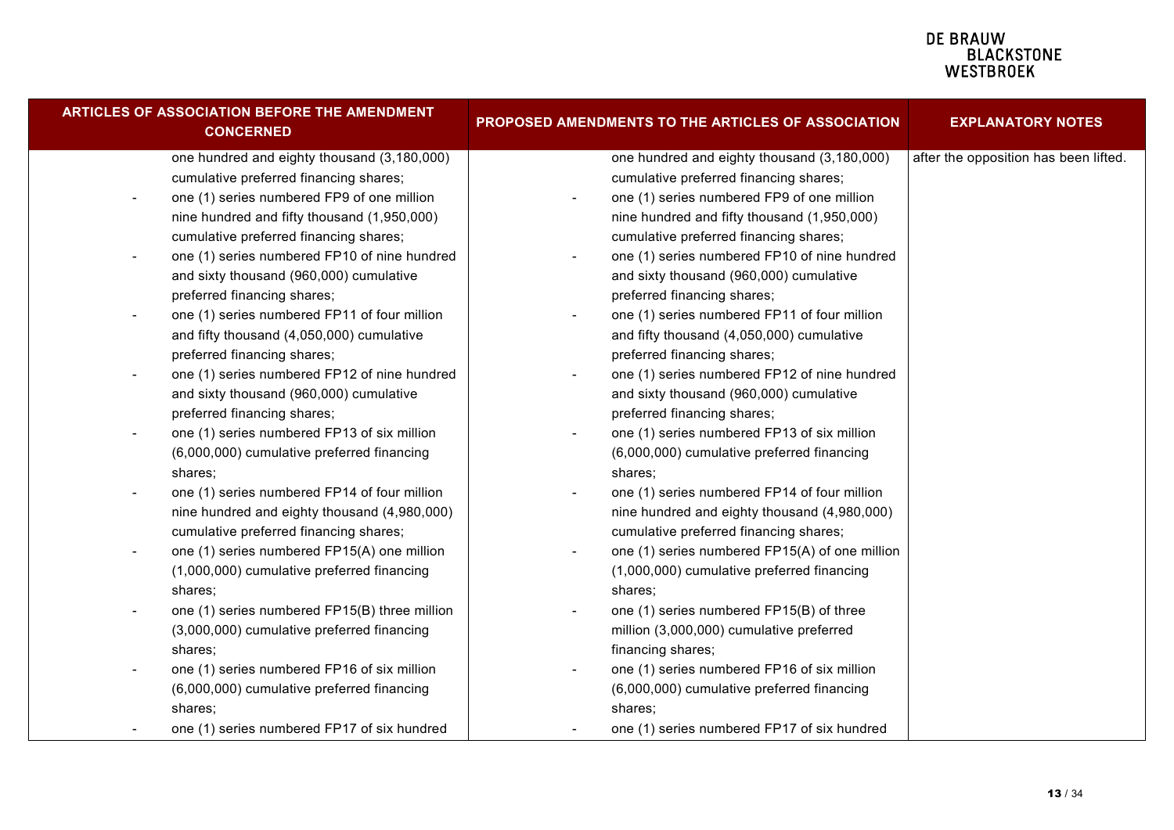| <b>ARTICLES OF ASSOCIATION BEFORE THE AMENDMENT</b><br><b>CONCERNED</b>  | PROPOSED AMENDMENTS TO THE ARTICLES OF ASSOCIATION | <b>EXPLANATORY NOTES</b>              |
|--------------------------------------------------------------------------|----------------------------------------------------|---------------------------------------|
| one hundred and eighty thousand (3,180,000)                              | one hundred and eighty thousand (3,180,000)        | after the opposition has been lifted. |
| cumulative preferred financing shares;                                   | cumulative preferred financing shares;             |                                       |
| one (1) series numbered FP9 of one million                               | one (1) series numbered FP9 of one million         |                                       |
| nine hundred and fifty thousand (1,950,000)                              | nine hundred and fifty thousand (1,950,000)        |                                       |
| cumulative preferred financing shares;                                   | cumulative preferred financing shares;             |                                       |
| one (1) series numbered FP10 of nine hundred                             | one (1) series numbered FP10 of nine hundred       |                                       |
| and sixty thousand (960,000) cumulative                                  | and sixty thousand (960,000) cumulative            |                                       |
| preferred financing shares;                                              | preferred financing shares;                        |                                       |
| one (1) series numbered FP11 of four million                             | one (1) series numbered FP11 of four million       |                                       |
| and fifty thousand (4,050,000) cumulative                                | and fifty thousand (4,050,000) cumulative          |                                       |
| preferred financing shares;                                              | preferred financing shares;                        |                                       |
| one (1) series numbered FP12 of nine hundred                             | one (1) series numbered FP12 of nine hundred       |                                       |
| and sixty thousand (960,000) cumulative                                  | and sixty thousand (960,000) cumulative            |                                       |
| preferred financing shares;                                              | preferred financing shares;                        |                                       |
| one (1) series numbered FP13 of six million<br>$\overline{\phantom{a}}$  | one (1) series numbered FP13 of six million        |                                       |
| (6,000,000) cumulative preferred financing                               | (6,000,000) cumulative preferred financing         |                                       |
| shares;                                                                  | shares;                                            |                                       |
| one (1) series numbered FP14 of four million<br>$\overline{\phantom{a}}$ | one (1) series numbered FP14 of four million       |                                       |
| nine hundred and eighty thousand (4,980,000)                             | nine hundred and eighty thousand (4,980,000)       |                                       |
| cumulative preferred financing shares;                                   | cumulative preferred financing shares;             |                                       |
| one (1) series numbered FP15(A) one million<br>$\overline{\phantom{a}}$  | one (1) series numbered FP15(A) of one million     |                                       |
| (1,000,000) cumulative preferred financing                               | (1,000,000) cumulative preferred financing         |                                       |
| shares:                                                                  | shares;                                            |                                       |
| one (1) series numbered FP15(B) three million                            | one (1) series numbered FP15(B) of three           |                                       |
| (3,000,000) cumulative preferred financing                               | million (3,000,000) cumulative preferred           |                                       |
| shares:                                                                  | financing shares;                                  |                                       |
| one (1) series numbered FP16 of six million                              | one (1) series numbered FP16 of six million        |                                       |
| (6,000,000) cumulative preferred financing                               | (6,000,000) cumulative preferred financing         |                                       |
| shares;                                                                  | shares;                                            |                                       |
| one (1) series numbered FP17 of six hundred                              | one (1) series numbered FP17 of six hundred        |                                       |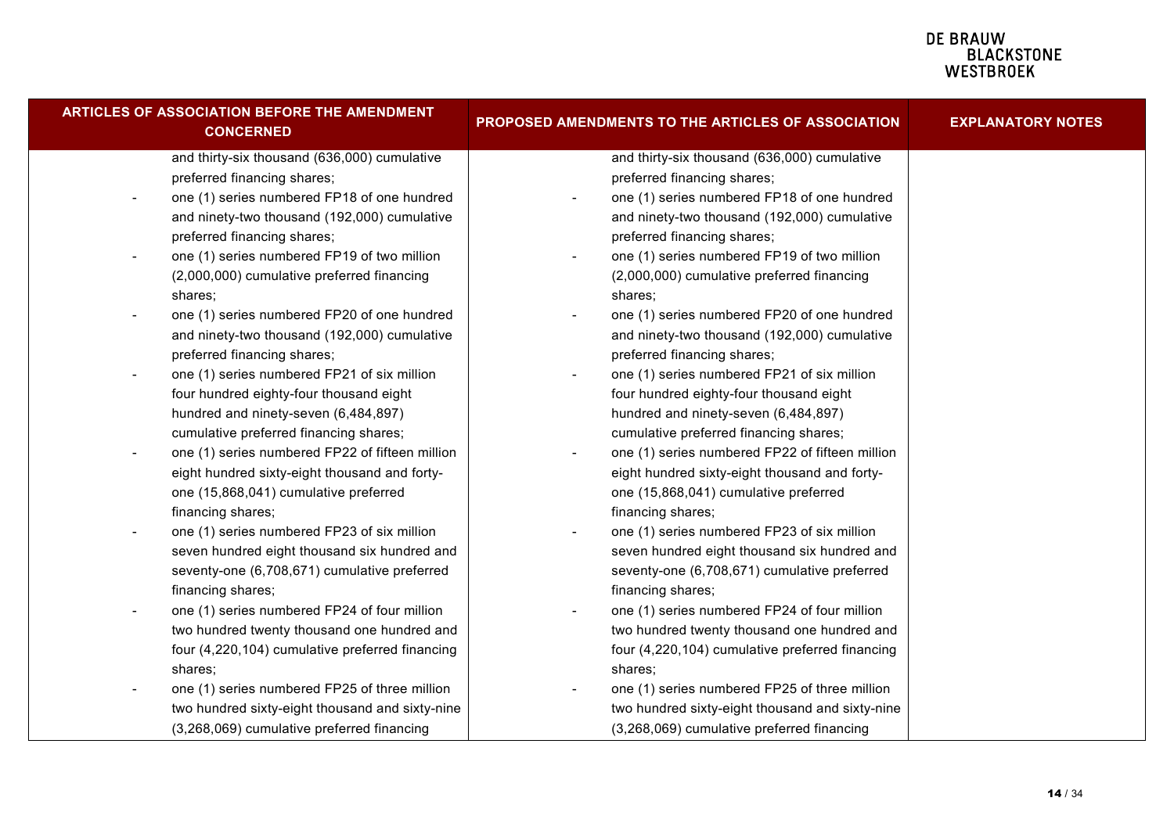| <b>ARTICLES OF ASSOCIATION BEFORE THE AMENDMENT</b><br><b>CONCERNED</b>     | PROPOSED AMENDMENTS TO THE ARTICLES OF ASSOCIATION    | <b>EXPLANATORY NOTES</b> |
|-----------------------------------------------------------------------------|-------------------------------------------------------|--------------------------|
| and thirty-six thousand (636,000) cumulative                                | and thirty-six thousand (636,000) cumulative          |                          |
| preferred financing shares;                                                 | preferred financing shares;                           |                          |
| one (1) series numbered FP18 of one hundred<br>$\overline{\phantom{a}}$     | one (1) series numbered FP18 of one hundred<br>$\sim$ |                          |
| and ninety-two thousand (192,000) cumulative                                | and ninety-two thousand (192,000) cumulative          |                          |
| preferred financing shares;                                                 | preferred financing shares;                           |                          |
| one (1) series numbered FP19 of two million<br>$\overline{\phantom{a}}$     | one (1) series numbered FP19 of two million           |                          |
| (2,000,000) cumulative preferred financing                                  | (2,000,000) cumulative preferred financing            |                          |
| shares:                                                                     | shares;                                               |                          |
| one (1) series numbered FP20 of one hundred                                 | one (1) series numbered FP20 of one hundred           |                          |
| and ninety-two thousand (192,000) cumulative                                | and ninety-two thousand (192,000) cumulative          |                          |
| preferred financing shares;                                                 | preferred financing shares;                           |                          |
| one (1) series numbered FP21 of six million                                 | one (1) series numbered FP21 of six million           |                          |
| four hundred eighty-four thousand eight                                     | four hundred eighty-four thousand eight               |                          |
| hundred and ninety-seven (6,484,897)                                        | hundred and ninety-seven (6,484,897)                  |                          |
| cumulative preferred financing shares;                                      | cumulative preferred financing shares;                |                          |
| one (1) series numbered FP22 of fifteen million<br>$\overline{\phantom{a}}$ | one (1) series numbered FP22 of fifteen million       |                          |
| eight hundred sixty-eight thousand and forty-                               | eight hundred sixty-eight thousand and forty-         |                          |
| one (15,868,041) cumulative preferred                                       | one (15,868,041) cumulative preferred                 |                          |
| financing shares;                                                           | financing shares;                                     |                          |
| one (1) series numbered FP23 of six million                                 | one (1) series numbered FP23 of six million           |                          |
| seven hundred eight thousand six hundred and                                | seven hundred eight thousand six hundred and          |                          |
| seventy-one (6,708,671) cumulative preferred                                | seventy-one (6,708,671) cumulative preferred          |                          |
| financing shares;                                                           | financing shares;                                     |                          |
| one (1) series numbered FP24 of four million                                | one (1) series numbered FP24 of four million          |                          |
| two hundred twenty thousand one hundred and                                 | two hundred twenty thousand one hundred and           |                          |
| four (4,220,104) cumulative preferred financing                             | four (4,220,104) cumulative preferred financing       |                          |
| shares;                                                                     | shares;                                               |                          |
| one (1) series numbered FP25 of three million                               | one (1) series numbered FP25 of three million         |                          |
| two hundred sixty-eight thousand and sixty-nine                             | two hundred sixty-eight thousand and sixty-nine       |                          |
| (3,268,069) cumulative preferred financing                                  | (3,268,069) cumulative preferred financing            |                          |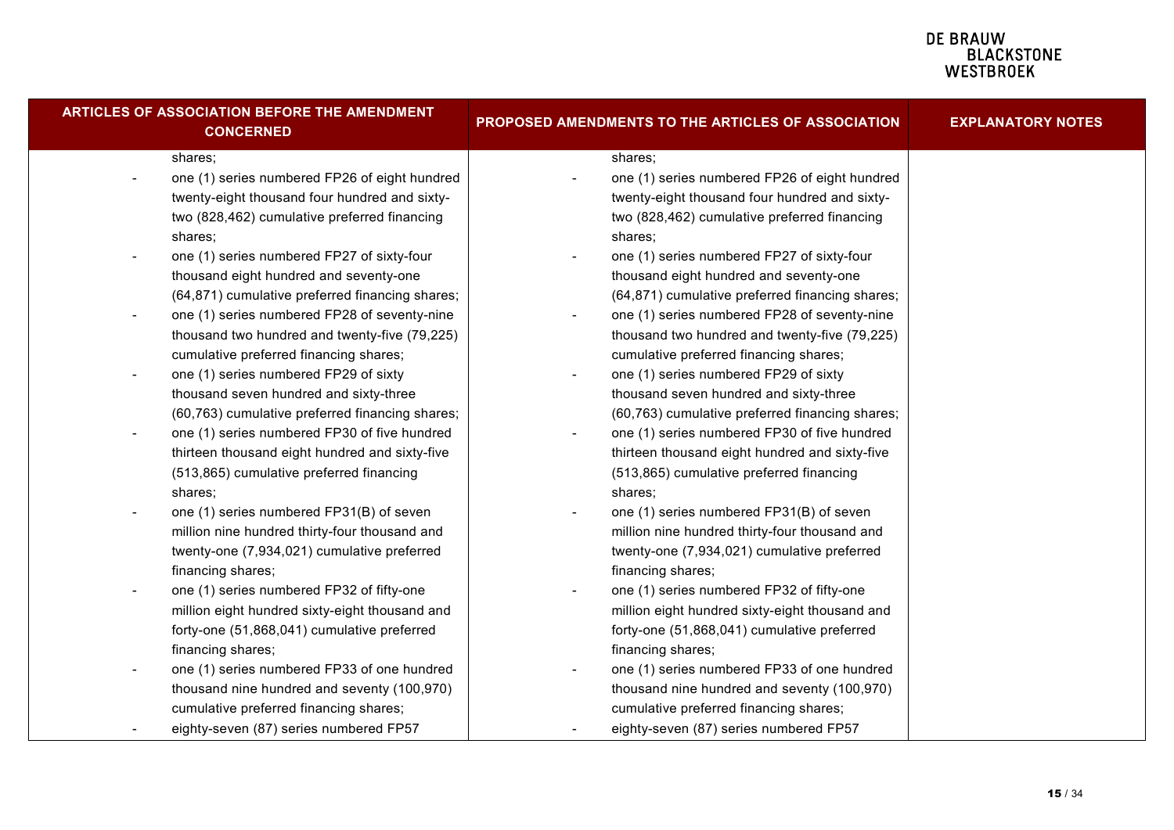| ARTICLES OF ASSOCIATION BEFORE THE AMENDMENT<br><b>CONCERNED</b>      | PROPOSED AMENDMENTS TO THE ARTICLES OF ASSOCIATION | <b>EXPLANATORY NOTES</b> |
|-----------------------------------------------------------------------|----------------------------------------------------|--------------------------|
| shares;                                                               | shares;                                            |                          |
| one (1) series numbered FP26 of eight hundred                         | one (1) series numbered FP26 of eight hundred      |                          |
| twenty-eight thousand four hundred and sixty-                         | twenty-eight thousand four hundred and sixty-      |                          |
| two (828,462) cumulative preferred financing                          | two (828,462) cumulative preferred financing       |                          |
| shares;                                                               | shares;                                            |                          |
| one (1) series numbered FP27 of sixty-four                            | one (1) series numbered FP27 of sixty-four         |                          |
| thousand eight hundred and seventy-one                                | thousand eight hundred and seventy-one             |                          |
| (64,871) cumulative preferred financing shares;                       | (64,871) cumulative preferred financing shares;    |                          |
| one (1) series numbered FP28 of seventy-nine                          | one (1) series numbered FP28 of seventy-nine       |                          |
| thousand two hundred and twenty-five (79,225)                         | thousand two hundred and twenty-five (79,225)      |                          |
| cumulative preferred financing shares;                                | cumulative preferred financing shares;             |                          |
| one (1) series numbered FP29 of sixty<br>$\blacksquare$               | one (1) series numbered FP29 of sixty              |                          |
| thousand seven hundred and sixty-three                                | thousand seven hundred and sixty-three             |                          |
| (60,763) cumulative preferred financing shares;                       | (60,763) cumulative preferred financing shares;    |                          |
| one (1) series numbered FP30 of five hundred<br>$\blacksquare$        | one (1) series numbered FP30 of five hundred       |                          |
| thirteen thousand eight hundred and sixty-five                        | thirteen thousand eight hundred and sixty-five     |                          |
| (513,865) cumulative preferred financing                              | (513,865) cumulative preferred financing           |                          |
| shares;                                                               | shares;                                            |                          |
| one (1) series numbered FP31(B) of seven                              | one (1) series numbered FP31(B) of seven           |                          |
| million nine hundred thirty-four thousand and                         | million nine hundred thirty-four thousand and      |                          |
| twenty-one (7,934,021) cumulative preferred                           | twenty-one (7,934,021) cumulative preferred        |                          |
| financing shares;                                                     | financing shares;                                  |                          |
| one (1) series numbered FP32 of fifty-one<br>$\overline{\phantom{a}}$ | one (1) series numbered FP32 of fifty-one          |                          |
| million eight hundred sixty-eight thousand and                        | million eight hundred sixty-eight thousand and     |                          |
| forty-one (51,868,041) cumulative preferred                           | forty-one (51,868,041) cumulative preferred        |                          |
| financing shares;                                                     | financing shares;                                  |                          |
| one (1) series numbered FP33 of one hundred                           | one (1) series numbered FP33 of one hundred        |                          |
| thousand nine hundred and seventy (100,970)                           | thousand nine hundred and seventy (100,970)        |                          |
| cumulative preferred financing shares;                                | cumulative preferred financing shares;             |                          |
| eighty-seven (87) series numbered FP57                                | eighty-seven (87) series numbered FP57             |                          |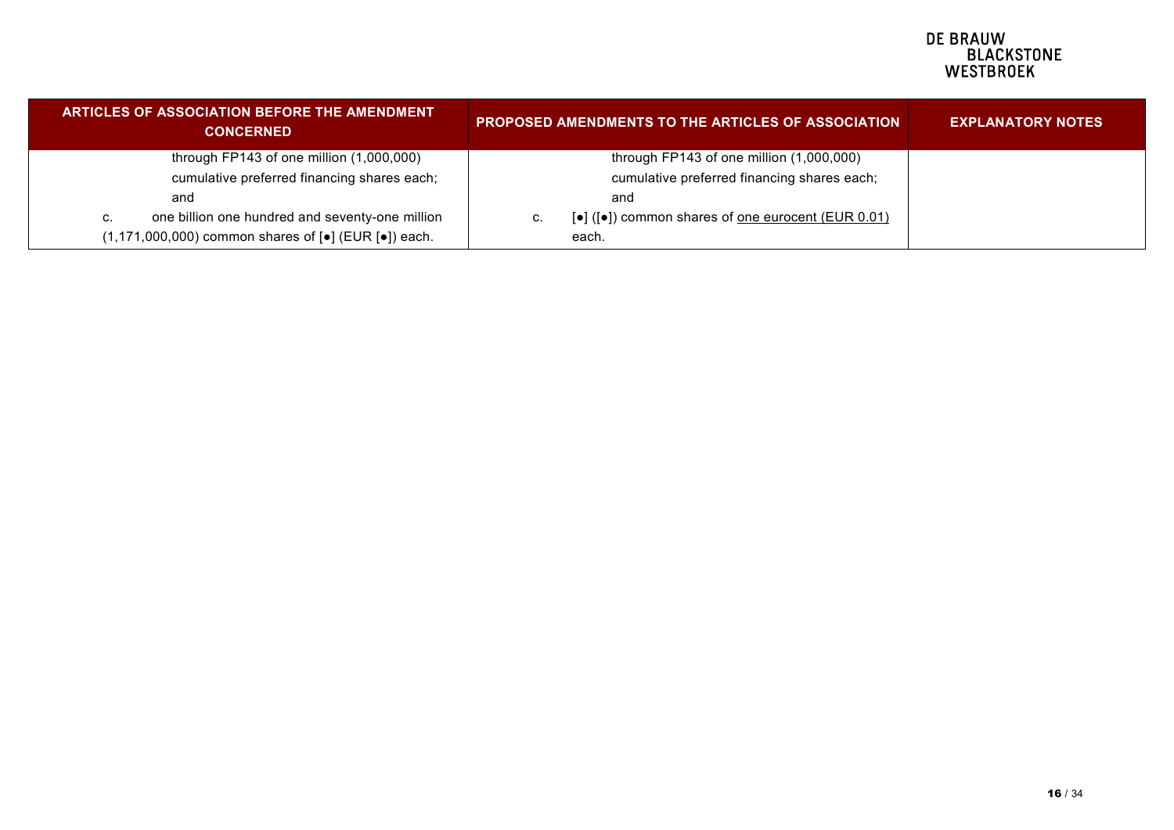| <b>ARTICLES OF ASSOCIATION BEFORE THE AMENDMENT</b><br><b>CONCERNED</b>                         | <b>PROPOSED AMENDMENTS TO THE ARTICLES OF ASSOCIATION</b>                                          | <b>EXPLANATORY NOTES</b> |
|-------------------------------------------------------------------------------------------------|----------------------------------------------------------------------------------------------------|--------------------------|
| through FP143 of one million $(1,000,000)$                                                      | through FP143 of one million (1,000,000)                                                           |                          |
| cumulative preferred financing shares each;                                                     | cumulative preferred financing shares each;                                                        |                          |
| and                                                                                             | and                                                                                                |                          |
| one billion one hundred and seventy-one million<br>C.                                           | $\lceil \bullet \rceil$ ( $\lceil \bullet \rceil$ ) common shares of one eurocent (EUR 0.01)<br>C. |                          |
| $(1,171,000,000)$ common shares of $\lceil \bullet \rceil$ (EUR $\lceil \bullet \rceil$ ) each. | each.                                                                                              |                          |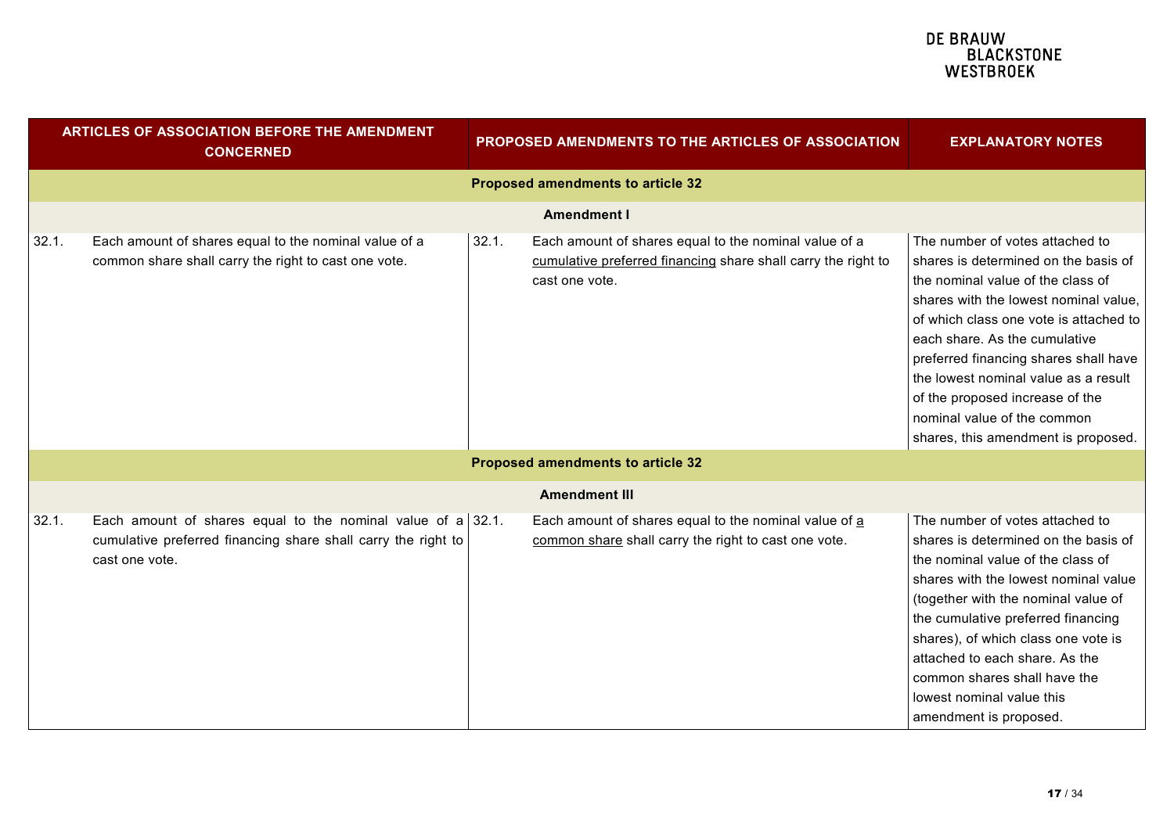|       | ARTICLES OF ASSOCIATION BEFORE THE AMENDMENT<br><b>CONCERNED</b>                                                                               |       | <b>PROPOSED AMENDMENTS TO THE ARTICLES OF ASSOCIATION</b>                                                                                | <b>EXPLANATORY NOTES</b>                                                                                                                                                                                                                                                                                                                                                                                                   |
|-------|------------------------------------------------------------------------------------------------------------------------------------------------|-------|------------------------------------------------------------------------------------------------------------------------------------------|----------------------------------------------------------------------------------------------------------------------------------------------------------------------------------------------------------------------------------------------------------------------------------------------------------------------------------------------------------------------------------------------------------------------------|
|       |                                                                                                                                                |       | <b>Proposed amendments to article 32</b>                                                                                                 |                                                                                                                                                                                                                                                                                                                                                                                                                            |
|       |                                                                                                                                                |       | Amendment I                                                                                                                              |                                                                                                                                                                                                                                                                                                                                                                                                                            |
| 32.1. | Each amount of shares equal to the nominal value of a<br>common share shall carry the right to cast one vote.                                  | 32.1. | Each amount of shares equal to the nominal value of a<br>cumulative preferred financing share shall carry the right to<br>cast one vote. | The number of votes attached to<br>shares is determined on the basis of<br>the nominal value of the class of<br>shares with the lowest nominal value,<br>of which class one vote is attached to<br>each share. As the cumulative<br>preferred financing shares shall have<br>the lowest nominal value as a result<br>of the proposed increase of the<br>nominal value of the common<br>shares, this amendment is proposed. |
|       |                                                                                                                                                |       | Proposed amendments to article 32                                                                                                        |                                                                                                                                                                                                                                                                                                                                                                                                                            |
|       |                                                                                                                                                |       | <b>Amendment III</b>                                                                                                                     |                                                                                                                                                                                                                                                                                                                                                                                                                            |
| 32.1. | Each amount of shares equal to the nominal value of a 32.1.<br>cumulative preferred financing share shall carry the right to<br>cast one vote. |       | Each amount of shares equal to the nominal value of a<br>common share shall carry the right to cast one vote.                            | The number of votes attached to<br>shares is determined on the basis of<br>the nominal value of the class of<br>shares with the lowest nominal value<br>(together with the nominal value of<br>the cumulative preferred financing<br>shares), of which class one vote is<br>attached to each share. As the<br>common shares shall have the<br>lowest nominal value this<br>amendment is proposed.                          |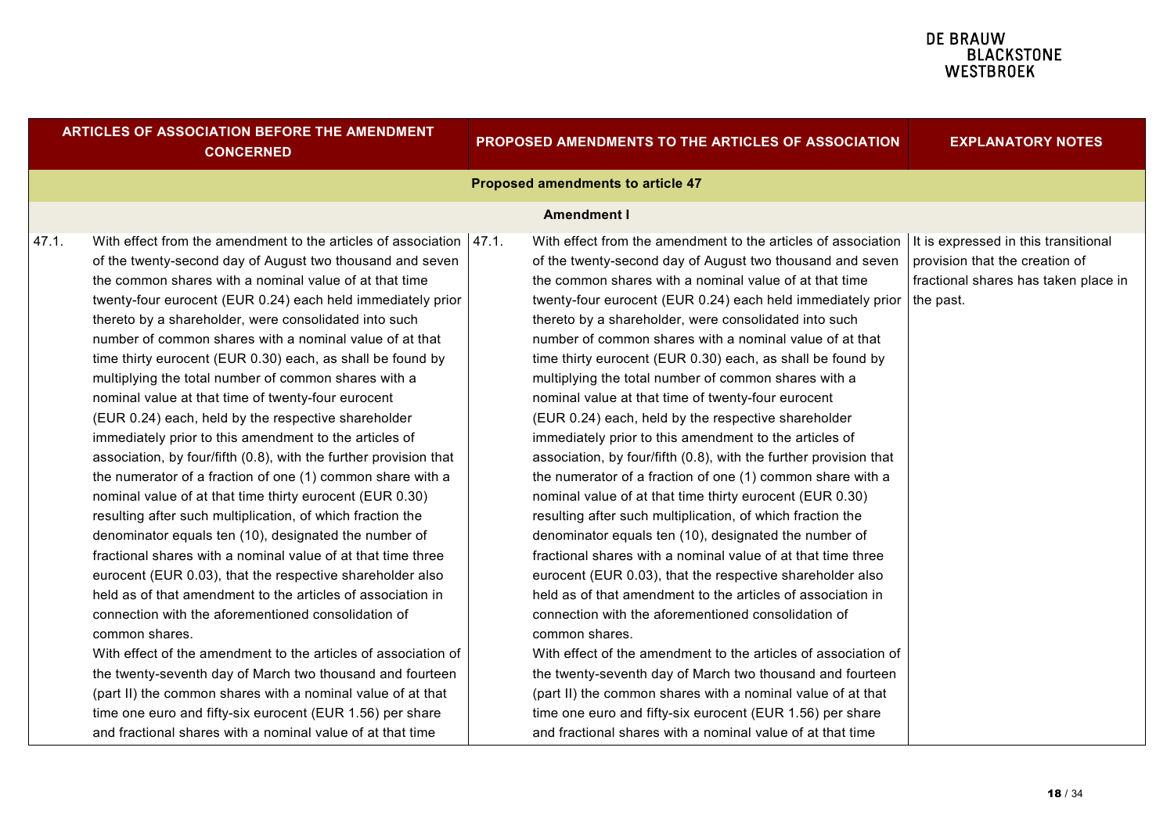| Proposed amendments to article 47<br><b>Amendment I</b><br>With effect from the amendment to the articles of association<br>With effect from the amendment to the articles of association $ $ It is expressed in this transitional<br>47.1.<br>47.1.<br>provision that the creation of<br>of the twenty-second day of August two thousand and seven<br>of the twenty-second day of August two thousand and seven<br>the common shares with a nominal value of at that time<br>the common shares with a nominal value of at that time<br>twenty-four eurocent (EUR 0.24) each held immediately prior<br>twenty-four eurocent (EUR 0.24) each held immediately prior<br>the past.<br>thereto by a shareholder, were consolidated into such<br>thereto by a shareholder, were consolidated into such<br>number of common shares with a nominal value of at that<br>number of common shares with a nominal value of at that<br>time thirty eurocent (EUR 0.30) each, as shall be found by<br>time thirty eurocent (EUR 0.30) each, as shall be found by<br>multiplying the total number of common shares with a<br>multiplying the total number of common shares with a<br>nominal value at that time of twenty-four eurocent<br>nominal value at that time of twenty-four eurocent<br>(EUR 0.24) each, held by the respective shareholder<br>(EUR 0.24) each, held by the respective shareholder<br>immediately prior to this amendment to the articles of<br>immediately prior to this amendment to the articles of<br>association, by four/fifth (0.8), with the further provision that<br>association, by four/fifth (0.8), with the further provision that                                | <b>EXPLANATORY NOTES</b>             |
|--------------------------------------------------------------------------------------------------------------------------------------------------------------------------------------------------------------------------------------------------------------------------------------------------------------------------------------------------------------------------------------------------------------------------------------------------------------------------------------------------------------------------------------------------------------------------------------------------------------------------------------------------------------------------------------------------------------------------------------------------------------------------------------------------------------------------------------------------------------------------------------------------------------------------------------------------------------------------------------------------------------------------------------------------------------------------------------------------------------------------------------------------------------------------------------------------------------------------------------------------------------------------------------------------------------------------------------------------------------------------------------------------------------------------------------------------------------------------------------------------------------------------------------------------------------------------------------------------------------------------------------------------------------------------------------------|--------------------------------------|
|                                                                                                                                                                                                                                                                                                                                                                                                                                                                                                                                                                                                                                                                                                                                                                                                                                                                                                                                                                                                                                                                                                                                                                                                                                                                                                                                                                                                                                                                                                                                                                                                                                                                                            |                                      |
|                                                                                                                                                                                                                                                                                                                                                                                                                                                                                                                                                                                                                                                                                                                                                                                                                                                                                                                                                                                                                                                                                                                                                                                                                                                                                                                                                                                                                                                                                                                                                                                                                                                                                            |                                      |
| the numerator of a fraction of one (1) common share with a<br>the numerator of a fraction of one (1) common share with a<br>nominal value of at that time thirty eurocent (EUR 0.30)<br>nominal value of at that time thirty eurocent (EUR 0.30)<br>resulting after such multiplication, of which fraction the<br>resulting after such multiplication, of which fraction the<br>denominator equals ten (10), designated the number of<br>denominator equals ten (10), designated the number of<br>fractional shares with a nominal value of at that time three<br>fractional shares with a nominal value of at that time three<br>eurocent (EUR 0.03), that the respective shareholder also<br>eurocent (EUR 0.03), that the respective shareholder also<br>held as of that amendment to the articles of association in<br>held as of that amendment to the articles of association in<br>connection with the aforementioned consolidation of<br>connection with the aforementioned consolidation of<br>common shares.<br>common shares.<br>With effect of the amendment to the articles of association of<br>With effect of the amendment to the articles of association of<br>the twenty-seventh day of March two thousand and fourteen<br>the twenty-seventh day of March two thousand and fourteen<br>(part II) the common shares with a nominal value of at that<br>(part II) the common shares with a nominal value of at that<br>time one euro and fifty-six eurocent (EUR 1.56) per share<br>time one euro and fifty-six eurocent (EUR 1.56) per share<br>and fractional shares with a nominal value of at that time<br>and fractional shares with a nominal value of at that time | fractional shares has taken place in |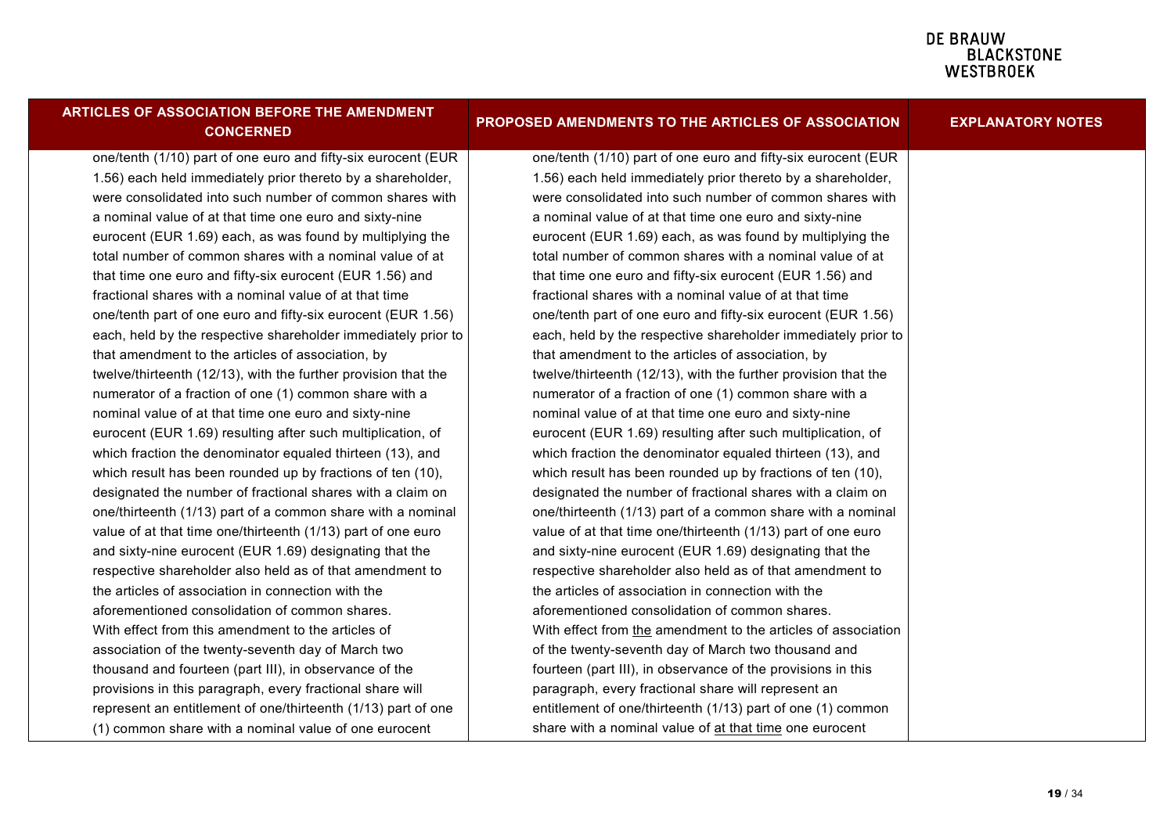| <b>ARTICLES OF ASSOCIATION BEFORE THE AMENDMENT</b><br><b>CONCERNED</b> | PROPOSED AMENDMENTS TO THE ARTICLES OF ASSOCIATION             | <b>EXPLANATORY NOTES</b> |
|-------------------------------------------------------------------------|----------------------------------------------------------------|--------------------------|
| one/tenth (1/10) part of one euro and fifty-six eurocent (EUR           | one/tenth (1/10) part of one euro and fifty-six eurocent (EUR  |                          |
| 1.56) each held immediately prior thereto by a shareholder,             | 1.56) each held immediately prior thereto by a shareholder,    |                          |
| were consolidated into such number of common shares with                | were consolidated into such number of common shares with       |                          |
| a nominal value of at that time one euro and sixty-nine                 | a nominal value of at that time one euro and sixty-nine        |                          |
| eurocent (EUR 1.69) each, as was found by multiplying the               | eurocent (EUR 1.69) each, as was found by multiplying the      |                          |
| total number of common shares with a nominal value of at                | total number of common shares with a nominal value of at       |                          |
| that time one euro and fifty-six eurocent (EUR 1.56) and                | that time one euro and fifty-six eurocent (EUR 1.56) and       |                          |
| fractional shares with a nominal value of at that time                  | fractional shares with a nominal value of at that time         |                          |
| one/tenth part of one euro and fifty-six eurocent (EUR 1.56)            | one/tenth part of one euro and fifty-six eurocent (EUR 1.56)   |                          |
| each, held by the respective shareholder immediately prior to           | each, held by the respective shareholder immediately prior to  |                          |
| that amendment to the articles of association, by                       | that amendment to the articles of association, by              |                          |
| twelve/thirteenth (12/13), with the further provision that the          | twelve/thirteenth (12/13), with the further provision that the |                          |
| numerator of a fraction of one (1) common share with a                  | numerator of a fraction of one (1) common share with a         |                          |
| nominal value of at that time one euro and sixty-nine                   | nominal value of at that time one euro and sixty-nine          |                          |
| eurocent (EUR 1.69) resulting after such multiplication, of             | eurocent (EUR 1.69) resulting after such multiplication, of    |                          |
| which fraction the denominator equaled thirteen (13), and               | which fraction the denominator equaled thirteen (13), and      |                          |
| which result has been rounded up by fractions of ten (10),              | which result has been rounded up by fractions of ten (10),     |                          |
| designated the number of fractional shares with a claim on              | designated the number of fractional shares with a claim on     |                          |
| one/thirteenth (1/13) part of a common share with a nominal             | one/thirteenth (1/13) part of a common share with a nominal    |                          |
| value of at that time one/thirteenth (1/13) part of one euro            | value of at that time one/thirteenth (1/13) part of one euro   |                          |
| and sixty-nine eurocent (EUR 1.69) designating that the                 | and sixty-nine eurocent (EUR 1.69) designating that the        |                          |
| respective shareholder also held as of that amendment to                | respective shareholder also held as of that amendment to       |                          |
| the articles of association in connection with the                      | the articles of association in connection with the             |                          |
| aforementioned consolidation of common shares.                          | aforementioned consolidation of common shares.                 |                          |
| With effect from this amendment to the articles of                      | With effect from the amendment to the articles of association  |                          |
| association of the twenty-seventh day of March two                      | of the twenty-seventh day of March two thousand and            |                          |
| thousand and fourteen (part III), in observance of the                  | fourteen (part III), in observance of the provisions in this   |                          |
| provisions in this paragraph, every fractional share will               | paragraph, every fractional share will represent an            |                          |
| represent an entitlement of one/thirteenth (1/13) part of one           | entitlement of one/thirteenth (1/13) part of one (1) common    |                          |
| (1) common share with a nominal value of one eurocent                   | share with a nominal value of at that time one eurocent        |                          |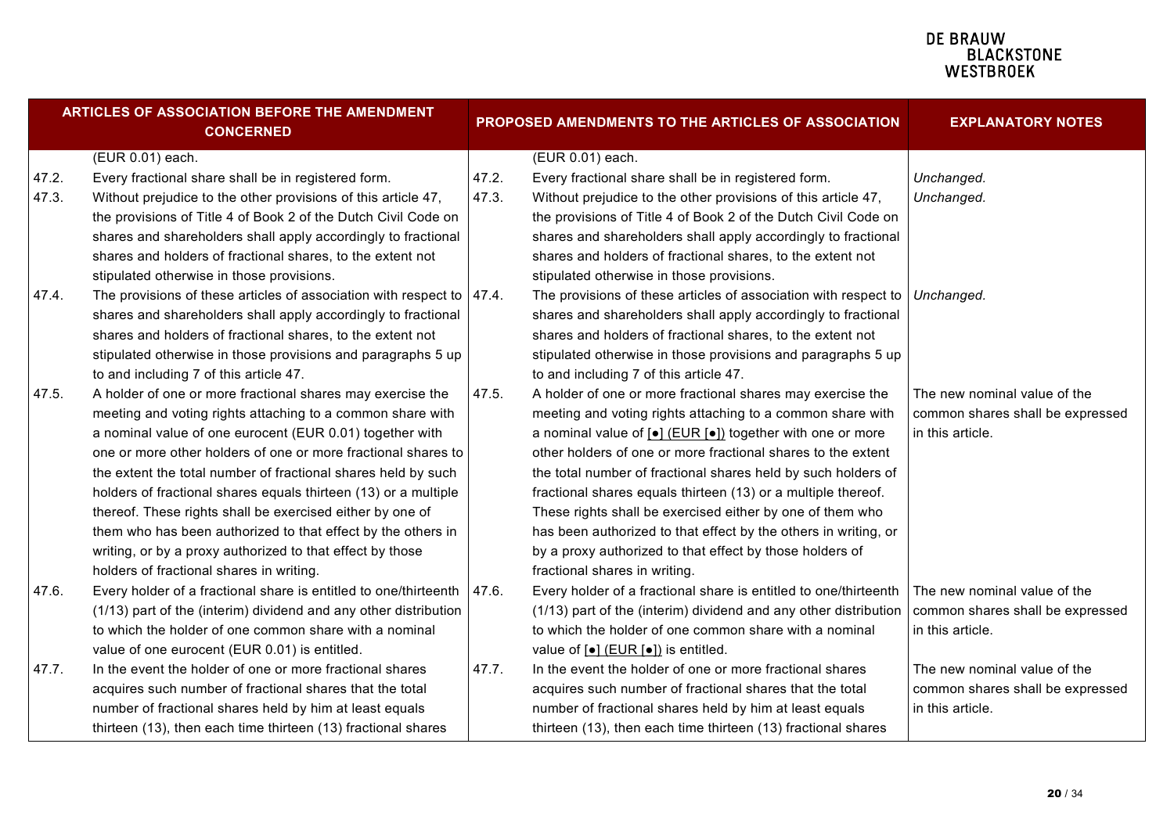| ARTICLES OF ASSOCIATION BEFORE THE AMENDMENT<br><b>CONCERNED</b> |                                                                           |       | PROPOSED AMENDMENTS TO THE ARTICLES OF ASSOCIATION                                 | <b>EXPLANATORY NOTES</b>         |
|------------------------------------------------------------------|---------------------------------------------------------------------------|-------|------------------------------------------------------------------------------------|----------------------------------|
|                                                                  | (EUR 0.01) each.                                                          |       | (EUR 0.01) each.                                                                   |                                  |
| 47.2.                                                            | Every fractional share shall be in registered form.                       | 47.2. | Every fractional share shall be in registered form.                                | Unchanged.                       |
| 47.3.                                                            | Without prejudice to the other provisions of this article 47,             | 47.3. | Without prejudice to the other provisions of this article 47,                      | Unchanged.                       |
|                                                                  | the provisions of Title 4 of Book 2 of the Dutch Civil Code on            |       | the provisions of Title 4 of Book 2 of the Dutch Civil Code on                     |                                  |
|                                                                  | shares and shareholders shall apply accordingly to fractional             |       | shares and shareholders shall apply accordingly to fractional                      |                                  |
|                                                                  | shares and holders of fractional shares, to the extent not                |       | shares and holders of fractional shares, to the extent not                         |                                  |
|                                                                  | stipulated otherwise in those provisions.                                 |       | stipulated otherwise in those provisions.                                          |                                  |
| 47.4.                                                            | The provisions of these articles of association with respect to $ 47.4$ . |       | The provisions of these articles of association with respect to $\vert$ Unchanged. |                                  |
|                                                                  | shares and shareholders shall apply accordingly to fractional             |       | shares and shareholders shall apply accordingly to fractional                      |                                  |
|                                                                  | shares and holders of fractional shares, to the extent not                |       | shares and holders of fractional shares, to the extent not                         |                                  |
|                                                                  | stipulated otherwise in those provisions and paragraphs 5 up              |       | stipulated otherwise in those provisions and paragraphs 5 up                       |                                  |
|                                                                  | to and including 7 of this article 47.                                    |       | to and including 7 of this article 47.                                             |                                  |
| 47.5.                                                            | A holder of one or more fractional shares may exercise the                | 47.5. | A holder of one or more fractional shares may exercise the                         | The new nominal value of the     |
|                                                                  | meeting and voting rights attaching to a common share with                |       | meeting and voting rights attaching to a common share with                         | common shares shall be expressed |
|                                                                  | a nominal value of one eurocent (EUR 0.01) together with                  |       | a nominal value of [•] (EUR [•]) together with one or more                         | in this article.                 |
|                                                                  | one or more other holders of one or more fractional shares to             |       | other holders of one or more fractional shares to the extent                       |                                  |
|                                                                  | the extent the total number of fractional shares held by such             |       | the total number of fractional shares held by such holders of                      |                                  |
|                                                                  | holders of fractional shares equals thirteen (13) or a multiple           |       | fractional shares equals thirteen (13) or a multiple thereof.                      |                                  |
|                                                                  | thereof. These rights shall be exercised either by one of                 |       | These rights shall be exercised either by one of them who                          |                                  |
|                                                                  | them who has been authorized to that effect by the others in              |       | has been authorized to that effect by the others in writing, or                    |                                  |
|                                                                  | writing, or by a proxy authorized to that effect by those                 |       | by a proxy authorized to that effect by those holders of                           |                                  |
|                                                                  | holders of fractional shares in writing.                                  |       | fractional shares in writing.                                                      |                                  |
| 47.6.                                                            | Every holder of a fractional share is entitled to one/thirteenth          | 47.6. | Every holder of a fractional share is entitled to one/thirteenth                   | The new nominal value of the     |
|                                                                  | (1/13) part of the (interim) dividend and any other distribution          |       | (1/13) part of the (interim) dividend and any other distribution                   | common shares shall be expressed |
|                                                                  | to which the holder of one common share with a nominal                    |       | to which the holder of one common share with a nominal                             | in this article.                 |
|                                                                  | value of one eurocent (EUR 0.01) is entitled.                             |       | value of $\left[\bullet\right]$ (EUR $\left[\bullet\right]$ ) is entitled.         |                                  |
| 47.7.                                                            | In the event the holder of one or more fractional shares                  | 47.7. | In the event the holder of one or more fractional shares                           | The new nominal value of the     |
|                                                                  | acquires such number of fractional shares that the total                  |       | acquires such number of fractional shares that the total                           | common shares shall be expressed |
|                                                                  | number of fractional shares held by him at least equals                   |       | number of fractional shares held by him at least equals                            | in this article.                 |
|                                                                  | thirteen (13), then each time thirteen (13) fractional shares             |       | thirteen (13), then each time thirteen (13) fractional shares                      |                                  |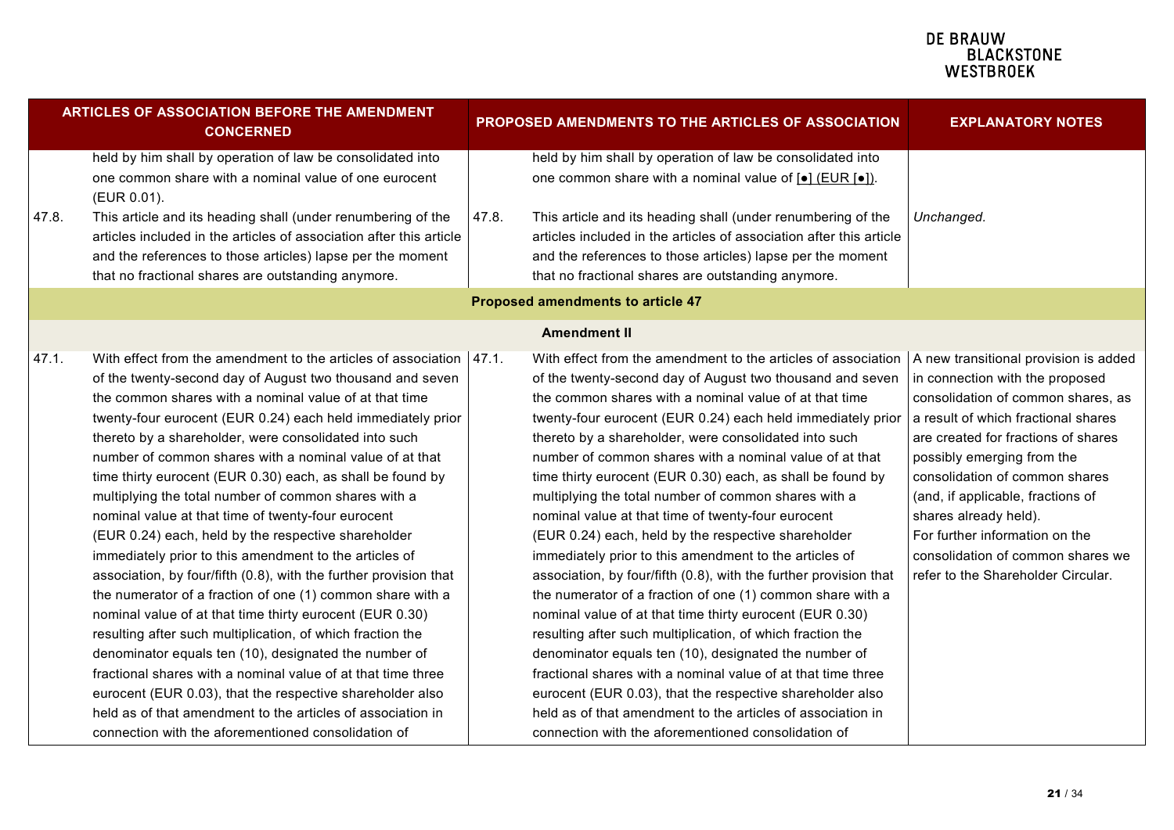| <b>ARTICLES OF ASSOCIATION BEFORE THE AMENDMENT</b><br><b>CONCERNED</b> |                                                                                                                                                                                                                                                                                                                                                                                                                                                                                                                                                                                                                                                                                                                                                                                                                                                                                                                                                                                                                                                                                                                                                                                                |       | PROPOSED AMENDMENTS TO THE ARTICLES OF ASSOCIATION                                                                                                                                                                                                                                                                                                                                                                                                                                                                                                                                                                                                                                                                                                                                                                                                                                                                                                                                                                                                                                                                                                                                                                               | <b>EXPLANATORY NOTES</b>                                                                                                                                                                                                                                                                                                                                                                       |
|-------------------------------------------------------------------------|------------------------------------------------------------------------------------------------------------------------------------------------------------------------------------------------------------------------------------------------------------------------------------------------------------------------------------------------------------------------------------------------------------------------------------------------------------------------------------------------------------------------------------------------------------------------------------------------------------------------------------------------------------------------------------------------------------------------------------------------------------------------------------------------------------------------------------------------------------------------------------------------------------------------------------------------------------------------------------------------------------------------------------------------------------------------------------------------------------------------------------------------------------------------------------------------|-------|----------------------------------------------------------------------------------------------------------------------------------------------------------------------------------------------------------------------------------------------------------------------------------------------------------------------------------------------------------------------------------------------------------------------------------------------------------------------------------------------------------------------------------------------------------------------------------------------------------------------------------------------------------------------------------------------------------------------------------------------------------------------------------------------------------------------------------------------------------------------------------------------------------------------------------------------------------------------------------------------------------------------------------------------------------------------------------------------------------------------------------------------------------------------------------------------------------------------------------|------------------------------------------------------------------------------------------------------------------------------------------------------------------------------------------------------------------------------------------------------------------------------------------------------------------------------------------------------------------------------------------------|
|                                                                         | held by him shall by operation of law be consolidated into<br>one common share with a nominal value of one eurocent<br>(EUR 0.01).                                                                                                                                                                                                                                                                                                                                                                                                                                                                                                                                                                                                                                                                                                                                                                                                                                                                                                                                                                                                                                                             |       | held by him shall by operation of law be consolidated into<br>one common share with a nominal value of $\lceil \bullet \rceil$ (EUR $\lceil \bullet \rceil$ ).                                                                                                                                                                                                                                                                                                                                                                                                                                                                                                                                                                                                                                                                                                                                                                                                                                                                                                                                                                                                                                                                   |                                                                                                                                                                                                                                                                                                                                                                                                |
| 47.8.                                                                   | This article and its heading shall (under renumbering of the<br>articles included in the articles of association after this article<br>and the references to those articles) lapse per the moment<br>that no fractional shares are outstanding anymore.                                                                                                                                                                                                                                                                                                                                                                                                                                                                                                                                                                                                                                                                                                                                                                                                                                                                                                                                        | 47.8. | This article and its heading shall (under renumbering of the<br>articles included in the articles of association after this article<br>and the references to those articles) lapse per the moment<br>that no fractional shares are outstanding anymore.                                                                                                                                                                                                                                                                                                                                                                                                                                                                                                                                                                                                                                                                                                                                                                                                                                                                                                                                                                          | Unchanged.                                                                                                                                                                                                                                                                                                                                                                                     |
|                                                                         |                                                                                                                                                                                                                                                                                                                                                                                                                                                                                                                                                                                                                                                                                                                                                                                                                                                                                                                                                                                                                                                                                                                                                                                                |       | <b>Proposed amendments to article 47</b>                                                                                                                                                                                                                                                                                                                                                                                                                                                                                                                                                                                                                                                                                                                                                                                                                                                                                                                                                                                                                                                                                                                                                                                         |                                                                                                                                                                                                                                                                                                                                                                                                |
|                                                                         |                                                                                                                                                                                                                                                                                                                                                                                                                                                                                                                                                                                                                                                                                                                                                                                                                                                                                                                                                                                                                                                                                                                                                                                                |       | <b>Amendment II</b>                                                                                                                                                                                                                                                                                                                                                                                                                                                                                                                                                                                                                                                                                                                                                                                                                                                                                                                                                                                                                                                                                                                                                                                                              |                                                                                                                                                                                                                                                                                                                                                                                                |
| 47.1.                                                                   | With effect from the amendment to the articles of association   47.1.<br>of the twenty-second day of August two thousand and seven<br>the common shares with a nominal value of at that time<br>twenty-four eurocent (EUR 0.24) each held immediately prior<br>thereto by a shareholder, were consolidated into such<br>number of common shares with a nominal value of at that<br>time thirty eurocent (EUR 0.30) each, as shall be found by<br>multiplying the total number of common shares with a<br>nominal value at that time of twenty-four eurocent<br>(EUR 0.24) each, held by the respective shareholder<br>immediately prior to this amendment to the articles of<br>association, by four/fifth (0.8), with the further provision that<br>the numerator of a fraction of one (1) common share with a<br>nominal value of at that time thirty eurocent (EUR 0.30)<br>resulting after such multiplication, of which fraction the<br>denominator equals ten (10), designated the number of<br>fractional shares with a nominal value of at that time three<br>eurocent (EUR 0.03), that the respective shareholder also<br>held as of that amendment to the articles of association in |       | With effect from the amendment to the articles of association $ A $ new transitional provision is added<br>of the twenty-second day of August two thousand and seven<br>the common shares with a nominal value of at that time<br>twenty-four eurocent (EUR 0.24) each held immediately prior<br>thereto by a shareholder, were consolidated into such<br>number of common shares with a nominal value of at that<br>time thirty eurocent (EUR 0.30) each, as shall be found by<br>multiplying the total number of common shares with a<br>nominal value at that time of twenty-four eurocent<br>(EUR 0.24) each, held by the respective shareholder<br>immediately prior to this amendment to the articles of<br>association, by four/fifth (0.8), with the further provision that<br>the numerator of a fraction of one (1) common share with a<br>nominal value of at that time thirty eurocent (EUR 0.30)<br>resulting after such multiplication, of which fraction the<br>denominator equals ten (10), designated the number of<br>fractional shares with a nominal value of at that time three<br>eurocent (EUR 0.03), that the respective shareholder also<br>held as of that amendment to the articles of association in | in connection with the proposed<br>consolidation of common shares, as<br>a result of which fractional shares<br>are created for fractions of shares<br>possibly emerging from the<br>consolidation of common shares<br>(and, if applicable, fractions of<br>shares already held).<br>For further information on the<br>consolidation of common shares we<br>refer to the Shareholder Circular. |
|                                                                         | connection with the aforementioned consolidation of                                                                                                                                                                                                                                                                                                                                                                                                                                                                                                                                                                                                                                                                                                                                                                                                                                                                                                                                                                                                                                                                                                                                            |       | connection with the aforementioned consolidation of                                                                                                                                                                                                                                                                                                                                                                                                                                                                                                                                                                                                                                                                                                                                                                                                                                                                                                                                                                                                                                                                                                                                                                              |                                                                                                                                                                                                                                                                                                                                                                                                |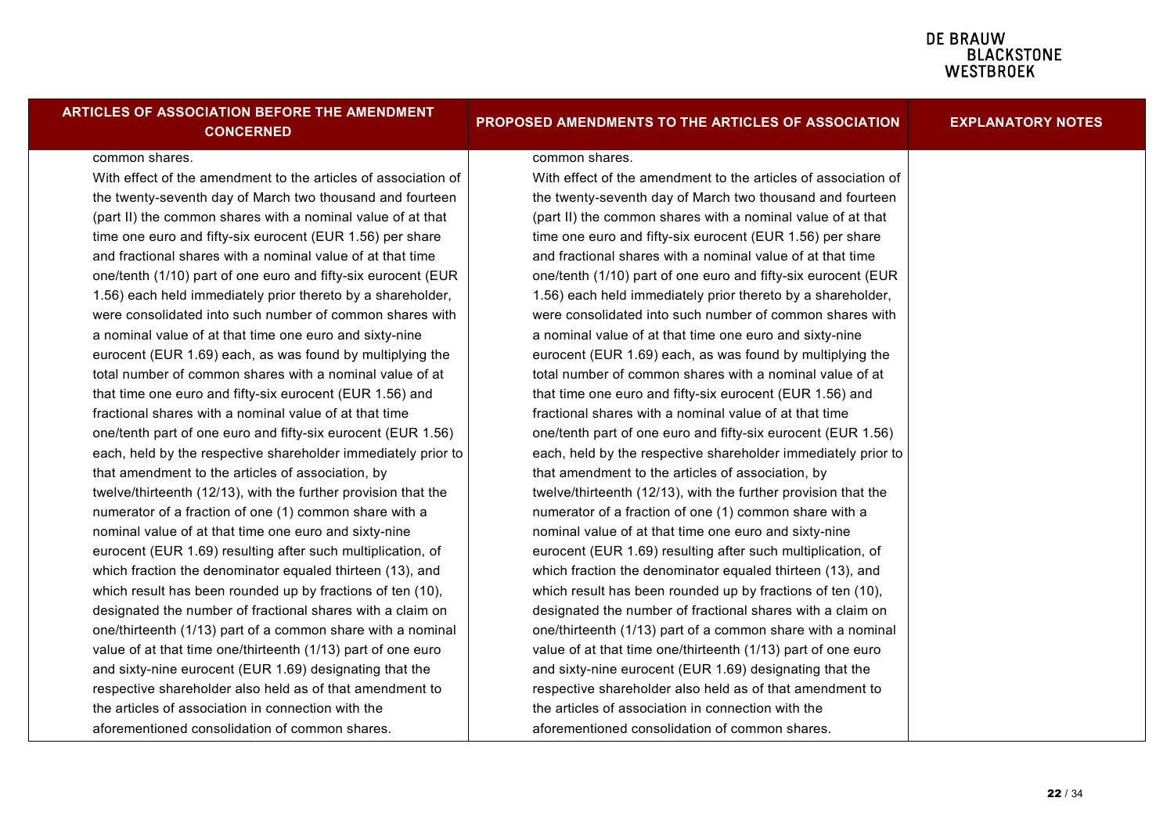| <b>ARTICLES OF ASSOCIATION BEFORE THE AMENDMENT</b><br><b>CONCERNED</b> | PROPOSED AMENDMENTS TO THE ARTICLES OF ASSOCIATION             | <b>EXPLANATORY NOTES</b> |
|-------------------------------------------------------------------------|----------------------------------------------------------------|--------------------------|
| common shares.                                                          | common shares.                                                 |                          |
| With effect of the amendment to the articles of association of          | With effect of the amendment to the articles of association of |                          |
| the twenty-seventh day of March two thousand and fourteen               | the twenty-seventh day of March two thousand and fourteen      |                          |
| (part II) the common shares with a nominal value of at that             | (part II) the common shares with a nominal value of at that    |                          |
| time one euro and fifty-six eurocent (EUR 1.56) per share               | time one euro and fifty-six eurocent (EUR 1.56) per share      |                          |
| and fractional shares with a nominal value of at that time              | and fractional shares with a nominal value of at that time     |                          |
| one/tenth (1/10) part of one euro and fifty-six eurocent (EUR           | one/tenth (1/10) part of one euro and fifty-six eurocent (EUR  |                          |
| 1.56) each held immediately prior thereto by a shareholder,             | 1.56) each held immediately prior thereto by a shareholder,    |                          |
| were consolidated into such number of common shares with                | were consolidated into such number of common shares with       |                          |
| a nominal value of at that time one euro and sixty-nine                 | a nominal value of at that time one euro and sixty-nine        |                          |
| eurocent (EUR 1.69) each, as was found by multiplying the               | eurocent (EUR 1.69) each, as was found by multiplying the      |                          |
| total number of common shares with a nominal value of at                | total number of common shares with a nominal value of at       |                          |
| that time one euro and fifty-six eurocent (EUR 1.56) and                | that time one euro and fifty-six eurocent (EUR 1.56) and       |                          |
| fractional shares with a nominal value of at that time                  | fractional shares with a nominal value of at that time         |                          |
| one/tenth part of one euro and fifty-six eurocent (EUR 1.56)            | one/tenth part of one euro and fifty-six eurocent (EUR 1.56)   |                          |
| each, held by the respective shareholder immediately prior to           | each, held by the respective shareholder immediately prior to  |                          |
| that amendment to the articles of association, by                       | that amendment to the articles of association, by              |                          |
| twelve/thirteenth (12/13), with the further provision that the          | twelve/thirteenth (12/13), with the further provision that the |                          |
| numerator of a fraction of one (1) common share with a                  | numerator of a fraction of one (1) common share with a         |                          |
| nominal value of at that time one euro and sixty-nine                   | nominal value of at that time one euro and sixty-nine          |                          |
| eurocent (EUR 1.69) resulting after such multiplication, of             | eurocent (EUR 1.69) resulting after such multiplication, of    |                          |
| which fraction the denominator equaled thirteen (13), and               | which fraction the denominator equaled thirteen (13), and      |                          |
| which result has been rounded up by fractions of ten (10),              | which result has been rounded up by fractions of ten (10),     |                          |
| designated the number of fractional shares with a claim on              | designated the number of fractional shares with a claim on     |                          |
| one/thirteenth (1/13) part of a common share with a nominal             | one/thirteenth (1/13) part of a common share with a nominal    |                          |
| value of at that time one/thirteenth (1/13) part of one euro            | value of at that time one/thirteenth (1/13) part of one euro   |                          |
| and sixty-nine eurocent (EUR 1.69) designating that the                 | and sixty-nine eurocent (EUR 1.69) designating that the        |                          |
| respective shareholder also held as of that amendment to                | respective shareholder also held as of that amendment to       |                          |
| the articles of association in connection with the                      | the articles of association in connection with the             |                          |
| aforementioned consolidation of common shares.                          | aforementioned consolidation of common shares.                 |                          |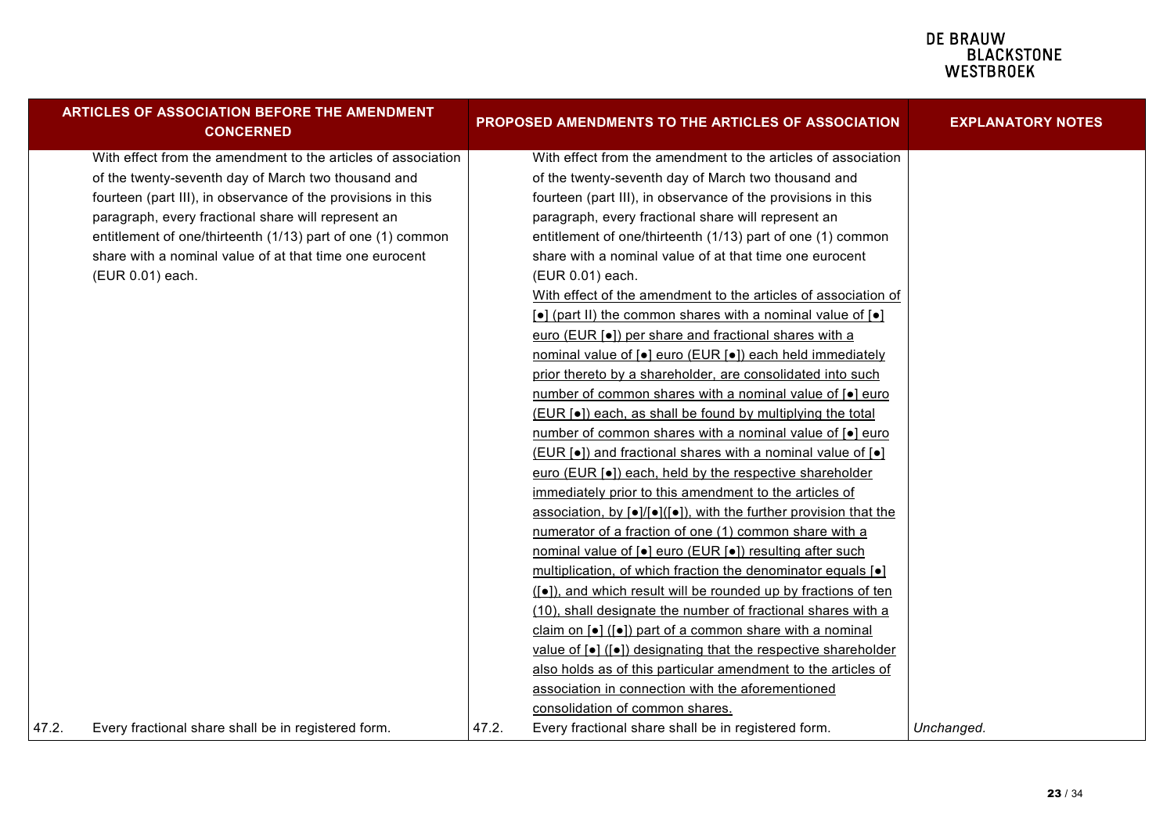|       | <b>ARTICLES OF ASSOCIATION BEFORE THE AMENDMENT</b><br><b>CONCERNED</b> |       | PROPOSED AMENDMENTS TO THE ARTICLES OF ASSOCIATION                                                       | <b>EXPLANATORY NOTES</b> |
|-------|-------------------------------------------------------------------------|-------|----------------------------------------------------------------------------------------------------------|--------------------------|
|       | With effect from the amendment to the articles of association           |       | With effect from the amendment to the articles of association                                            |                          |
|       | of the twenty-seventh day of March two thousand and                     |       | of the twenty-seventh day of March two thousand and                                                      |                          |
|       | fourteen (part III), in observance of the provisions in this            |       | fourteen (part III), in observance of the provisions in this                                             |                          |
|       | paragraph, every fractional share will represent an                     |       | paragraph, every fractional share will represent an                                                      |                          |
|       | entitlement of one/thirteenth (1/13) part of one (1) common             |       | entitlement of one/thirteenth (1/13) part of one (1) common                                              |                          |
|       | share with a nominal value of at that time one eurocent                 |       | share with a nominal value of at that time one eurocent                                                  |                          |
|       | (EUR 0.01) each.                                                        |       | (EUR 0.01) each.                                                                                         |                          |
|       |                                                                         |       | With effect of the amendment to the articles of association of                                           |                          |
|       |                                                                         |       | $\lceil \bullet \rceil$ (part II) the common shares with a nominal value of $\lceil \bullet \rceil$      |                          |
|       |                                                                         |       | euro (EUR [ $\bullet$ ]) per share and fractional shares with a                                          |                          |
|       |                                                                         |       | nominal value of [ $\bullet$ ] euro (EUR [ $\bullet$ ]) each held immediately                            |                          |
|       |                                                                         |       | prior thereto by a shareholder, are consolidated into such                                               |                          |
|       |                                                                         |       | number of common shares with a nominal value of [ $\bullet$ ] euro                                       |                          |
|       |                                                                         |       | (EUR [ $\bullet$ ]) each, as shall be found by multiplying the total                                     |                          |
|       |                                                                         |       | number of common shares with a nominal value of [•] euro                                                 |                          |
|       |                                                                         |       | (EUR [•]) and fractional shares with a nominal value of [•]                                              |                          |
|       |                                                                         |       | euro (EUR [•]) each, held by the respective shareholder                                                  |                          |
|       |                                                                         |       | immediately prior to this amendment to the articles of                                                   |                          |
|       |                                                                         |       | association, by $\lceil \bullet \rceil / \lceil \bullet \rceil$ , with the further provision that the    |                          |
|       |                                                                         |       | numerator of a fraction of one (1) common share with a                                                   |                          |
|       |                                                                         |       | nominal value of [•] euro (EUR [•]) resulting after such                                                 |                          |
|       |                                                                         |       | multiplication, of which fraction the denominator equals [ $\bullet$ ]                                   |                          |
|       |                                                                         |       | ([•]), and which result will be rounded up by fractions of ten                                           |                          |
|       |                                                                         |       | (10), shall designate the number of fractional shares with a                                             |                          |
|       |                                                                         |       | claim on $\lceil \bullet \rceil$ ( $\lceil \bullet \rceil$ ) part of a common share with a nominal       |                          |
|       |                                                                         |       | value of $\lceil \bullet \rceil$ ( $\lceil \bullet \rceil$ ) designating that the respective shareholder |                          |
|       |                                                                         |       | also holds as of this particular amendment to the articles of                                            |                          |
|       |                                                                         |       | association in connection with the aforementioned                                                        |                          |
|       |                                                                         |       | consolidation of common shares.                                                                          |                          |
| 47.2. | Every fractional share shall be in registered form.                     | 47.2. | Every fractional share shall be in registered form.                                                      | Unchanged.               |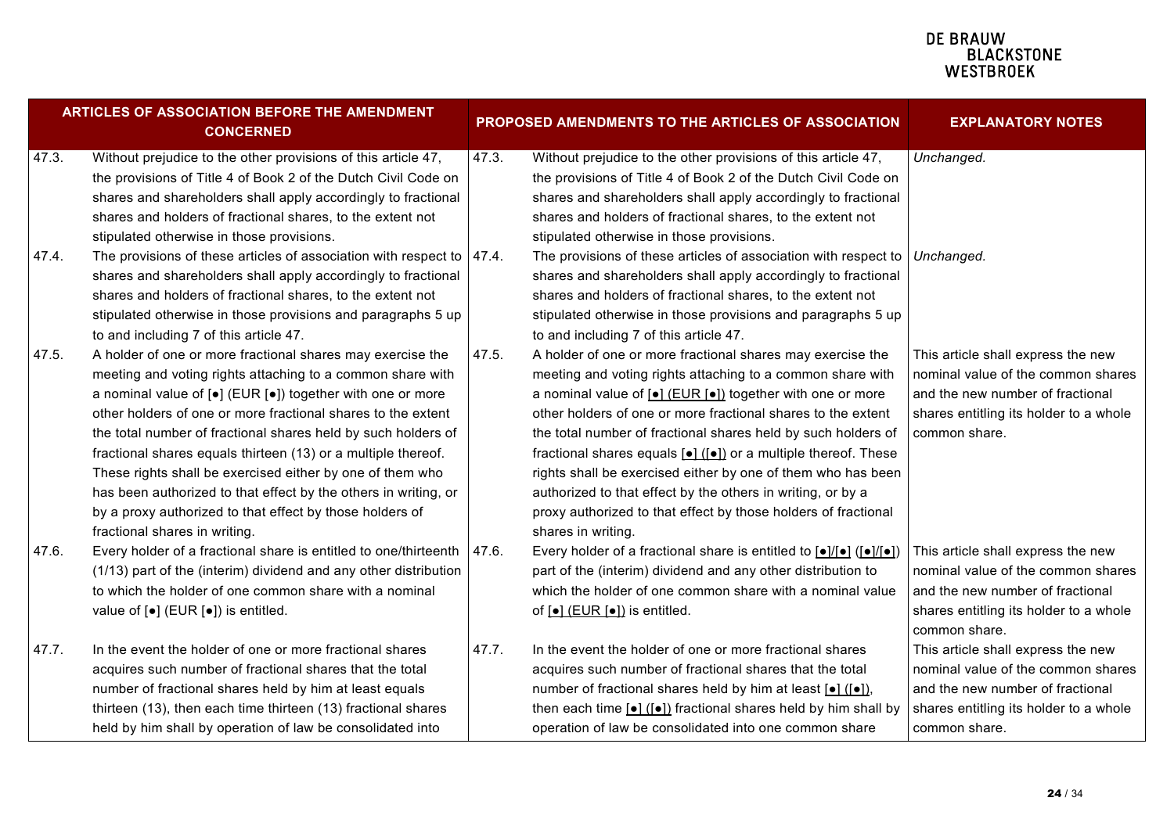| ARTICLES OF ASSOCIATION BEFORE THE AMENDMENT<br><b>CONCERNED</b> |                                                                            | PROPOSED AMENDMENTS TO THE ARTICLES OF ASSOCIATION |                                                                                                                                                       | <b>EXPLANATORY NOTES</b>               |
|------------------------------------------------------------------|----------------------------------------------------------------------------|----------------------------------------------------|-------------------------------------------------------------------------------------------------------------------------------------------------------|----------------------------------------|
| 47.3.                                                            | Without prejudice to the other provisions of this article 47,              | 47.3.                                              | Without prejudice to the other provisions of this article 47,                                                                                         | Unchanged.                             |
|                                                                  | the provisions of Title 4 of Book 2 of the Dutch Civil Code on             |                                                    | the provisions of Title 4 of Book 2 of the Dutch Civil Code on                                                                                        |                                        |
|                                                                  | shares and shareholders shall apply accordingly to fractional              |                                                    | shares and shareholders shall apply accordingly to fractional                                                                                         |                                        |
|                                                                  | shares and holders of fractional shares, to the extent not                 |                                                    | shares and holders of fractional shares, to the extent not                                                                                            |                                        |
|                                                                  | stipulated otherwise in those provisions.                                  |                                                    | stipulated otherwise in those provisions.                                                                                                             |                                        |
| 47.4.                                                            | The provisions of these articles of association with respect to $ 47.4$ .  |                                                    | The provisions of these articles of association with respect to   Unchanged.                                                                          |                                        |
|                                                                  | shares and shareholders shall apply accordingly to fractional              |                                                    | shares and shareholders shall apply accordingly to fractional                                                                                         |                                        |
|                                                                  | shares and holders of fractional shares, to the extent not                 |                                                    | shares and holders of fractional shares, to the extent not                                                                                            |                                        |
|                                                                  | stipulated otherwise in those provisions and paragraphs 5 up               |                                                    | stipulated otherwise in those provisions and paragraphs 5 up                                                                                          |                                        |
|                                                                  | to and including 7 of this article 47.                                     |                                                    | to and including 7 of this article 47.                                                                                                                |                                        |
| 47.5.                                                            | A holder of one or more fractional shares may exercise the                 | 47.5.                                              | A holder of one or more fractional shares may exercise the                                                                                            | This article shall express the new     |
|                                                                  | meeting and voting rights attaching to a common share with                 |                                                    | meeting and voting rights attaching to a common share with                                                                                            | nominal value of the common shares     |
|                                                                  | a nominal value of $[•]$ (EUR $[•]$ ) together with one or more            |                                                    | a nominal value of $\left[ \bullet \right]$ (EUR $\left[ \bullet \right]$ ) together with one or more                                                 | and the new number of fractional       |
|                                                                  | other holders of one or more fractional shares to the extent               |                                                    | other holders of one or more fractional shares to the extent                                                                                          | shares entitling its holder to a whole |
|                                                                  | the total number of fractional shares held by such holders of              |                                                    | the total number of fractional shares held by such holders of                                                                                         | common share.                          |
|                                                                  | fractional shares equals thirteen (13) or a multiple thereof.              |                                                    | fractional shares equals [•] ([•]) or a multiple thereof. These                                                                                       |                                        |
|                                                                  | These rights shall be exercised either by one of them who                  |                                                    | rights shall be exercised either by one of them who has been                                                                                          |                                        |
|                                                                  | has been authorized to that effect by the others in writing, or            |                                                    | authorized to that effect by the others in writing, or by a                                                                                           |                                        |
|                                                                  | by a proxy authorized to that effect by those holders of                   |                                                    | proxy authorized to that effect by those holders of fractional                                                                                        |                                        |
|                                                                  | fractional shares in writing.                                              |                                                    | shares in writing.                                                                                                                                    |                                        |
| 47.6.                                                            | Every holder of a fractional share is entitled to one/thirteenth           | 47.6.                                              | Every holder of a fractional share is entitled to $\lceil \bullet \rceil / \lceil \bullet \rceil$ ( $\lceil \bullet \rceil / \lceil \bullet \rceil$ ) | This article shall express the new     |
|                                                                  | (1/13) part of the (interim) dividend and any other distribution           |                                                    | part of the (interim) dividend and any other distribution to                                                                                          | nominal value of the common shares     |
|                                                                  | to which the holder of one common share with a nominal                     |                                                    | which the holder of one common share with a nominal value                                                                                             | and the new number of fractional       |
|                                                                  | value of $\left[\bullet\right]$ (EUR $\left[\bullet\right]$ ) is entitled. |                                                    | of $\boxed{\bullet}$ (EUR $\boxed{\bullet}$ ) is entitled.                                                                                            | shares entitling its holder to a whole |
|                                                                  |                                                                            |                                                    |                                                                                                                                                       | common share.                          |
| 47.7.                                                            | In the event the holder of one or more fractional shares                   | 47.7.                                              | In the event the holder of one or more fractional shares                                                                                              | This article shall express the new     |
|                                                                  | acquires such number of fractional shares that the total                   |                                                    | acquires such number of fractional shares that the total                                                                                              | nominal value of the common shares     |
|                                                                  | number of fractional shares held by him at least equals                    |                                                    | number of fractional shares held by him at least [•] ([•]),                                                                                           | and the new number of fractional       |
|                                                                  | thirteen (13), then each time thirteen (13) fractional shares              |                                                    | then each time $\lceil \bullet \rceil$ ( $\lceil \bullet \rceil$ ) fractional shares held by him shall by                                             | shares entitling its holder to a whole |
|                                                                  | held by him shall by operation of law be consolidated into                 |                                                    | operation of law be consolidated into one common share                                                                                                | common share.                          |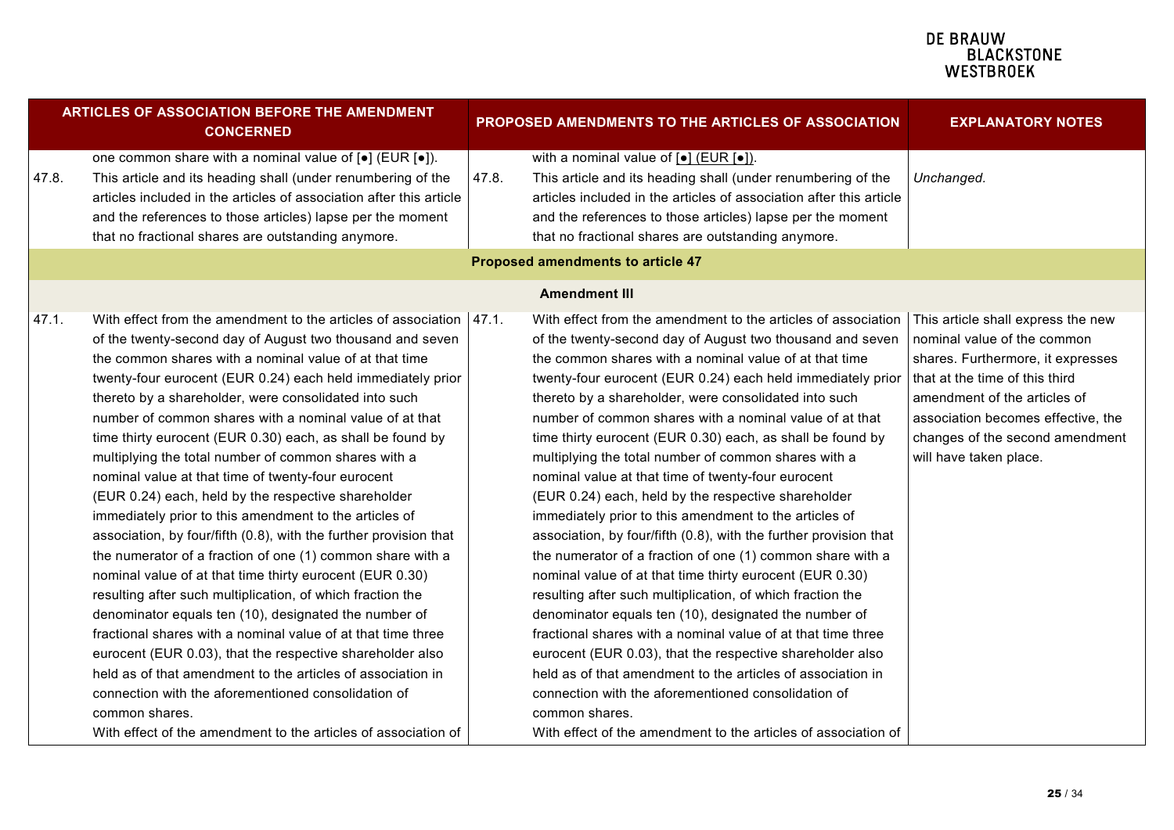| <b>ARTICLES OF ASSOCIATION BEFORE THE AMENDMENT</b><br><b>CONCERNED</b>                                                                                                                                                                                                                                                                                                                                                                                                                                                                                                                                                                                                                                                                                                                                                                                                                                                                                                                                                                                                                                                                                                                                                                                                                                                                            | PROPOSED AMENDMENTS TO THE ARTICLES OF ASSOCIATION                                                                                                                                                                                                                                                                                                                                                                                                                                                                                                                                                                                                                                                                                                                                                                                                                                                                                                                                                                                                                                                                                                                                                                                                                                                                                | <b>EXPLANATORY NOTES</b>                                                                                                                                                                                                                                                    |
|----------------------------------------------------------------------------------------------------------------------------------------------------------------------------------------------------------------------------------------------------------------------------------------------------------------------------------------------------------------------------------------------------------------------------------------------------------------------------------------------------------------------------------------------------------------------------------------------------------------------------------------------------------------------------------------------------------------------------------------------------------------------------------------------------------------------------------------------------------------------------------------------------------------------------------------------------------------------------------------------------------------------------------------------------------------------------------------------------------------------------------------------------------------------------------------------------------------------------------------------------------------------------------------------------------------------------------------------------|-----------------------------------------------------------------------------------------------------------------------------------------------------------------------------------------------------------------------------------------------------------------------------------------------------------------------------------------------------------------------------------------------------------------------------------------------------------------------------------------------------------------------------------------------------------------------------------------------------------------------------------------------------------------------------------------------------------------------------------------------------------------------------------------------------------------------------------------------------------------------------------------------------------------------------------------------------------------------------------------------------------------------------------------------------------------------------------------------------------------------------------------------------------------------------------------------------------------------------------------------------------------------------------------------------------------------------------|-----------------------------------------------------------------------------------------------------------------------------------------------------------------------------------------------------------------------------------------------------------------------------|
| one common share with a nominal value of [ $\bullet$ ] (EUR [ $\bullet$ ]).<br>47.8.<br>This article and its heading shall (under renumbering of the<br>articles included in the articles of association after this article<br>and the references to those articles) lapse per the moment<br>that no fractional shares are outstanding anymore.                                                                                                                                                                                                                                                                                                                                                                                                                                                                                                                                                                                                                                                                                                                                                                                                                                                                                                                                                                                                    | with a nominal value of $\lceil \bullet \rceil$ (EUR $\lceil \bullet \rceil$ ).<br>47.8.<br>This article and its heading shall (under renumbering of the<br>articles included in the articles of association after this article<br>and the references to those articles) lapse per the moment<br>that no fractional shares are outstanding anymore.                                                                                                                                                                                                                                                                                                                                                                                                                                                                                                                                                                                                                                                                                                                                                                                                                                                                                                                                                                               | Unchanged.                                                                                                                                                                                                                                                                  |
|                                                                                                                                                                                                                                                                                                                                                                                                                                                                                                                                                                                                                                                                                                                                                                                                                                                                                                                                                                                                                                                                                                                                                                                                                                                                                                                                                    | <b>Proposed amendments to article 47</b>                                                                                                                                                                                                                                                                                                                                                                                                                                                                                                                                                                                                                                                                                                                                                                                                                                                                                                                                                                                                                                                                                                                                                                                                                                                                                          |                                                                                                                                                                                                                                                                             |
|                                                                                                                                                                                                                                                                                                                                                                                                                                                                                                                                                                                                                                                                                                                                                                                                                                                                                                                                                                                                                                                                                                                                                                                                                                                                                                                                                    | <b>Amendment III</b>                                                                                                                                                                                                                                                                                                                                                                                                                                                                                                                                                                                                                                                                                                                                                                                                                                                                                                                                                                                                                                                                                                                                                                                                                                                                                                              |                                                                                                                                                                                                                                                                             |
| 47.1.<br>With effect from the amendment to the articles of association   47.1.<br>of the twenty-second day of August two thousand and seven<br>the common shares with a nominal value of at that time<br>twenty-four eurocent (EUR 0.24) each held immediately prior<br>thereto by a shareholder, were consolidated into such<br>number of common shares with a nominal value of at that<br>time thirty eurocent (EUR 0.30) each, as shall be found by<br>multiplying the total number of common shares with a<br>nominal value at that time of twenty-four eurocent<br>(EUR 0.24) each, held by the respective shareholder<br>immediately prior to this amendment to the articles of<br>association, by four/fifth (0.8), with the further provision that<br>the numerator of a fraction of one (1) common share with a<br>nominal value of at that time thirty eurocent (EUR 0.30)<br>resulting after such multiplication, of which fraction the<br>denominator equals ten (10), designated the number of<br>fractional shares with a nominal value of at that time three<br>eurocent (EUR 0.03), that the respective shareholder also<br>held as of that amendment to the articles of association in<br>connection with the aforementioned consolidation of<br>common shares.<br>With effect of the amendment to the articles of association of | With effect from the amendment to the articles of association<br>of the twenty-second day of August two thousand and seven<br>the common shares with a nominal value of at that time<br>twenty-four eurocent (EUR 0.24) each held immediately prior<br>thereto by a shareholder, were consolidated into such<br>number of common shares with a nominal value of at that<br>time thirty eurocent (EUR 0.30) each, as shall be found by<br>multiplying the total number of common shares with a<br>nominal value at that time of twenty-four eurocent<br>(EUR 0.24) each, held by the respective shareholder<br>immediately prior to this amendment to the articles of<br>association, by four/fifth (0.8), with the further provision that<br>the numerator of a fraction of one (1) common share with a<br>nominal value of at that time thirty eurocent (EUR 0.30)<br>resulting after such multiplication, of which fraction the<br>denominator equals ten (10), designated the number of<br>fractional shares with a nominal value of at that time three<br>eurocent (EUR 0.03), that the respective shareholder also<br>held as of that amendment to the articles of association in<br>connection with the aforementioned consolidation of<br>common shares.<br>With effect of the amendment to the articles of association of | This article shall express the new<br>nominal value of the common<br>shares. Furthermore, it expresses<br>that at the time of this third<br>amendment of the articles of<br>association becomes effective, the<br>changes of the second amendment<br>will have taken place. |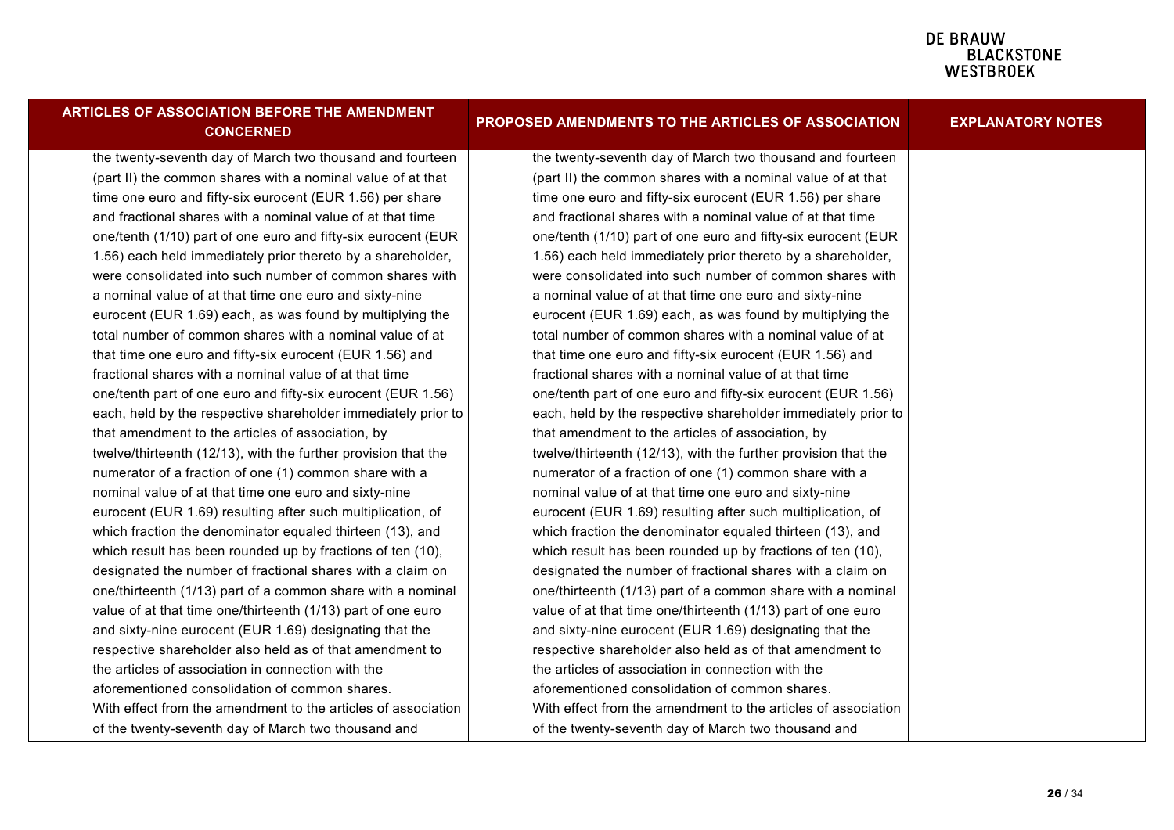| ARTICLES OF ASSOCIATION BEFORE THE AMENDMENT<br><b>CONCERNED</b> | PROPOSED AMENDMENTS TO THE ARTICLES OF ASSOCIATION             | <b>EXPLANATORY NOTES</b> |
|------------------------------------------------------------------|----------------------------------------------------------------|--------------------------|
| the twenty-seventh day of March two thousand and fourteen        | the twenty-seventh day of March two thousand and fourteen      |                          |
| (part II) the common shares with a nominal value of at that      | (part II) the common shares with a nominal value of at that    |                          |
| time one euro and fifty-six eurocent (EUR 1.56) per share        | time one euro and fifty-six eurocent (EUR 1.56) per share      |                          |
| and fractional shares with a nominal value of at that time       | and fractional shares with a nominal value of at that time     |                          |
| one/tenth (1/10) part of one euro and fifty-six eurocent (EUR    | one/tenth (1/10) part of one euro and fifty-six eurocent (EUR  |                          |
| 1.56) each held immediately prior thereto by a shareholder,      | 1.56) each held immediately prior thereto by a shareholder,    |                          |
| were consolidated into such number of common shares with         | were consolidated into such number of common shares with       |                          |
| a nominal value of at that time one euro and sixty-nine          | a nominal value of at that time one euro and sixty-nine        |                          |
| eurocent (EUR 1.69) each, as was found by multiplying the        | eurocent (EUR 1.69) each, as was found by multiplying the      |                          |
| total number of common shares with a nominal value of at         | total number of common shares with a nominal value of at       |                          |
| that time one euro and fifty-six eurocent (EUR 1.56) and         | that time one euro and fifty-six eurocent (EUR 1.56) and       |                          |
| fractional shares with a nominal value of at that time           | fractional shares with a nominal value of at that time         |                          |
| one/tenth part of one euro and fifty-six eurocent (EUR 1.56)     | one/tenth part of one euro and fifty-six eurocent (EUR 1.56)   |                          |
| each, held by the respective shareholder immediately prior to    | each, held by the respective shareholder immediately prior to  |                          |
| that amendment to the articles of association, by                | that amendment to the articles of association, by              |                          |
| twelve/thirteenth (12/13), with the further provision that the   | twelve/thirteenth (12/13), with the further provision that the |                          |
| numerator of a fraction of one (1) common share with a           | numerator of a fraction of one (1) common share with a         |                          |
| nominal value of at that time one euro and sixty-nine            | nominal value of at that time one euro and sixty-nine          |                          |
| eurocent (EUR 1.69) resulting after such multiplication, of      | eurocent (EUR 1.69) resulting after such multiplication, of    |                          |
| which fraction the denominator equaled thirteen (13), and        | which fraction the denominator equaled thirteen (13), and      |                          |
| which result has been rounded up by fractions of ten (10),       | which result has been rounded up by fractions of ten (10),     |                          |
| designated the number of fractional shares with a claim on       | designated the number of fractional shares with a claim on     |                          |
| one/thirteenth (1/13) part of a common share with a nominal      | one/thirteenth (1/13) part of a common share with a nominal    |                          |
| value of at that time one/thirteenth (1/13) part of one euro     | value of at that time one/thirteenth (1/13) part of one euro   |                          |
| and sixty-nine eurocent (EUR 1.69) designating that the          | and sixty-nine eurocent (EUR 1.69) designating that the        |                          |
| respective shareholder also held as of that amendment to         | respective shareholder also held as of that amendment to       |                          |
| the articles of association in connection with the               | the articles of association in connection with the             |                          |
| aforementioned consolidation of common shares.                   | aforementioned consolidation of common shares.                 |                          |
| With effect from the amendment to the articles of association    | With effect from the amendment to the articles of association  |                          |
| of the twenty-seventh day of March two thousand and              | of the twenty-seventh day of March two thousand and            |                          |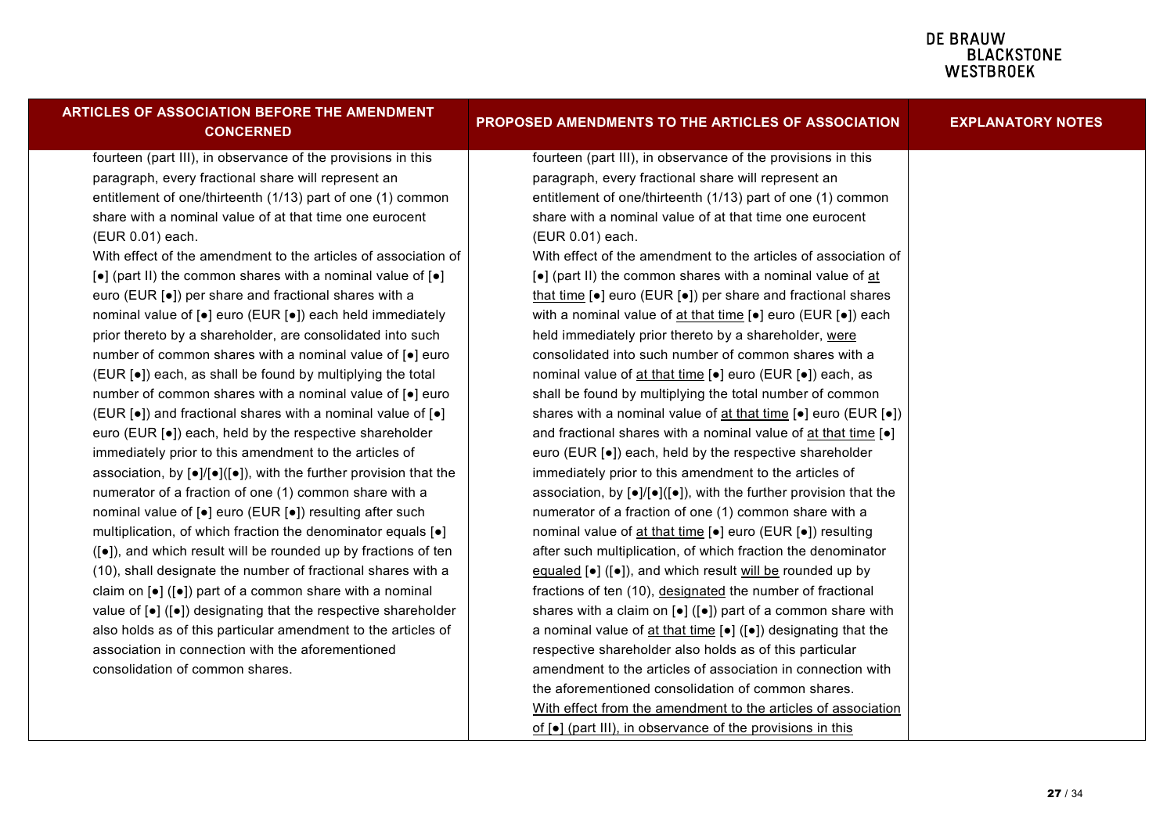| ARTICLES OF ASSOCIATION BEFORE THE AMENDMENT<br><b>CONCERNED</b>                                       | PROPOSED AMENDMENTS TO THE ARTICLES OF ASSOCIATION                                                         | <b>EXPLANATORY NOTES</b> |
|--------------------------------------------------------------------------------------------------------|------------------------------------------------------------------------------------------------------------|--------------------------|
| fourteen (part III), in observance of the provisions in this                                           | fourteen (part III), in observance of the provisions in this                                               |                          |
| paragraph, every fractional share will represent an                                                    | paragraph, every fractional share will represent an                                                        |                          |
| entitlement of one/thirteenth (1/13) part of one (1) common                                            | entitlement of one/thirteenth (1/13) part of one (1) common                                                |                          |
| share with a nominal value of at that time one eurocent                                                | share with a nominal value of at that time one eurocent                                                    |                          |
| (EUR 0.01) each.                                                                                       | (EUR 0.01) each.                                                                                           |                          |
| With effect of the amendment to the articles of association of                                         | With effect of the amendment to the articles of association of                                             |                          |
| [•] (part II) the common shares with a nominal value of [•]                                            | [•] (part II) the common shares with a nominal value of at                                                 |                          |
| euro (EUR [•]) per share and fractional shares with a                                                  | that time [ $\bullet$ ] euro (EUR [ $\bullet$ ]) per share and fractional shares                           |                          |
| nominal value of [•] euro (EUR [•]) each held immediately                                              | with a nominal value of $\frac{at \text{ that time}}{e}$ = euro (EUR $[e]$ ) each                          |                          |
| prior thereto by a shareholder, are consolidated into such                                             | held immediately prior thereto by a shareholder, were                                                      |                          |
| number of common shares with a nominal value of [.] euro                                               | consolidated into such number of common shares with a                                                      |                          |
| (EUR [•]) each, as shall be found by multiplying the total                                             | nominal value of at that time [ $\bullet$ ] euro (EUR [ $\bullet$ ]) each, as                              |                          |
| number of common shares with a nominal value of [.] euro                                               | shall be found by multiplying the total number of common                                                   |                          |
| (EUR [•]) and fractional shares with a nominal value of [•]                                            | shares with a nominal value of at that time [ $\bullet$ ] euro (EUR [ $\bullet$ ])                         |                          |
| euro (EUR [ $\bullet$ ]) each, held by the respective shareholder                                      | and fractional shares with a nominal value of at that time [.]                                             |                          |
| immediately prior to this amendment to the articles of                                                 | euro (EUR [•]) each, held by the respective shareholder                                                    |                          |
| association, by $[\bullet] / [\bullet] ([\bullet])$ , with the further provision that the              | immediately prior to this amendment to the articles of                                                     |                          |
| numerator of a fraction of one (1) common share with a                                                 | association, by $[\bullet] / [\bullet] ([\bullet])$ , with the further provision that the                  |                          |
| nominal value of [•] euro (EUR [•]) resulting after such                                               | numerator of a fraction of one (1) common share with a                                                     |                          |
| multiplication, of which fraction the denominator equals [ $\bullet$ ]                                 | nominal value of at that time [.] euro (EUR [.]) resulting                                                 |                          |
| ([•]), and which result will be rounded up by fractions of ten                                         | after such multiplication, of which fraction the denominator                                               |                          |
| (10), shall designate the number of fractional shares with a                                           | equaled $[\bullet]$ ( $[\bullet]$ ), and which result will be rounded up by                                |                          |
| claim on $\left[\bullet\right]$ ( $\left[\bullet\right]$ ) part of a common share with a nominal       | fractions of ten (10), designated the number of fractional                                                 |                          |
| value of $\left[\bullet\right]$ ( $\left[\bullet\right]$ ) designating that the respective shareholder | shares with a claim on $\left[\bullet\right]$ ( $\left[\bullet\right]$ ) part of a common share with       |                          |
| also holds as of this particular amendment to the articles of                                          | a nominal value of $at$ that time $\lceil \bullet \rceil$ ( $\lceil \bullet \rceil$ ) designating that the |                          |
| association in connection with the aforementioned                                                      | respective shareholder also holds as of this particular                                                    |                          |
| consolidation of common shares.                                                                        | amendment to the articles of association in connection with                                                |                          |
|                                                                                                        | the aforementioned consolidation of common shares.                                                         |                          |
|                                                                                                        | With effect from the amendment to the articles of association                                              |                          |
|                                                                                                        | of $\lceil \bullet \rceil$ (part III), in observance of the provisions in this                             |                          |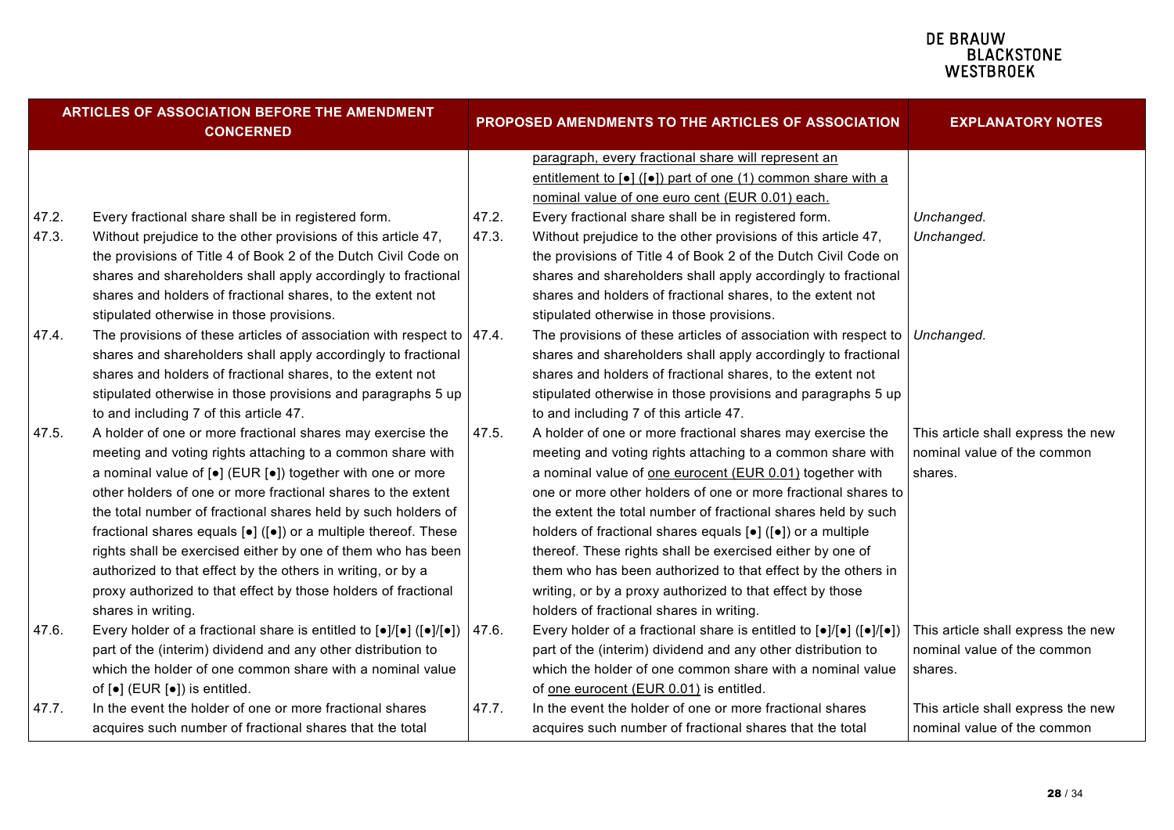| ARTICLES OF ASSOCIATION BEFORE THE AMENDMENT<br><b>CONCERNED</b> |                                                                                                                                                       |       | PROPOSED AMENDMENTS TO THE ARTICLES OF ASSOCIATION                                                                                            | <b>EXPLANATORY NOTES</b>           |
|------------------------------------------------------------------|-------------------------------------------------------------------------------------------------------------------------------------------------------|-------|-----------------------------------------------------------------------------------------------------------------------------------------------|------------------------------------|
|                                                                  |                                                                                                                                                       |       | paragraph, every fractional share will represent an                                                                                           |                                    |
|                                                                  |                                                                                                                                                       |       | entitlement to $\lceil \bullet \rceil$ ( $\lceil \bullet \rceil$ ) part of one (1) common share with a                                        |                                    |
|                                                                  |                                                                                                                                                       |       | nominal value of one euro cent (EUR 0.01) each.                                                                                               |                                    |
| 47.2.                                                            | Every fractional share shall be in registered form.                                                                                                   | 47.2. | Every fractional share shall be in registered form.                                                                                           | Unchanged.                         |
| 47.3.                                                            | Without prejudice to the other provisions of this article 47,                                                                                         | 47.3. | Without prejudice to the other provisions of this article 47,                                                                                 | Unchanged.                         |
|                                                                  | the provisions of Title 4 of Book 2 of the Dutch Civil Code on                                                                                        |       | the provisions of Title 4 of Book 2 of the Dutch Civil Code on                                                                                |                                    |
|                                                                  | shares and shareholders shall apply accordingly to fractional                                                                                         |       | shares and shareholders shall apply accordingly to fractional                                                                                 |                                    |
|                                                                  | shares and holders of fractional shares, to the extent not                                                                                            |       | shares and holders of fractional shares, to the extent not                                                                                    |                                    |
|                                                                  | stipulated otherwise in those provisions.                                                                                                             |       | stipulated otherwise in those provisions.                                                                                                     |                                    |
| 47.4.                                                            | The provisions of these articles of association with respect to                                                                                       | 47.4. | The provisions of these articles of association with respect to                                                                               | Unchanged.                         |
|                                                                  | shares and shareholders shall apply accordingly to fractional                                                                                         |       | shares and shareholders shall apply accordingly to fractional                                                                                 |                                    |
|                                                                  | shares and holders of fractional shares, to the extent not                                                                                            |       | shares and holders of fractional shares, to the extent not                                                                                    |                                    |
|                                                                  | stipulated otherwise in those provisions and paragraphs 5 up                                                                                          |       | stipulated otherwise in those provisions and paragraphs 5 up                                                                                  |                                    |
|                                                                  | to and including 7 of this article 47.                                                                                                                |       | to and including 7 of this article 47.                                                                                                        |                                    |
| 47.5.                                                            | A holder of one or more fractional shares may exercise the                                                                                            | 47.5. | A holder of one or more fractional shares may exercise the                                                                                    | This article shall express the new |
|                                                                  | meeting and voting rights attaching to a common share with                                                                                            |       | meeting and voting rights attaching to a common share with                                                                                    | nominal value of the common        |
|                                                                  | a nominal value of $[e]$ (EUR $[e]$ ) together with one or more                                                                                       |       | a nominal value of one eurocent (EUR 0.01) together with                                                                                      | shares.                            |
|                                                                  | other holders of one or more fractional shares to the extent                                                                                          |       | one or more other holders of one or more fractional shares to                                                                                 |                                    |
|                                                                  | the total number of fractional shares held by such holders of                                                                                         |       | the extent the total number of fractional shares held by such                                                                                 |                                    |
|                                                                  | fractional shares equals $[\bullet]$ ( $[\bullet]$ ) or a multiple thereof. These                                                                     |       | holders of fractional shares equals [•] ([•]) or a multiple                                                                                   |                                    |
|                                                                  | rights shall be exercised either by one of them who has been                                                                                          |       | thereof. These rights shall be exercised either by one of                                                                                     |                                    |
|                                                                  | authorized to that effect by the others in writing, or by a                                                                                           |       | them who has been authorized to that effect by the others in                                                                                  |                                    |
|                                                                  | proxy authorized to that effect by those holders of fractional                                                                                        |       | writing, or by a proxy authorized to that effect by those                                                                                     |                                    |
|                                                                  | shares in writing.                                                                                                                                    |       | holders of fractional shares in writing.                                                                                                      |                                    |
| 47.6.                                                            | Every holder of a fractional share is entitled to $\lceil \bullet \rceil / \lceil \bullet \rceil$ ( $\lceil \bullet \rceil / \lceil \bullet \rceil$ ) | 47.6. | Every holder of a fractional share is entitled to $\left[\bullet\right]/\left[\bullet\right]$ ( $\left[\bullet\right]/\left[\bullet\right]$ ) | This article shall express the new |
|                                                                  | part of the (interim) dividend and any other distribution to                                                                                          |       | part of the (interim) dividend and any other distribution to                                                                                  | nominal value of the common        |
|                                                                  | which the holder of one common share with a nominal value                                                                                             |       | which the holder of one common share with a nominal value                                                                                     | shares.                            |
|                                                                  | of $\left[\bullet\right]$ (EUR $\left[\bullet\right]$ ) is entitled.                                                                                  |       | of one eurocent (EUR 0.01) is entitled.                                                                                                       |                                    |
| 47.7.                                                            | In the event the holder of one or more fractional shares                                                                                              | 47.7. | In the event the holder of one or more fractional shares                                                                                      | This article shall express the new |
|                                                                  | acquires such number of fractional shares that the total                                                                                              |       | acquires such number of fractional shares that the total                                                                                      | nominal value of the common        |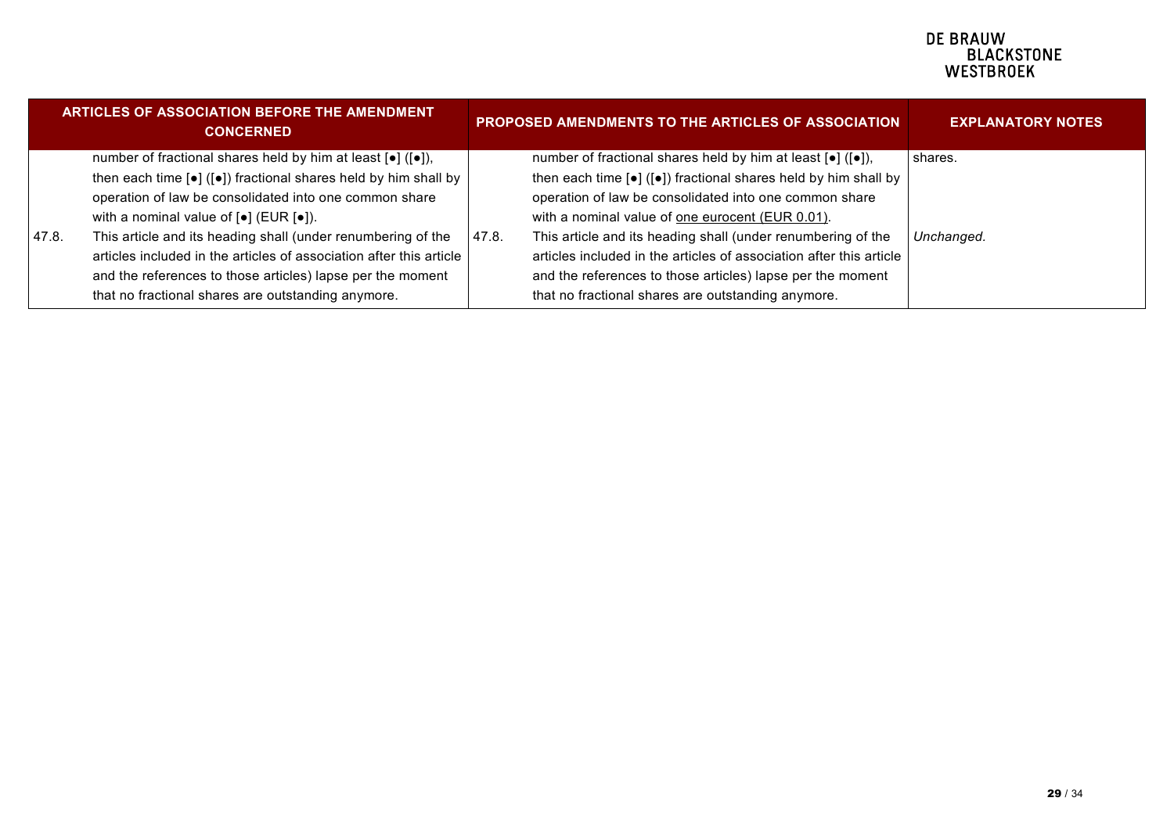|       | <b>ARTICLES OF ASSOCIATION BEFORE THE AMENDMENT</b><br><b>CONCERNED</b>                                   |       | <b>PROPOSED AMENDMENTS TO THE ARTICLES OF ASSOCIATION</b>                           | <b>EXPLANATORY NOTES</b> |
|-------|-----------------------------------------------------------------------------------------------------------|-------|-------------------------------------------------------------------------------------|--------------------------|
|       | number of fractional shares held by him at least $[•]$ ( $[•]$ ),                                         |       | number of fractional shares held by him at least $[•]$ ( $[•]$ ),                   | shares.                  |
|       | then each time $\lceil \bullet \rceil$ ( $\lceil \bullet \rceil$ ) fractional shares held by him shall by |       | then each time [ $\bullet$ ] ([ $\bullet$ ]) fractional shares held by him shall by |                          |
|       | operation of law be consolidated into one common share                                                    |       | operation of law be consolidated into one common share                              |                          |
|       | with a nominal value of $\lceil \bullet \rceil$ (EUR $\lceil \bullet \rceil$ ).                           |       | with a nominal value of one eurocent (EUR 0.01).                                    |                          |
| 47.8. | This article and its heading shall (under renumbering of the                                              | 47.8. | This article and its heading shall (under renumbering of the                        | Unchanged.               |
|       | articles included in the articles of association after this article                                       |       | articles included in the articles of association after this article                 |                          |
|       | and the references to those articles) lapse per the moment                                                |       | and the references to those articles) lapse per the moment                          |                          |
|       | that no fractional shares are outstanding anymore.                                                        |       | that no fractional shares are outstanding anymore.                                  |                          |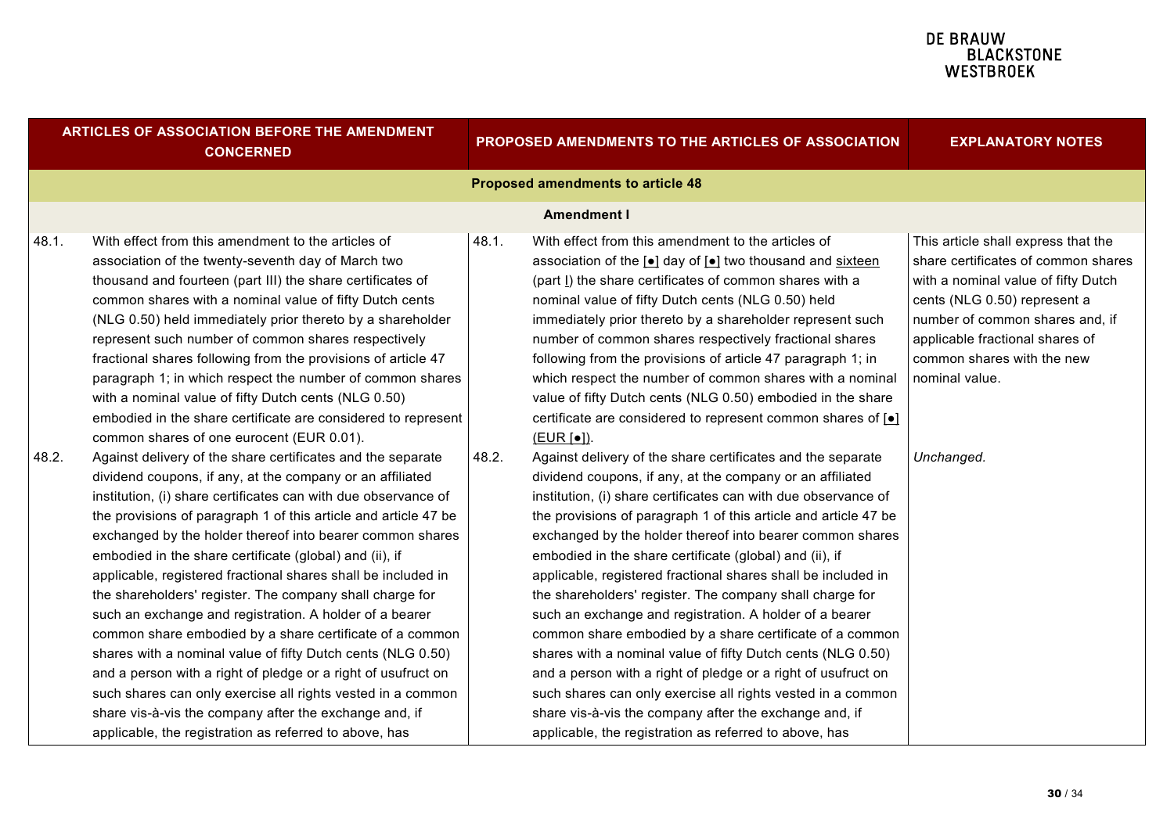|       | <b>ARTICLES OF ASSOCIATION BEFORE THE AMENDMENT</b><br><b>CONCERNED</b>                                                                                                                                                                                                                                                                                                                                                                                                                                                                                                                                                                                                                                                                                                                                                                                                                                                                                      |       | PROPOSED AMENDMENTS TO THE ARTICLES OF ASSOCIATION                                                                                                                                                                                                                                                                                                                                                                                                                                                                                                                                                                                                                                                                                                                                                                                                                                                                                                           | <b>EXPLANATORY NOTES</b>                                                                                                                                                                                                                                                |
|-------|--------------------------------------------------------------------------------------------------------------------------------------------------------------------------------------------------------------------------------------------------------------------------------------------------------------------------------------------------------------------------------------------------------------------------------------------------------------------------------------------------------------------------------------------------------------------------------------------------------------------------------------------------------------------------------------------------------------------------------------------------------------------------------------------------------------------------------------------------------------------------------------------------------------------------------------------------------------|-------|--------------------------------------------------------------------------------------------------------------------------------------------------------------------------------------------------------------------------------------------------------------------------------------------------------------------------------------------------------------------------------------------------------------------------------------------------------------------------------------------------------------------------------------------------------------------------------------------------------------------------------------------------------------------------------------------------------------------------------------------------------------------------------------------------------------------------------------------------------------------------------------------------------------------------------------------------------------|-------------------------------------------------------------------------------------------------------------------------------------------------------------------------------------------------------------------------------------------------------------------------|
|       |                                                                                                                                                                                                                                                                                                                                                                                                                                                                                                                                                                                                                                                                                                                                                                                                                                                                                                                                                              |       | <b>Proposed amendments to article 48</b>                                                                                                                                                                                                                                                                                                                                                                                                                                                                                                                                                                                                                                                                                                                                                                                                                                                                                                                     |                                                                                                                                                                                                                                                                         |
|       |                                                                                                                                                                                                                                                                                                                                                                                                                                                                                                                                                                                                                                                                                                                                                                                                                                                                                                                                                              |       | <b>Amendment I</b>                                                                                                                                                                                                                                                                                                                                                                                                                                                                                                                                                                                                                                                                                                                                                                                                                                                                                                                                           |                                                                                                                                                                                                                                                                         |
| 48.1. | With effect from this amendment to the articles of<br>association of the twenty-seventh day of March two<br>thousand and fourteen (part III) the share certificates of<br>common shares with a nominal value of fifty Dutch cents<br>(NLG 0.50) held immediately prior thereto by a shareholder<br>represent such number of common shares respectively<br>fractional shares following from the provisions of article 47<br>paragraph 1; in which respect the number of common shares<br>with a nominal value of fifty Dutch cents (NLG 0.50)<br>embodied in the share certificate are considered to represent<br>common shares of one eurocent (EUR 0.01).                                                                                                                                                                                                                                                                                                   | 48.1. | With effect from this amendment to the articles of<br>association of the [•] day of [•] two thousand and sixteen<br>(part I) the share certificates of common shares with a<br>nominal value of fifty Dutch cents (NLG 0.50) held<br>immediately prior thereto by a shareholder represent such<br>number of common shares respectively fractional shares<br>following from the provisions of article 47 paragraph 1; in<br>which respect the number of common shares with a nominal<br>value of fifty Dutch cents (NLG 0.50) embodied in the share<br>certificate are considered to represent common shares of [ $\bullet$ ]<br>(EUR [•]).                                                                                                                                                                                                                                                                                                                   | This article shall express that the<br>share certificates of common shares<br>with a nominal value of fifty Dutch<br>cents (NLG 0.50) represent a<br>number of common shares and, if<br>applicable fractional shares of<br>common shares with the new<br>nominal value. |
| 48.2. | Against delivery of the share certificates and the separate<br>dividend coupons, if any, at the company or an affiliated<br>institution, (i) share certificates can with due observance of<br>the provisions of paragraph 1 of this article and article 47 be<br>exchanged by the holder thereof into bearer common shares<br>embodied in the share certificate (global) and (ii), if<br>applicable, registered fractional shares shall be included in<br>the shareholders' register. The company shall charge for<br>such an exchange and registration. A holder of a bearer<br>common share embodied by a share certificate of a common<br>shares with a nominal value of fifty Dutch cents (NLG 0.50)<br>and a person with a right of pledge or a right of usufruct on<br>such shares can only exercise all rights vested in a common<br>share vis-à-vis the company after the exchange and, if<br>applicable, the registration as referred to above, has | 48.2. | Against delivery of the share certificates and the separate<br>dividend coupons, if any, at the company or an affiliated<br>institution, (i) share certificates can with due observance of<br>the provisions of paragraph 1 of this article and article 47 be<br>exchanged by the holder thereof into bearer common shares<br>embodied in the share certificate (global) and (ii), if<br>applicable, registered fractional shares shall be included in<br>the shareholders' register. The company shall charge for<br>such an exchange and registration. A holder of a bearer<br>common share embodied by a share certificate of a common<br>shares with a nominal value of fifty Dutch cents (NLG 0.50)<br>and a person with a right of pledge or a right of usufruct on<br>such shares can only exercise all rights vested in a common<br>share vis-à-vis the company after the exchange and, if<br>applicable, the registration as referred to above, has | Unchanged.                                                                                                                                                                                                                                                              |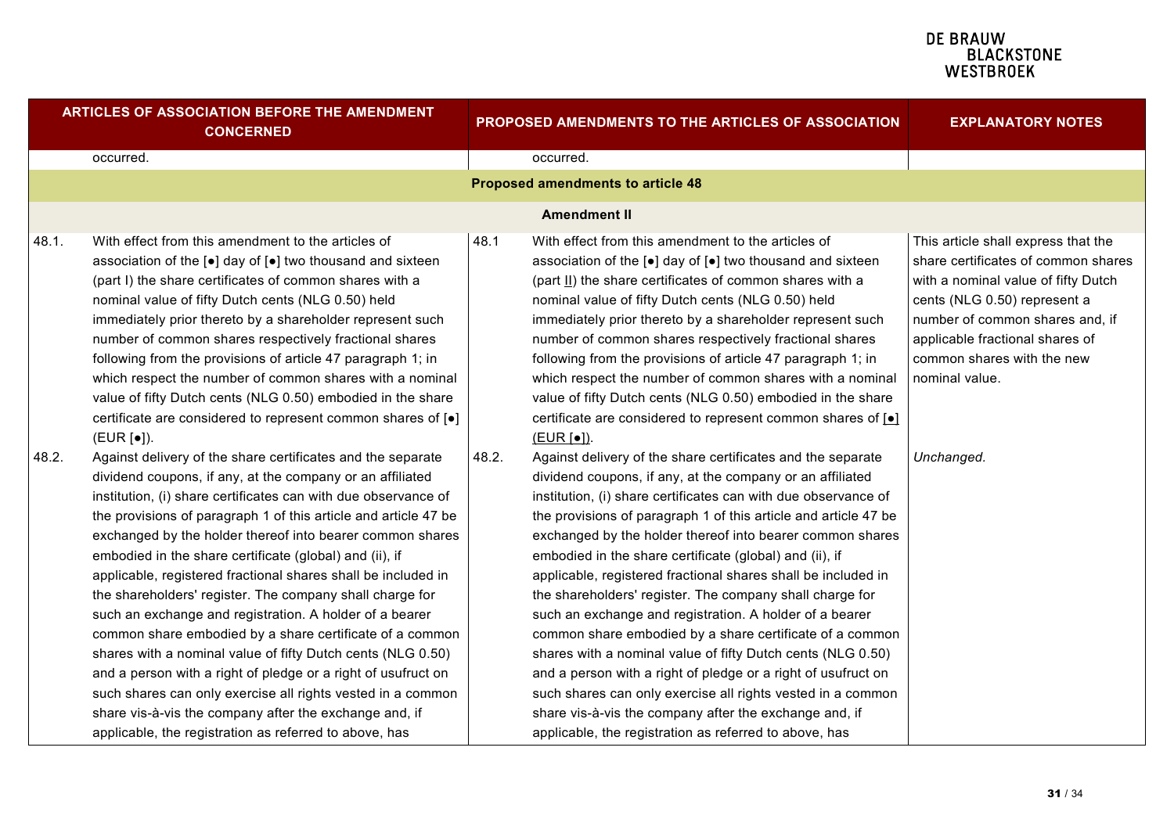| <b>ARTICLES OF ASSOCIATION BEFORE THE AMENDMENT</b><br><b>CONCERNED</b> |                                                                                                                                                                                                                                                                                                                                                                                                                                                                                                                                                                                                                                                                                                                                                                                                                                                                                                                                                              | PROPOSED AMENDMENTS TO THE ARTICLES OF ASSOCIATION |                                                                                                                                                                                                                                                                                                                                                                                                                                                                                                                                                                                                                                                                                                                                                                                                                                                                                                                                                              | <b>EXPLANATORY NOTES</b>                                                                                                                                                                                                                                                |
|-------------------------------------------------------------------------|--------------------------------------------------------------------------------------------------------------------------------------------------------------------------------------------------------------------------------------------------------------------------------------------------------------------------------------------------------------------------------------------------------------------------------------------------------------------------------------------------------------------------------------------------------------------------------------------------------------------------------------------------------------------------------------------------------------------------------------------------------------------------------------------------------------------------------------------------------------------------------------------------------------------------------------------------------------|----------------------------------------------------|--------------------------------------------------------------------------------------------------------------------------------------------------------------------------------------------------------------------------------------------------------------------------------------------------------------------------------------------------------------------------------------------------------------------------------------------------------------------------------------------------------------------------------------------------------------------------------------------------------------------------------------------------------------------------------------------------------------------------------------------------------------------------------------------------------------------------------------------------------------------------------------------------------------------------------------------------------------|-------------------------------------------------------------------------------------------------------------------------------------------------------------------------------------------------------------------------------------------------------------------------|
|                                                                         | occurred.                                                                                                                                                                                                                                                                                                                                                                                                                                                                                                                                                                                                                                                                                                                                                                                                                                                                                                                                                    |                                                    | occurred.                                                                                                                                                                                                                                                                                                                                                                                                                                                                                                                                                                                                                                                                                                                                                                                                                                                                                                                                                    |                                                                                                                                                                                                                                                                         |
|                                                                         |                                                                                                                                                                                                                                                                                                                                                                                                                                                                                                                                                                                                                                                                                                                                                                                                                                                                                                                                                              |                                                    | <b>Proposed amendments to article 48</b>                                                                                                                                                                                                                                                                                                                                                                                                                                                                                                                                                                                                                                                                                                                                                                                                                                                                                                                     |                                                                                                                                                                                                                                                                         |
|                                                                         |                                                                                                                                                                                                                                                                                                                                                                                                                                                                                                                                                                                                                                                                                                                                                                                                                                                                                                                                                              |                                                    | <b>Amendment II</b>                                                                                                                                                                                                                                                                                                                                                                                                                                                                                                                                                                                                                                                                                                                                                                                                                                                                                                                                          |                                                                                                                                                                                                                                                                         |
| 48.1.                                                                   | With effect from this amendment to the articles of<br>association of the [•] day of [•] two thousand and sixteen<br>(part I) the share certificates of common shares with a<br>nominal value of fifty Dutch cents (NLG 0.50) held<br>immediately prior thereto by a shareholder represent such<br>number of common shares respectively fractional shares<br>following from the provisions of article 47 paragraph 1; in<br>which respect the number of common shares with a nominal<br>value of fifty Dutch cents (NLG 0.50) embodied in the share<br>certificate are considered to represent common shares of [ $\bullet$ ]<br>(EUR [•]).                                                                                                                                                                                                                                                                                                                   | 48.1                                               | With effect from this amendment to the articles of<br>association of the [ $\bullet$ ] day of [ $\bullet$ ] two thousand and sixteen<br>(part II) the share certificates of common shares with a<br>nominal value of fifty Dutch cents (NLG 0.50) held<br>immediately prior thereto by a shareholder represent such<br>number of common shares respectively fractional shares<br>following from the provisions of article 47 paragraph 1; in<br>which respect the number of common shares with a nominal<br>value of fifty Dutch cents (NLG 0.50) embodied in the share<br>certificate are considered to represent common shares of [o]<br>(EUR[•]).                                                                                                                                                                                                                                                                                                         | This article shall express that the<br>share certificates of common shares<br>with a nominal value of fifty Dutch<br>cents (NLG 0.50) represent a<br>number of common shares and, if<br>applicable fractional shares of<br>common shares with the new<br>nominal value. |
| 48.2.                                                                   | Against delivery of the share certificates and the separate<br>dividend coupons, if any, at the company or an affiliated<br>institution, (i) share certificates can with due observance of<br>the provisions of paragraph 1 of this article and article 47 be<br>exchanged by the holder thereof into bearer common shares<br>embodied in the share certificate (global) and (ii), if<br>applicable, registered fractional shares shall be included in<br>the shareholders' register. The company shall charge for<br>such an exchange and registration. A holder of a bearer<br>common share embodied by a share certificate of a common<br>shares with a nominal value of fifty Dutch cents (NLG 0.50)<br>and a person with a right of pledge or a right of usufruct on<br>such shares can only exercise all rights vested in a common<br>share vis-à-vis the company after the exchange and, if<br>applicable, the registration as referred to above, has | 48.2.                                              | Against delivery of the share certificates and the separate<br>dividend coupons, if any, at the company or an affiliated<br>institution, (i) share certificates can with due observance of<br>the provisions of paragraph 1 of this article and article 47 be<br>exchanged by the holder thereof into bearer common shares<br>embodied in the share certificate (global) and (ii), if<br>applicable, registered fractional shares shall be included in<br>the shareholders' register. The company shall charge for<br>such an exchange and registration. A holder of a bearer<br>common share embodied by a share certificate of a common<br>shares with a nominal value of fifty Dutch cents (NLG 0.50)<br>and a person with a right of pledge or a right of usufruct on<br>such shares can only exercise all rights vested in a common<br>share vis-à-vis the company after the exchange and, if<br>applicable, the registration as referred to above, has | Unchanged.                                                                                                                                                                                                                                                              |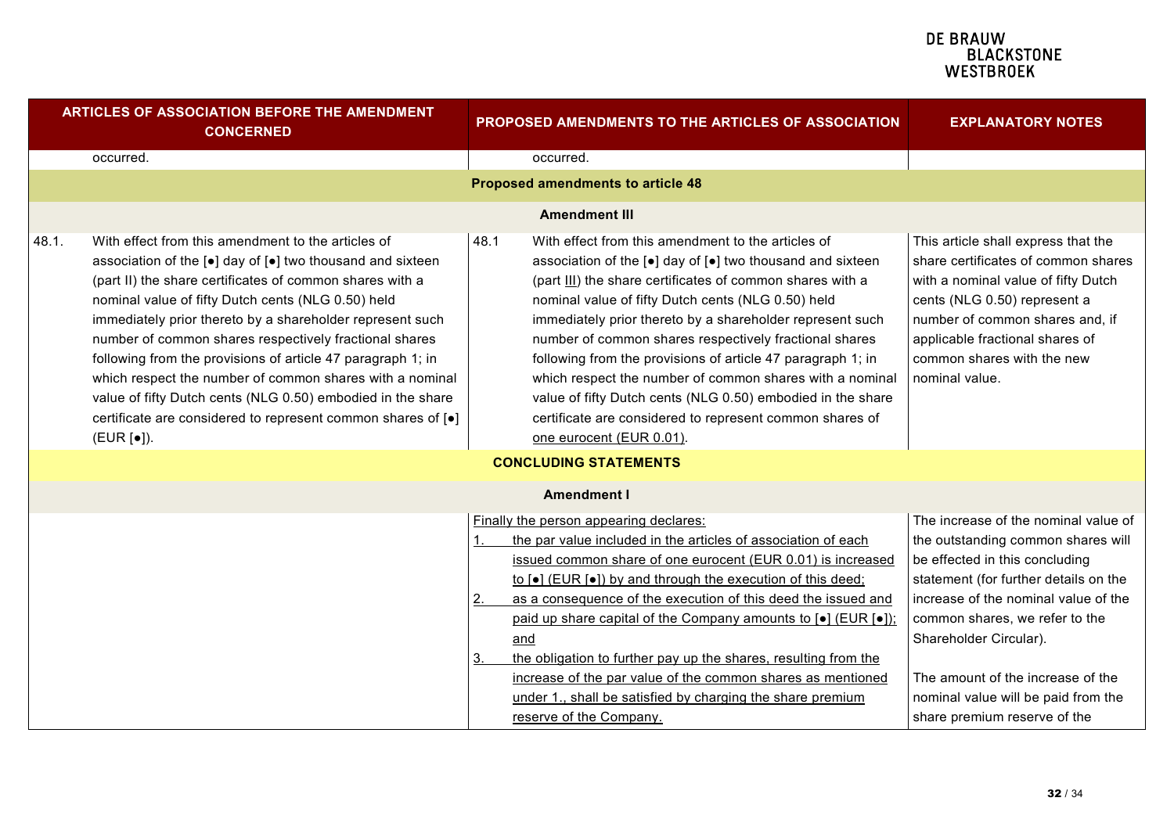| <b>ARTICLES OF ASSOCIATION BEFORE THE AMENDMENT</b><br><b>CONCERNED</b> |                                                                                                                                                                                                                                                                                                                                                                                                                                                                                                                                                                                                                                                       | PROPOSED AMENDMENTS TO THE ARTICLES OF ASSOCIATION |                                                                                                                                                                                                                                                                                                                                                                                                                                                                                                                                                                                                                                              | <b>EXPLANATORY NOTES</b>                                                                                                                                                                                                                                                                                                                                              |
|-------------------------------------------------------------------------|-------------------------------------------------------------------------------------------------------------------------------------------------------------------------------------------------------------------------------------------------------------------------------------------------------------------------------------------------------------------------------------------------------------------------------------------------------------------------------------------------------------------------------------------------------------------------------------------------------------------------------------------------------|----------------------------------------------------|----------------------------------------------------------------------------------------------------------------------------------------------------------------------------------------------------------------------------------------------------------------------------------------------------------------------------------------------------------------------------------------------------------------------------------------------------------------------------------------------------------------------------------------------------------------------------------------------------------------------------------------------|-----------------------------------------------------------------------------------------------------------------------------------------------------------------------------------------------------------------------------------------------------------------------------------------------------------------------------------------------------------------------|
|                                                                         | occurred.                                                                                                                                                                                                                                                                                                                                                                                                                                                                                                                                                                                                                                             |                                                    | occurred.                                                                                                                                                                                                                                                                                                                                                                                                                                                                                                                                                                                                                                    |                                                                                                                                                                                                                                                                                                                                                                       |
|                                                                         |                                                                                                                                                                                                                                                                                                                                                                                                                                                                                                                                                                                                                                                       |                                                    | <b>Proposed amendments to article 48</b>                                                                                                                                                                                                                                                                                                                                                                                                                                                                                                                                                                                                     |                                                                                                                                                                                                                                                                                                                                                                       |
|                                                                         |                                                                                                                                                                                                                                                                                                                                                                                                                                                                                                                                                                                                                                                       |                                                    | <b>Amendment III</b>                                                                                                                                                                                                                                                                                                                                                                                                                                                                                                                                                                                                                         |                                                                                                                                                                                                                                                                                                                                                                       |
| 48.1.                                                                   | With effect from this amendment to the articles of<br>association of the [ $\bullet$ ] day of [ $\bullet$ ] two thousand and sixteen<br>(part II) the share certificates of common shares with a<br>nominal value of fifty Dutch cents (NLG 0.50) held<br>immediately prior thereto by a shareholder represent such<br>number of common shares respectively fractional shares<br>following from the provisions of article 47 paragraph 1; in<br>which respect the number of common shares with a nominal<br>value of fifty Dutch cents (NLG 0.50) embodied in the share<br>certificate are considered to represent common shares of [.]<br>(EUR [•]). | 48.1                                               | With effect from this amendment to the articles of<br>association of the [•] day of [•] two thousand and sixteen<br>(part III) the share certificates of common shares with a<br>nominal value of fifty Dutch cents (NLG 0.50) held<br>immediately prior thereto by a shareholder represent such<br>number of common shares respectively fractional shares<br>following from the provisions of article 47 paragraph 1; in<br>which respect the number of common shares with a nominal<br>value of fifty Dutch cents (NLG 0.50) embodied in the share<br>certificate are considered to represent common shares of<br>one eurocent (EUR 0.01). | This article shall express that the<br>share certificates of common shares<br>with a nominal value of fifty Dutch<br>cents (NLG 0.50) represent a<br>number of common shares and, if<br>applicable fractional shares of<br>common shares with the new<br>nominal value.                                                                                               |
|                                                                         |                                                                                                                                                                                                                                                                                                                                                                                                                                                                                                                                                                                                                                                       |                                                    | <b>CONCLUDING STATEMENTS</b>                                                                                                                                                                                                                                                                                                                                                                                                                                                                                                                                                                                                                 |                                                                                                                                                                                                                                                                                                                                                                       |
|                                                                         |                                                                                                                                                                                                                                                                                                                                                                                                                                                                                                                                                                                                                                                       |                                                    | <b>Amendment I</b>                                                                                                                                                                                                                                                                                                                                                                                                                                                                                                                                                                                                                           |                                                                                                                                                                                                                                                                                                                                                                       |
|                                                                         |                                                                                                                                                                                                                                                                                                                                                                                                                                                                                                                                                                                                                                                       | <u>2.</u><br>3.                                    | Finally the person appearing declares:<br>the par value included in the articles of association of each<br>issued common share of one eurocent (EUR 0.01) is increased<br>to [•] (EUR [•]) by and through the execution of this deed;<br>as a consequence of the execution of this deed the issued and<br>paid up share capital of the Company amounts to [•] (EUR [•]);<br>and<br>the obligation to further pay up the shares, resulting from the<br>increase of the par value of the common shares as mentioned<br>under 1., shall be satisfied by charging the share premium<br>reserve of the Company.                                   | The increase of the nominal value of<br>the outstanding common shares will<br>be effected in this concluding<br>statement (for further details on the<br>increase of the nominal value of the<br>common shares, we refer to the<br>Shareholder Circular).<br>The amount of the increase of the<br>nominal value will be paid from the<br>share premium reserve of the |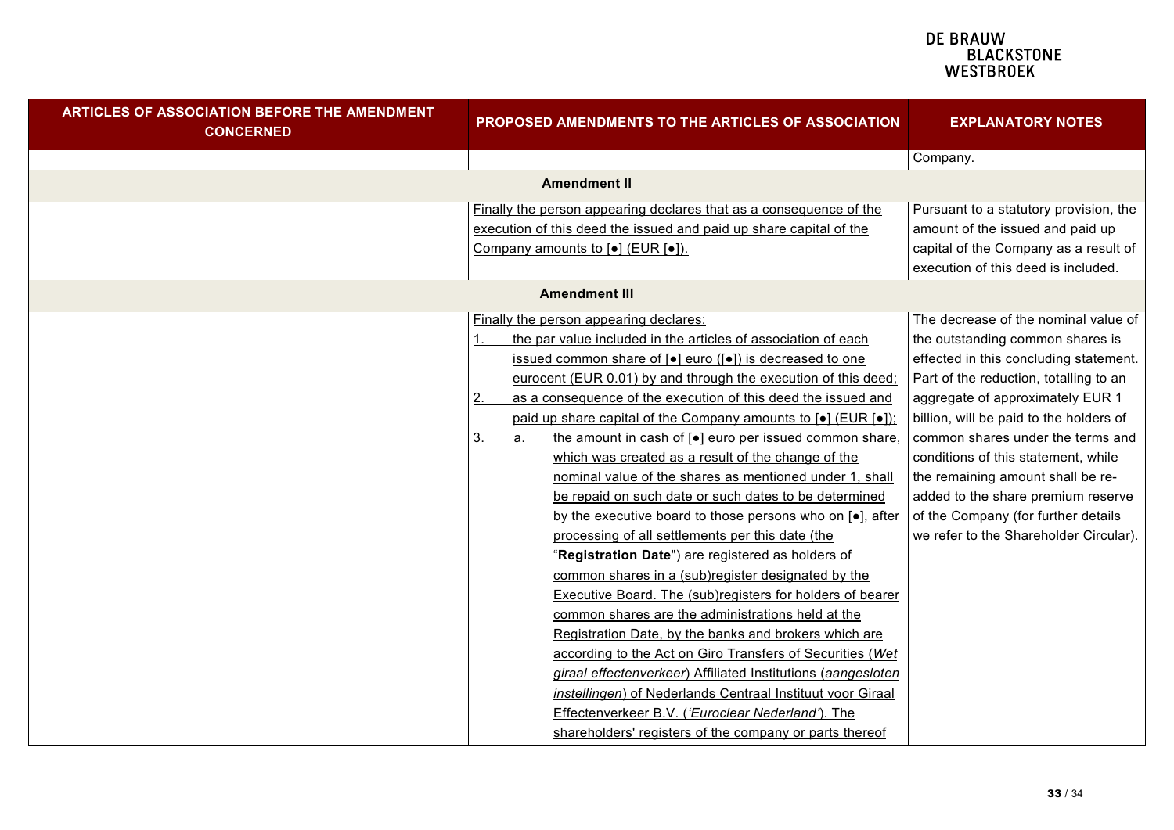| <b>ARTICLES OF ASSOCIATION BEFORE THE AMENDMENT</b><br><b>CONCERNED</b> | PROPOSED AMENDMENTS TO THE ARTICLES OF ASSOCIATION                                                                                                                                                                                                                                                                                                                                                                                                                                                                                                                                                                                                                                                                                                                                                                                                                                                                                                                                                                                                                                                                                                                                                                                                                                                                                                                                                           | <b>EXPLANATORY NOTES</b>                                                                                                                                                                                                                                                                                                                                                                                                                                                            |
|-------------------------------------------------------------------------|--------------------------------------------------------------------------------------------------------------------------------------------------------------------------------------------------------------------------------------------------------------------------------------------------------------------------------------------------------------------------------------------------------------------------------------------------------------------------------------------------------------------------------------------------------------------------------------------------------------------------------------------------------------------------------------------------------------------------------------------------------------------------------------------------------------------------------------------------------------------------------------------------------------------------------------------------------------------------------------------------------------------------------------------------------------------------------------------------------------------------------------------------------------------------------------------------------------------------------------------------------------------------------------------------------------------------------------------------------------------------------------------------------------|-------------------------------------------------------------------------------------------------------------------------------------------------------------------------------------------------------------------------------------------------------------------------------------------------------------------------------------------------------------------------------------------------------------------------------------------------------------------------------------|
|                                                                         |                                                                                                                                                                                                                                                                                                                                                                                                                                                                                                                                                                                                                                                                                                                                                                                                                                                                                                                                                                                                                                                                                                                                                                                                                                                                                                                                                                                                              | Company.                                                                                                                                                                                                                                                                                                                                                                                                                                                                            |
|                                                                         | <b>Amendment II</b>                                                                                                                                                                                                                                                                                                                                                                                                                                                                                                                                                                                                                                                                                                                                                                                                                                                                                                                                                                                                                                                                                                                                                                                                                                                                                                                                                                                          |                                                                                                                                                                                                                                                                                                                                                                                                                                                                                     |
|                                                                         | Finally the person appearing declares that as a consequence of the<br>execution of this deed the issued and paid up share capital of the<br>Company amounts to [ $\bullet$ ] (EUR [ $\bullet$ ]).                                                                                                                                                                                                                                                                                                                                                                                                                                                                                                                                                                                                                                                                                                                                                                                                                                                                                                                                                                                                                                                                                                                                                                                                            | Pursuant to a statutory provision, the<br>amount of the issued and paid up<br>capital of the Company as a result of<br>execution of this deed is included.                                                                                                                                                                                                                                                                                                                          |
|                                                                         | <b>Amendment III</b>                                                                                                                                                                                                                                                                                                                                                                                                                                                                                                                                                                                                                                                                                                                                                                                                                                                                                                                                                                                                                                                                                                                                                                                                                                                                                                                                                                                         |                                                                                                                                                                                                                                                                                                                                                                                                                                                                                     |
|                                                                         | Finally the person appearing declares:<br>the par value included in the articles of association of each<br>issued common share of [ $\bullet$ ] euro ([ $\bullet$ ]) is decreased to one<br>eurocent (EUR 0.01) by and through the execution of this deed;<br>as a consequence of the execution of this deed the issued and<br>2.<br>paid up share capital of the Company amounts to [•] (EUR [•]);<br>the amount in cash of [ $\bullet$ ] euro per issued common share.<br>3.<br>a.<br>which was created as a result of the change of the<br>nominal value of the shares as mentioned under 1, shall<br>be repaid on such date or such dates to be determined<br>by the executive board to those persons who on $\lceil \bullet \rceil$ , after<br>processing of all settlements per this date (the<br>"Registration Date") are registered as holders of<br>common shares in a (sub)register designated by the<br><b>Executive Board. The (sub)registers for holders of bearer</b><br>common shares are the administrations held at the<br>Registration Date, by the banks and brokers which are<br>according to the Act on Giro Transfers of Securities (Wet<br>giraal effectenverkeer) Affiliated Institutions (aangesloten<br>instellingen) of Nederlands Centraal Instituut voor Giraal<br>Effectenverkeer B.V. ('Euroclear Nederland'). The<br>shareholders' registers of the company or parts thereof | The decrease of the nominal value of<br>the outstanding common shares is<br>effected in this concluding statement.<br>Part of the reduction, totalling to an<br>aggregate of approximately EUR 1<br>billion, will be paid to the holders of<br>common shares under the terms and<br>conditions of this statement, while<br>the remaining amount shall be re-<br>added to the share premium reserve<br>of the Company (for further details<br>we refer to the Shareholder Circular). |